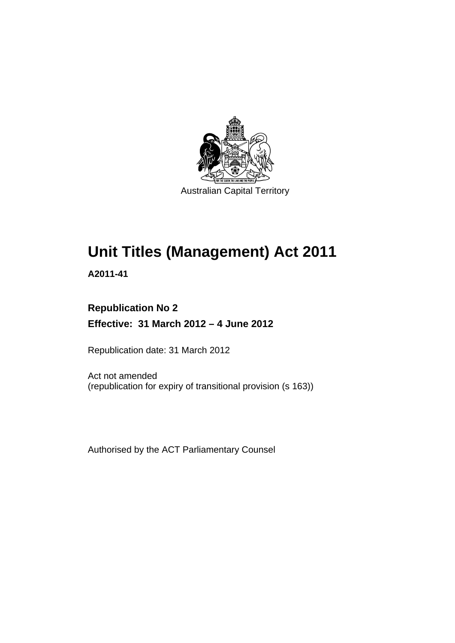

# **Unit Titles (Management) Act 2011**

**A2011-41** 

### **Republication No 2 Effective: 31 March 2012 – 4 June 2012**

Republication date: 31 March 2012

Act not amended (republication for expiry of transitional provision (s 163))

Authorised by the ACT Parliamentary Counsel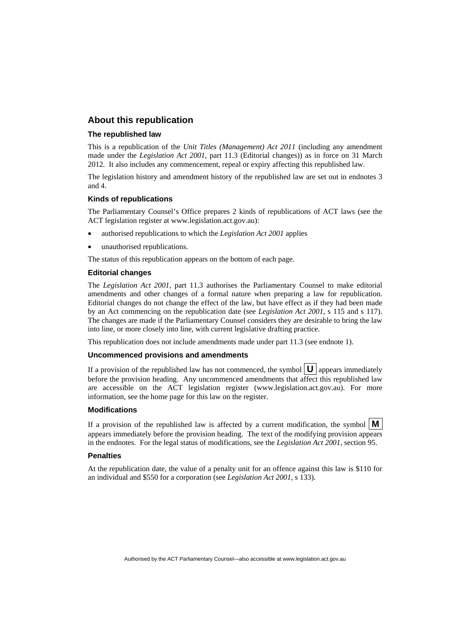#### **About this republication**

#### **The republished law**

This is a republication of the *Unit Titles (Management) Act 2011* (including any amendment made under the *Legislation Act 2001*, part 11.3 (Editorial changes)) as in force on 31 March 2012*.* It also includes any commencement, repeal or expiry affecting this republished law.

The legislation history and amendment history of the republished law are set out in endnotes 3 and 4.

#### **Kinds of republications**

The Parliamentary Counsel's Office prepares 2 kinds of republications of ACT laws (see the ACT legislation register at www.legislation.act.gov.au):

- authorised republications to which the *Legislation Act 2001* applies
- unauthorised republications.

The status of this republication appears on the bottom of each page.

#### **Editorial changes**

The *Legislation Act 2001*, part 11.3 authorises the Parliamentary Counsel to make editorial amendments and other changes of a formal nature when preparing a law for republication. Editorial changes do not change the effect of the law, but have effect as if they had been made by an Act commencing on the republication date (see *Legislation Act 2001*, s 115 and s 117). The changes are made if the Parliamentary Counsel considers they are desirable to bring the law into line, or more closely into line, with current legislative drafting practice.

This republication does not include amendments made under part 11.3 (see endnote 1).

#### **Uncommenced provisions and amendments**

If a provision of the republished law has not commenced, the symbol  $\mathbf{U}$  appears immediately before the provision heading. Any uncommenced amendments that affect this republished law are accessible on the ACT legislation register (www.legislation.act.gov.au). For more information, see the home page for this law on the register.

#### **Modifications**

If a provision of the republished law is affected by a current modification, the symbol  $\mathbf{M}$ appears immediately before the provision heading. The text of the modifying provision appears in the endnotes. For the legal status of modifications, see the *Legislation Act 2001*, section 95.

#### **Penalties**

At the republication date, the value of a penalty unit for an offence against this law is \$110 for an individual and \$550 for a corporation (see *Legislation Act 2001*, s 133).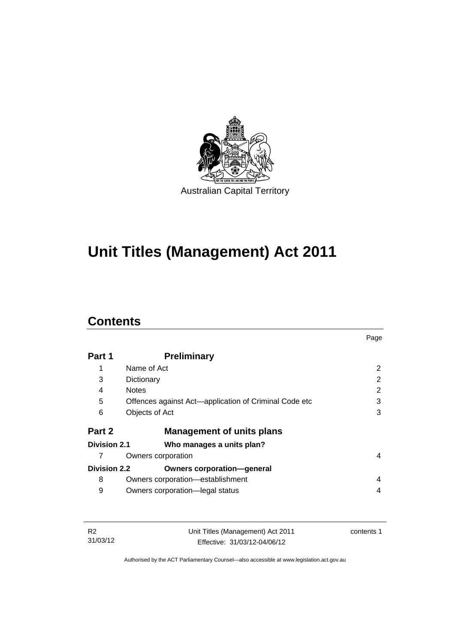

# **Unit Titles (Management) Act 2011**

## **Contents**

|                     |                                                       | Page |
|---------------------|-------------------------------------------------------|------|
| Part 1              | <b>Preliminary</b>                                    |      |
| 1                   | Name of Act                                           | 2    |
| 3                   | Dictionary                                            | 2    |
| 4                   | <b>Notes</b>                                          | 2    |
| 5                   | Offences against Act—application of Criminal Code etc | 3    |
| 6                   | Objects of Act                                        | 3    |
| Part 2              | <b>Management of units plans</b>                      |      |
| Division 2.1        | Who manages a units plan?                             |      |
|                     | Owners corporation                                    | 4    |
| <b>Division 2.2</b> | <b>Owners corporation-general</b>                     |      |
| 8                   | Owners corporation-establishment                      | 4    |
| 9                   | Owners corporation-legal status                       | 4    |

| - R2     | Unit Titles (Management) Act 2011 | contents 1 |
|----------|-----------------------------------|------------|
| 31/03/12 | Effective: 31/03/12-04/06/12      |            |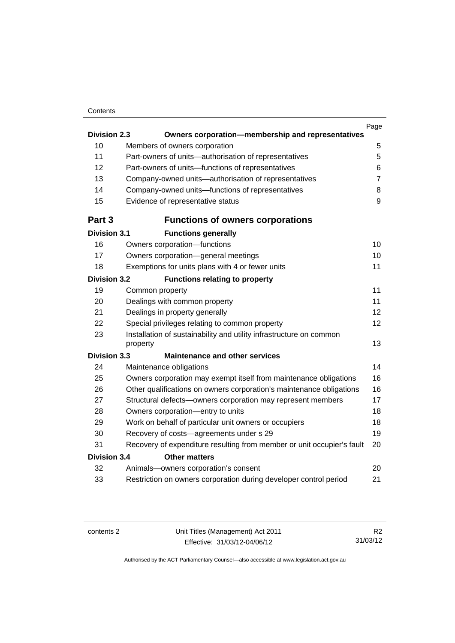#### **Contents**

|                                             |                                                                                 | Page             |  |
|---------------------------------------------|---------------------------------------------------------------------------------|------------------|--|
| <b>Division 2.3</b>                         | Owners corporation-membership and representatives                               |                  |  |
| 10                                          | Members of owners corporation                                                   | 5                |  |
| 11                                          | Part-owners of units-authorisation of representatives                           | 5                |  |
| 12                                          | Part-owners of units-functions of representatives                               | 6                |  |
| 13                                          | Company-owned units-authorisation of representatives                            | $\overline{7}$   |  |
| 14                                          | Company-owned units-functions of representatives                                | 8                |  |
| 15                                          | Evidence of representative status                                               | $\boldsymbol{9}$ |  |
| Part 3                                      | <b>Functions of owners corporations</b>                                         |                  |  |
| <b>Division 3.1</b>                         | <b>Functions generally</b>                                                      |                  |  |
| 16                                          | Owners corporation-functions                                                    | 10               |  |
| 17                                          | Owners corporation-general meetings                                             | 10               |  |
| 18                                          | Exemptions for units plans with 4 or fewer units                                | 11               |  |
| <b>Division 3.2</b>                         | <b>Functions relating to property</b>                                           |                  |  |
| 19                                          | Common property                                                                 | 11               |  |
| 20                                          | Dealings with common property                                                   | 11               |  |
| 21                                          | Dealings in property generally                                                  | 12               |  |
| 22                                          | Special privileges relating to common property                                  | 12               |  |
| 23                                          | Installation of sustainability and utility infrastructure on common<br>property | 13               |  |
| <b>Division 3.3</b>                         | <b>Maintenance and other services</b>                                           |                  |  |
| 24                                          | Maintenance obligations                                                         | 14               |  |
| 25                                          | Owners corporation may exempt itself from maintenance obligations               | 16               |  |
| 26                                          | Other qualifications on owners corporation's maintenance obligations            | 16               |  |
| 27                                          | Structural defects-owners corporation may represent members                     | 17               |  |
| 28                                          | Owners corporation-entry to units                                               | 18               |  |
| 29                                          | Work on behalf of particular unit owners or occupiers                           | 18               |  |
| 30                                          | Recovery of costs-agreements under s 29                                         | 19               |  |
| 31                                          | Recovery of expenditure resulting from member or unit occupier's fault          | 20               |  |
| <b>Division 3.4</b><br><b>Other matters</b> |                                                                                 |                  |  |
| 32                                          | Animals-owners corporation's consent                                            | 20               |  |
| 33                                          | Restriction on owners corporation during developer control period               | 21               |  |
|                                             |                                                                                 |                  |  |

contents 2 Unit Titles (Management) Act 2011 Effective: 31/03/12-04/06/12

R2 31/03/12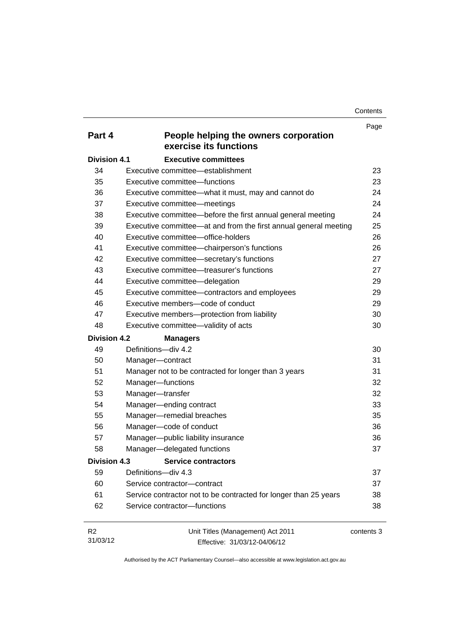**Contents** 

| Part 4              | People helping the owners corporation                            | Page       |
|---------------------|------------------------------------------------------------------|------------|
|                     | exercise its functions                                           |            |
| <b>Division 4.1</b> | <b>Executive committees</b>                                      |            |
| 34                  | Executive committee—establishment                                | 23         |
| 35                  | Executive committee-functions                                    | 23         |
| 36                  | Executive committee-what it must, may and cannot do              | 24         |
| 37                  | Executive committee-meetings                                     | 24         |
| 38                  | Executive committee-before the first annual general meeting      | 24         |
| 39                  | Executive committee—at and from the first annual general meeting | 25         |
| 40                  | Executive committee-office-holders                               | 26         |
| 41                  | Executive committee-chairperson's functions                      | 26         |
| 42                  | Executive committee-secretary's functions                        | 27         |
| 43                  | Executive committee—treasurer's functions                        | 27         |
| 44                  | Executive committee-delegation                                   | 29         |
| 45                  | Executive committee-contractors and employees                    | 29         |
| 46                  | Executive members-code of conduct                                | 29         |
| 47                  | Executive members-protection from liability                      | 30         |
| 48                  | Executive committee-validity of acts                             | 30         |
| <b>Division 4.2</b> | <b>Managers</b>                                                  |            |
| 49                  | Definitions-div 4.2                                              | 30         |
| 50                  | Manager-contract                                                 | 31         |
| 51                  | Manager not to be contracted for longer than 3 years             | 31         |
| 52                  | Manager-functions                                                | 32         |
| 53                  | Manager-transfer                                                 | 32         |
| 54                  | Manager-ending contract                                          | 33         |
| 55                  | Manager-remedial breaches                                        | 35         |
| 56                  | Manager-code of conduct                                          | 36         |
| 57                  | Manager-public liability insurance                               | 36         |
| 58                  | Manager-delegated functions                                      | 37         |
| Division 4.3        | <b>Service contractors</b>                                       |            |
| 59                  | Definitions-div 4.3                                              | 37         |
| 60                  | Service contractor-contract                                      | 37         |
| 61                  | Service contractor not to be contracted for longer than 25 years | 38         |
| 62                  | Service contractor-functions                                     | 38         |
| R <sub>2</sub>      | Unit Titles (Management) Act 2011                                | contents 3 |

31/03/12

Effective: 31/03/12-04/06/12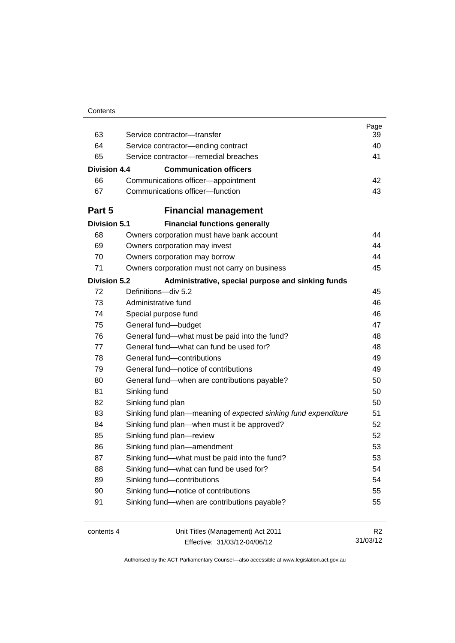| Contents |
|----------|
|----------|

| 63                  | Service contractor-transfer                                    | Page<br>39     |
|---------------------|----------------------------------------------------------------|----------------|
| 64                  | Service contractor-ending contract                             | 40             |
| 65                  | Service contractor-remedial breaches                           | 41             |
|                     |                                                                |                |
| Division 4.4        | <b>Communication officers</b>                                  |                |
| 66                  | Communications officer-appointment                             | 42             |
| 67                  | Communications officer-function                                | 43             |
| Part 5              | <b>Financial management</b>                                    |                |
| <b>Division 5.1</b> | <b>Financial functions generally</b>                           |                |
| 68                  | Owners corporation must have bank account                      | 44             |
| 69                  | Owners corporation may invest                                  | 44             |
| 70                  | Owners corporation may borrow                                  | 44             |
| 71                  | Owners corporation must not carry on business                  | 45             |
| <b>Division 5.2</b> | Administrative, special purpose and sinking funds              |                |
| 72                  | Definitions-div 5.2                                            | 45             |
| 73                  | Administrative fund                                            | 46             |
| 74                  | Special purpose fund                                           | 46             |
| 75                  | General fund-budget                                            | 47             |
| 76                  | General fund-what must be paid into the fund?                  | 48             |
| 77                  | General fund—what can fund be used for?                        | 48             |
| 78                  | General fund-contributions                                     | 49             |
| 79                  | General fund-notice of contributions                           | 49             |
| 80                  | General fund—when are contributions payable?                   | 50             |
| 81                  | Sinking fund                                                   | 50             |
| 82                  | Sinking fund plan                                              | 50             |
| 83                  | Sinking fund plan—meaning of expected sinking fund expenditure | 51             |
| 84                  | Sinking fund plan—when must it be approved?                    | 52             |
| 85                  | Sinking fund plan-review                                       | 52             |
| 86                  | Sinking fund plan-amendment                                    | 53             |
| 87                  | Sinking fund-what must be paid into the fund?                  | 53             |
| 88                  | Sinking fund-what can fund be used for?                        | 54             |
| 89                  | Sinking fund-contributions                                     | 54             |
| 90                  | Sinking fund-notice of contributions                           | 55             |
| 91                  | Sinking fund-when are contributions payable?                   | 55             |
| contents 4          | Unit Titles (Management) Act 2011                              | R <sub>2</sub> |

Effective: 31/03/12-04/06/12

31/03/12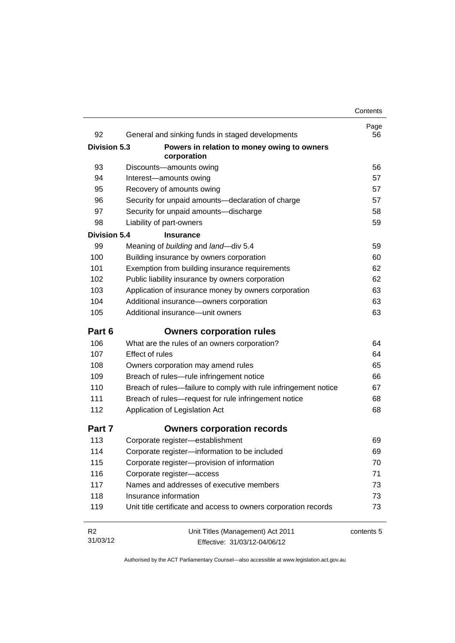| 92                  | General and sinking funds in staged developments                | Page<br>56 |
|---------------------|-----------------------------------------------------------------|------------|
| Division 5.3        | Powers in relation to money owing to owners                     |            |
|                     | corporation                                                     |            |
| 93                  | Discounts-amounts owing                                         | 56         |
| 94                  | Interest-amounts owing                                          | 57         |
| 95                  | Recovery of amounts owing                                       | 57         |
| 96                  | Security for unpaid amounts-declaration of charge               | 57         |
| 97                  | Security for unpaid amounts-discharge                           | 58         |
| 98                  | Liability of part-owners                                        | 59         |
| <b>Division 5.4</b> | <b>Insurance</b>                                                |            |
| 99                  | Meaning of building and land-div 5.4                            | 59         |
| 100                 | Building insurance by owners corporation                        | 60         |
| 101                 | Exemption from building insurance requirements                  | 62         |
| 102                 | Public liability insurance by owners corporation                | 62         |
| 103                 | Application of insurance money by owners corporation            | 63         |
| 104                 | Additional insurance-owners corporation                         | 63         |
| 105                 | Additional insurance-unit owners                                | 63         |
| Part 6              | <b>Owners corporation rules</b>                                 |            |
| 106                 | What are the rules of an owners corporation?                    | 64         |
| 107                 | <b>Effect of rules</b>                                          | 64         |
| 108                 | Owners corporation may amend rules                              | 65         |
| 109                 | Breach of rules-rule infringement notice                        | 66         |
| 110                 | Breach of rules-failure to comply with rule infringement notice | 67         |
| 111                 | Breach of rules-request for rule infringement notice            | 68         |
| 112                 | Application of Legislation Act                                  | 68         |
| Part 7              | <b>Owners corporation records</b>                               |            |
| 113                 | Corporate register-establishment                                | 69         |
| 114                 | Corporate register-information to be included                   | 69         |
| 115                 | Corporate register-provision of information                     | 70         |
| 116                 | Corporate register-access                                       | 71         |
| 117                 | Names and addresses of executive members                        | 73         |
| 118                 | Insurance information                                           | 73         |
| 119                 | Unit title certificate and access to owners corporation records | 73         |
| R <sub>2</sub>      | Unit Titles (Management) Act 2011                               | contents 5 |
| 31/03/12            | Effective: 31/03/12-04/06/12                                    |            |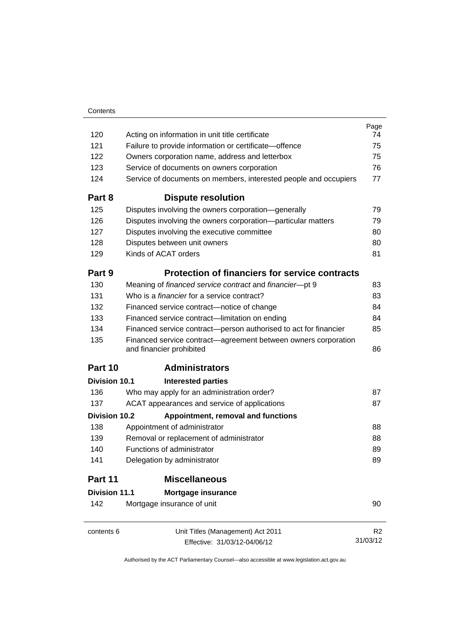|                      |                                                                                            | Page     |
|----------------------|--------------------------------------------------------------------------------------------|----------|
| 120                  | Acting on information in unit title certificate                                            | 74       |
| 121                  | Failure to provide information or certificate-offence                                      | 75       |
| 122                  | Owners corporation name, address and letterbox                                             | 75       |
| 123                  | Service of documents on owners corporation                                                 | 76       |
| 124                  | Service of documents on members, interested people and occupiers                           | 77       |
| Part 8               | <b>Dispute resolution</b>                                                                  |          |
| 125                  | Disputes involving the owners corporation-generally                                        | 79       |
| 126                  | Disputes involving the owners corporation-particular matters                               | 79       |
| 127                  | Disputes involving the executive committee                                                 | 80       |
| 128                  | Disputes between unit owners                                                               | 80       |
| 129                  | Kinds of ACAT orders                                                                       | 81       |
| Part 9               | <b>Protection of financiers for service contracts</b>                                      |          |
| 130                  | Meaning of financed service contract and financier-pt 9                                    | 83       |
| 131                  | Who is a <i>financier</i> for a service contract?                                          | 83       |
| 132                  | Financed service contract-notice of change                                                 | 84       |
| 133                  | Financed service contract-limitation on ending                                             | 84       |
| 134                  | Financed service contract-person authorised to act for financier                           | 85       |
| 135                  | Financed service contract—agreement between owners corporation<br>and financier prohibited | 86       |
| Part 10              | <b>Administrators</b>                                                                      |          |
| Division 10.1        | <b>Interested parties</b>                                                                  |          |
| 136                  | Who may apply for an administration order?                                                 | 87       |
| 137                  | ACAT appearances and service of applications                                               | 87       |
| Division 10.2        | Appointment, removal and functions                                                         |          |
| 138                  | Appointment of administrator                                                               | 88       |
| 139                  | Removal or replacement of administrator                                                    | 88       |
| 140                  | Functions of administrator                                                                 | 89       |
| 141                  | Delegation by administrator                                                                | 89       |
| Part 11              | <b>Miscellaneous</b>                                                                       |          |
| <b>Division 11.1</b> | Mortgage insurance                                                                         |          |
| 142                  | Mortgage insurance of unit                                                                 | 90       |
| contents 6           | Unit Titles (Management) Act 2011                                                          | R2       |
|                      | Effective: 31/03/12-04/06/12                                                               | 31/03/12 |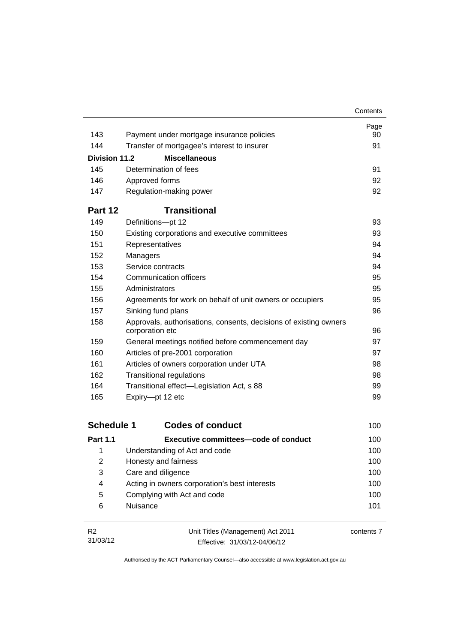|                      |                                                                                      | Contents |
|----------------------|--------------------------------------------------------------------------------------|----------|
|                      |                                                                                      | Page     |
| 143                  | Payment under mortgage insurance policies                                            | 90       |
| 144                  | Transfer of mortgagee's interest to insurer                                          | 91       |
| <b>Division 11.2</b> | <b>Miscellaneous</b>                                                                 |          |
| 145                  | Determination of fees                                                                | 91       |
| 146                  | Approved forms                                                                       | 92       |
| 147                  | Regulation-making power                                                              | 92       |
| Part 12              | <b>Transitional</b>                                                                  |          |
| 149                  | Definitions-pt 12                                                                    | 93       |
| 150                  | Existing corporations and executive committees                                       | 93       |
| 151                  | Representatives                                                                      | 94       |
| 152                  | Managers                                                                             | 94       |
| 153                  | Service contracts                                                                    | 94       |
| 154                  | Communication officers                                                               | 95       |
| 155                  | Administrators                                                                       | 95       |
| 156                  | Agreements for work on behalf of unit owners or occupiers                            | 95       |
| 157                  | Sinking fund plans                                                                   | 96       |
| 158                  | Approvals, authorisations, consents, decisions of existing owners<br>corporation etc | 96       |
| 159                  | General meetings notified before commencement day                                    | 97       |
| 160                  | Articles of pre-2001 corporation                                                     | 97       |
| 161                  | Articles of owners corporation under UTA                                             | 98       |
| 162                  | <b>Transitional regulations</b>                                                      | 98       |
| 164                  | Transitional effect—Legislation Act, s 88                                            | 99       |
| 165                  | Expiry-pt 12 etc                                                                     | 99       |

| <b>Schedule 1</b> | <b>Codes of conduct</b>                       | 100 |
|-------------------|-----------------------------------------------|-----|
| <b>Part 1.1</b>   | Executive committees—code of conduct          | 100 |
| 1                 | Understanding of Act and code                 | 100 |
| 2                 | Honesty and fairness                          | 100 |
| 3                 | Care and diligence                            | 100 |
| 4                 | Acting in owners corporation's best interests | 100 |
| 5                 | Complying with Act and code                   | 100 |
| 6                 | Nuisance                                      | 101 |

| - R2     | Unit Titles (Management) Act 2011 | contents 7 |
|----------|-----------------------------------|------------|
| 31/03/12 | Effective: 31/03/12-04/06/12      |            |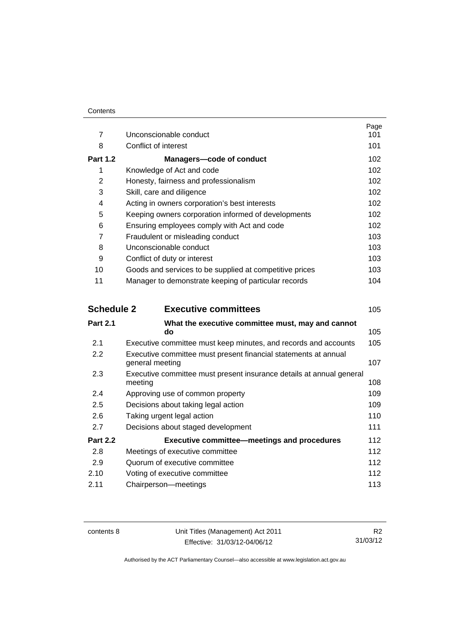|                 |                                                         | Page |
|-----------------|---------------------------------------------------------|------|
| $\overline{7}$  | Unconscionable conduct                                  | 101  |
| 8               | Conflict of interest                                    | 101  |
| <b>Part 1.2</b> | Managers-code of conduct                                | 102  |
| 1               | Knowledge of Act and code                               | 102  |
| 2               | Honesty, fairness and professionalism                   | 102  |
| 3               | Skill, care and diligence                               | 102  |
| 4               | Acting in owners corporation's best interests           | 102  |
| 5               | Keeping owners corporation informed of developments     | 102  |
| 6               | Ensuring employees comply with Act and code             | 102  |
| 7               | Fraudulent or misleading conduct                        | 103  |
| 8               | Unconscionable conduct                                  | 103  |
| 9               | Conflict of duty or interest                            | 103  |
| 10              | Goods and services to be supplied at competitive prices | 103  |
| 11              | Manager to demonstrate keeping of particular records    | 104  |
|                 |                                                         |      |

| <b>Schedule 2</b> | <b>Executive committees</b>                                                        | 105 |
|-------------------|------------------------------------------------------------------------------------|-----|
| <b>Part 2.1</b>   | What the executive committee must, may and cannot<br>do                            | 105 |
| 2.1               | Executive committee must keep minutes, and records and accounts                    | 105 |
| $2.2\phantom{0}$  | Executive committee must present financial statements at annual<br>general meeting | 107 |
| 2.3               | Executive committee must present insurance details at annual general<br>meeting    | 108 |
| 2.4               | Approving use of common property                                                   | 109 |
| 2.5               | Decisions about taking legal action                                                | 109 |
| 2.6               | Taking urgent legal action                                                         | 110 |
| 2.7               | Decisions about staged development                                                 | 111 |
| <b>Part 2.2</b>   | <b>Executive committee-meetings and procedures</b>                                 | 112 |
| 2.8               | Meetings of executive committee                                                    | 112 |
| 2.9               | Quorum of executive committee                                                      | 112 |
| 2.10              | Voting of executive committee                                                      | 112 |
| 2.11              | Chairperson-meetings                                                               | 113 |
|                   |                                                                                    |     |

contents 8 Unit Titles (Management) Act 2011 Effective: 31/03/12-04/06/12

R2 31/03/12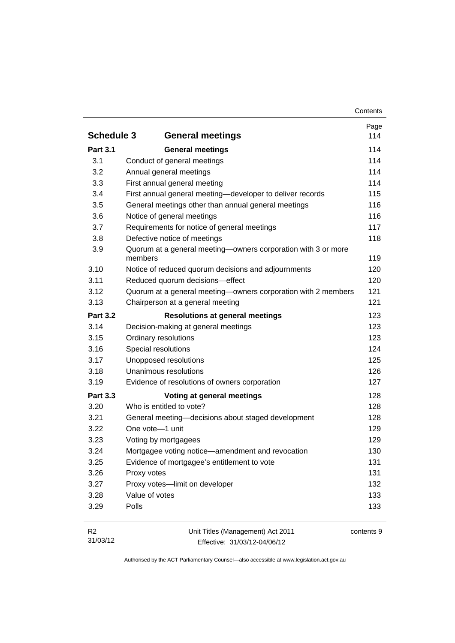|                   |                                                                          | Page |
|-------------------|--------------------------------------------------------------------------|------|
| <b>Schedule 3</b> | <b>General meetings</b>                                                  | 114  |
| <b>Part 3.1</b>   | <b>General meetings</b>                                                  | 114  |
| 3.1               | Conduct of general meetings                                              | 114  |
| 3.2               | Annual general meetings                                                  | 114  |
| 3.3               | First annual general meeting                                             | 114  |
| 3.4               | First annual general meeting-developer to deliver records                | 115  |
| 3.5               | General meetings other than annual general meetings                      | 116  |
| 3.6               | Notice of general meetings                                               | 116  |
| 3.7               | Requirements for notice of general meetings                              | 117  |
| 3.8               | Defective notice of meetings                                             | 118  |
| 3.9               | Quorum at a general meeting-owners corporation with 3 or more<br>members | 119  |
| 3.10              | Notice of reduced quorum decisions and adjournments                      | 120  |
| 3.11              | Reduced quorum decisions-effect                                          | 120  |
| 3.12              | Quorum at a general meeting-owners corporation with 2 members            | 121  |
| 3.13              | Chairperson at a general meeting                                         | 121  |
| <b>Part 3.2</b>   | <b>Resolutions at general meetings</b>                                   | 123  |
| 3.14              | Decision-making at general meetings                                      | 123  |
| 3.15              | Ordinary resolutions                                                     | 123  |
| 3.16              | Special resolutions                                                      | 124  |
| 3.17              | Unopposed resolutions                                                    | 125  |
| 3.18              | Unanimous resolutions                                                    | 126  |
| 3.19              | Evidence of resolutions of owners corporation                            | 127  |
| <b>Part 3.3</b>   | Voting at general meetings                                               | 128  |
| 3.20              | Who is entitled to vote?                                                 | 128  |
| 3.21              | General meeting-decisions about staged development                       | 128  |
| 3.22              | One vote-1 unit                                                          | 129  |
| 3.23              | Voting by mortgagees                                                     | 129  |
| 3.24              | Mortgagee voting notice-amendment and revocation                         | 130  |
| 3.25              | Evidence of mortgagee's entitlement to vote                              | 131  |
| 3.26              | Proxy votes                                                              | 131  |
| 3.27              | Proxy votes-limit on developer                                           | 132  |
| 3.28              | Value of votes                                                           | 133  |
| 3.29              | Polls                                                                    | 133  |

| - R2     | Unit Titles (Management) Act 2011 | contents 9 |
|----------|-----------------------------------|------------|
| 31/03/12 | Effective: 31/03/12-04/06/12      |            |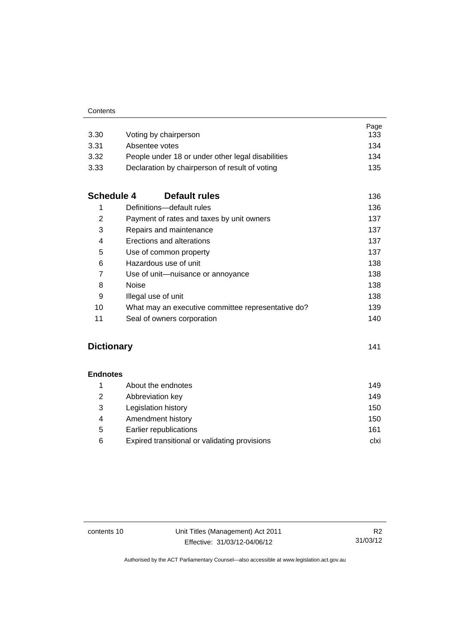| 3.30              | Voting by chairperson                              | Page<br>133 |
|-------------------|----------------------------------------------------|-------------|
| 3.31              | Absentee votes                                     | 134         |
| 3.32              | People under 18 or under other legal disabilities  | 134         |
| 3.33              | Declaration by chairperson of result of voting     | 135         |
| <b>Schedule 4</b> | Default rules                                      | 136         |
| 1                 | Definitions-default rules                          | 136         |
| 2                 | Payment of rates and taxes by unit owners          | 137         |
| 3                 | Repairs and maintenance                            | 137         |
| 4                 | Erections and alterations                          | 137         |
| 5                 | Use of common property                             | 137         |
| 6                 | Hazardous use of unit                              | 138         |
| $\overline{7}$    | Use of unit-nuisance or annoyance                  | 138         |
| 8                 | <b>Noise</b>                                       | 138         |
| 9                 | Illegal use of unit                                | 138         |
| 10                | What may an executive committee representative do? | 139         |
| 11                | Seal of owners corporation                         | 140         |

### **[Dictionary](#page-152-0)** [141](#page-152-0)

**[Endnotes](#page-160-0)**

| About the endnotes                            | 149  |
|-----------------------------------------------|------|
| Abbreviation key                              | 149  |
| Legislation history                           | 150  |
| Amendment history                             | 150  |
| Earlier republications                        | 161  |
| Expired transitional or validating provisions | clxi |
| 2<br>3<br>4<br>5<br>6                         |      |

contents 10 Unit Titles (Management) Act 2011 Effective: 31/03/12-04/06/12

R2 31/03/12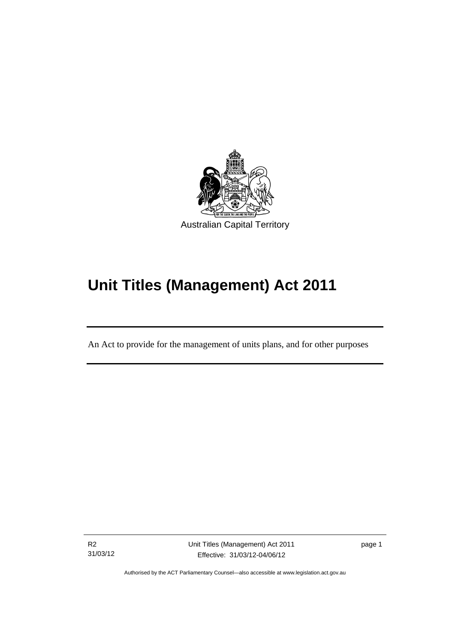

# **Unit Titles (Management) Act 2011**

An Act to provide for the management of units plans, and for other purposes

R2 31/03/12

l

Unit Titles (Management) Act 2011 Effective: 31/03/12-04/06/12

page 1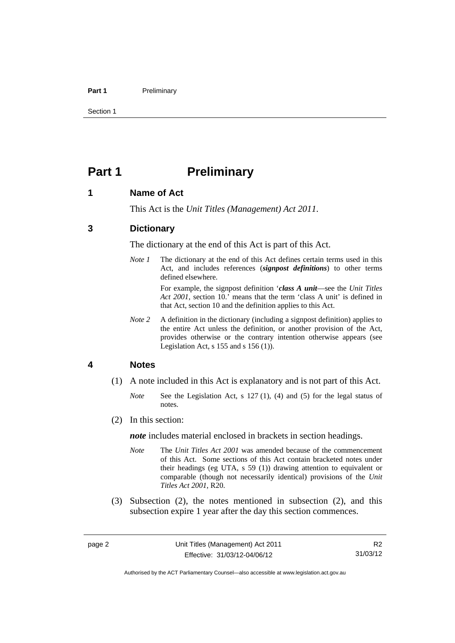#### Part 1 **Preliminary**

Section 1

### <span id="page-13-0"></span>**Part 1** Preliminary

#### <span id="page-13-1"></span>**1 Name of Act**

This Act is the *Unit Titles (Management) Act 2011*.

#### <span id="page-13-2"></span>**3 Dictionary**

The dictionary at the end of this Act is part of this Act.

*Note 1* The dictionary at the end of this Act defines certain terms used in this Act, and includes references (*signpost definitions*) to other terms defined elsewhere.

> For example, the signpost definition '*class A unit*—see the *Unit Titles Act 2001*, section 10.' means that the term 'class A unit' is defined in that Act, section 10 and the definition applies to this Act.

*Note* 2 A definition in the dictionary (including a signpost definition) applies to the entire Act unless the definition, or another provision of the Act, provides otherwise or the contrary intention otherwise appears (see Legislation Act, s 155 and s 156 (1)).

#### <span id="page-13-3"></span>**4 Notes**

- (1) A note included in this Act is explanatory and is not part of this Act.
	- *Note* See the Legislation Act, s 127 (1), (4) and (5) for the legal status of notes.
- (2) In this section:

*note* includes material enclosed in brackets in section headings.

- *Note* The *Unit Titles Act 2001* was amended because of the commencement of this Act. Some sections of this Act contain bracketed notes under their headings (eg UTA, s 59 (1)) drawing attention to equivalent or comparable (though not necessarily identical) provisions of the *Unit Titles Act 2001*, R20.
- (3) Subsection (2), the notes mentioned in subsection (2), and this subsection expire 1 year after the day this section commences.

R2 31/03/12

Authorised by the ACT Parliamentary Counsel—also accessible at www.legislation.act.gov.au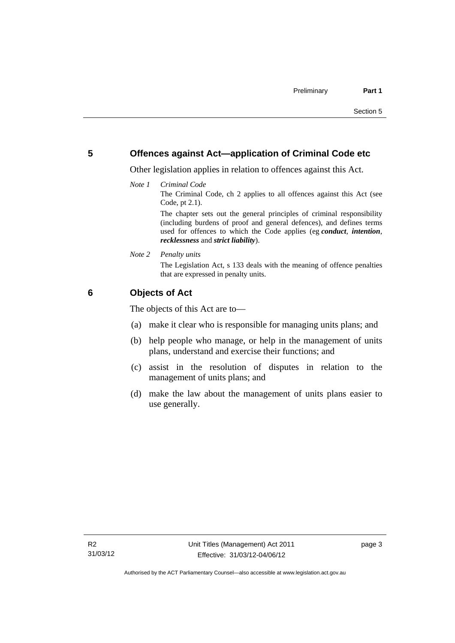#### <span id="page-14-0"></span>**5 Offences against Act—application of Criminal Code etc**

Other legislation applies in relation to offences against this Act.

*Note 1 Criminal Code*

The Criminal Code, ch 2 applies to all offences against this Act (see Code, pt 2.1).

The chapter sets out the general principles of criminal responsibility (including burdens of proof and general defences), and defines terms used for offences to which the Code applies (eg *conduct*, *intention*, *recklessness* and *strict liability*).

*Note 2 Penalty units* 

The Legislation Act, s 133 deals with the meaning of offence penalties that are expressed in penalty units.

### <span id="page-14-1"></span>**6 Objects of Act**

The objects of this Act are to—

- (a) make it clear who is responsible for managing units plans; and
- (b) help people who manage, or help in the management of units plans, understand and exercise their functions; and
- (c) assist in the resolution of disputes in relation to the management of units plans; and
- (d) make the law about the management of units plans easier to use generally.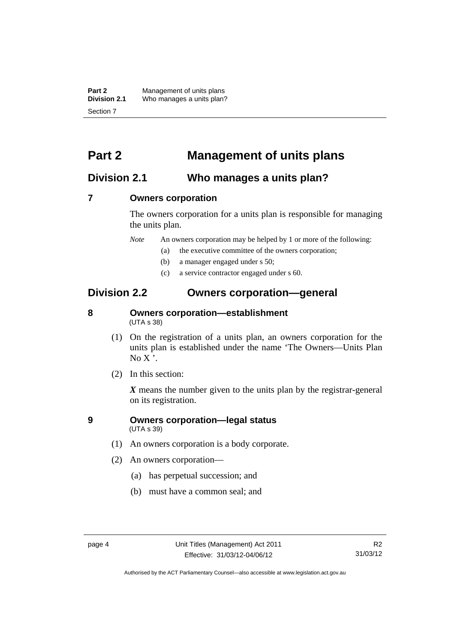**Part 2** Management of units plans<br>**Division 2.1** Who manages a units plan? Who manages a units plan? Section 7

### <span id="page-15-0"></span>**Part 2 Management of units plans**

### <span id="page-15-1"></span>**Division 2.1 Who manages a units plan?**

#### <span id="page-15-2"></span>**7 Owners corporation**

The owners corporation for a units plan is responsible for managing the units plan.

*Note* An owners corporation may be helped by 1 or more of the following:

- (a) the executive committee of the owners corporation;
- (b) a manager engaged under s 50;
- (c) a service contractor engaged under s 60.

### <span id="page-15-3"></span>**Division 2.2 Owners corporation—general**

#### <span id="page-15-4"></span>**8 Owners corporation—establishment**  (UTA s 38)

- (1) On the registration of a units plan, an owners corporation for the units plan is established under the name 'The Owners—Units Plan  $No X'.$
- (2) In this section:

*X* means the number given to the units plan by the registrar-general on its registration.

#### <span id="page-15-5"></span>**9 Owners corporation—legal status**  (UTA s 39)

- (1) An owners corporation is a body corporate.
- (2) An owners corporation—
	- (a) has perpetual succession; and
	- (b) must have a common seal; and

Authorised by the ACT Parliamentary Counsel—also accessible at www.legislation.act.gov.au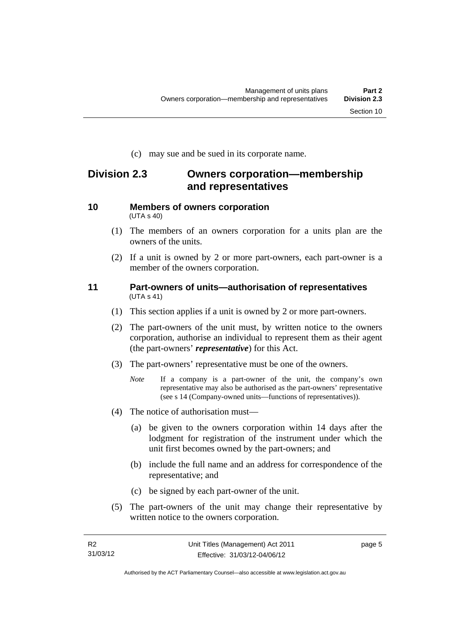(c) may sue and be sued in its corporate name.

### <span id="page-16-0"></span>**Division 2.3 Owners corporation—membership and representatives**

#### <span id="page-16-1"></span>**10 Members of owners corporation**  (UTA s 40)

- (1) The members of an owners corporation for a units plan are the owners of the units.
- (2) If a unit is owned by 2 or more part-owners, each part-owner is a member of the owners corporation.

#### <span id="page-16-2"></span>**11 Part-owners of units—authorisation of representatives**  (UTA s 41)

- (1) This section applies if a unit is owned by 2 or more part-owners.
- (2) The part-owners of the unit must, by written notice to the owners corporation, authorise an individual to represent them as their agent (the part-owners' *representative*) for this Act.
- (3) The part-owners' representative must be one of the owners.
	- *Note* If a company is a part-owner of the unit, the company's own representative may also be authorised as the part-owners' representative (see s 14 (Company-owned units—functions of representatives)).
- (4) The notice of authorisation must—
	- (a) be given to the owners corporation within 14 days after the lodgment for registration of the instrument under which the unit first becomes owned by the part-owners; and
	- (b) include the full name and an address for correspondence of the representative; and
	- (c) be signed by each part-owner of the unit.
- (5) The part-owners of the unit may change their representative by written notice to the owners corporation.

page 5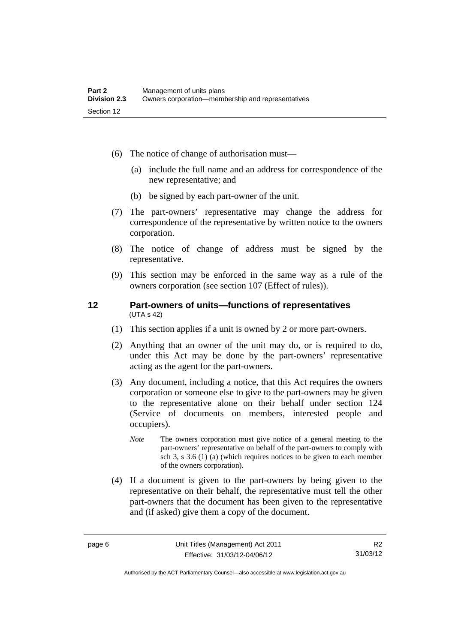- (6) The notice of change of authorisation must—
	- (a) include the full name and an address for correspondence of the new representative; and
	- (b) be signed by each part-owner of the unit.
- (7) The part-owners' representative may change the address for correspondence of the representative by written notice to the owners corporation.
- (8) The notice of change of address must be signed by the representative.
- (9) This section may be enforced in the same way as a rule of the owners corporation (see section 107 (Effect of rules)).

#### <span id="page-17-0"></span>**12 Part-owners of units—functions of representatives**  (UTA s 42)

- (1) This section applies if a unit is owned by 2 or more part-owners.
- (2) Anything that an owner of the unit may do, or is required to do, under this Act may be done by the part-owners' representative acting as the agent for the part-owners.
- (3) Any document, including a notice, that this Act requires the owners corporation or someone else to give to the part-owners may be given to the representative alone on their behalf under section 124 (Service of documents on members, interested people and occupiers).
	- *Note* The owners corporation must give notice of a general meeting to the part-owners' representative on behalf of the part-owners to comply with sch 3, s 3.6 (1) (a) (which requires notices to be given to each member of the owners corporation).
- (4) If a document is given to the part-owners by being given to the representative on their behalf, the representative must tell the other part-owners that the document has been given to the representative and (if asked) give them a copy of the document.

Authorised by the ACT Parliamentary Counsel—also accessible at www.legislation.act.gov.au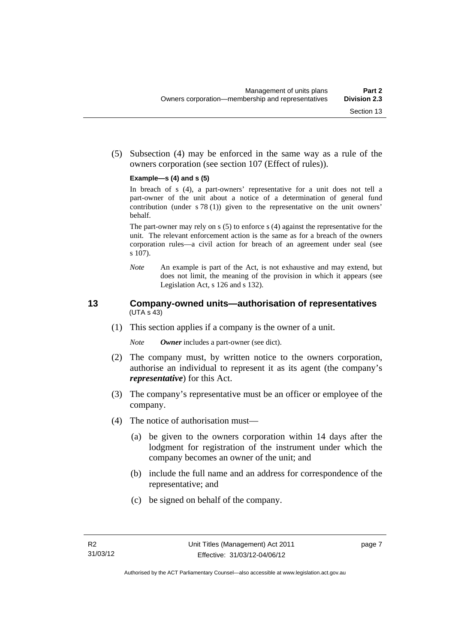(5) Subsection (4) may be enforced in the same way as a rule of the owners corporation (see section 107 (Effect of rules)).

#### **Example—s (4) and s (5)**

In breach of s (4), a part-owners' representative for a unit does not tell a part-owner of the unit about a notice of a determination of general fund contribution (under s 78 (1)) given to the representative on the unit owners' behalf.

The part-owner may rely on s (5) to enforce s (4) against the representative for the unit. The relevant enforcement action is the same as for a breach of the owners corporation rules—a civil action for breach of an agreement under seal (see s 107).

*Note* An example is part of the Act, is not exhaustive and may extend, but does not limit, the meaning of the provision in which it appears (see Legislation Act, s 126 and s 132).

#### <span id="page-18-0"></span>**13 Company-owned units—authorisation of representatives**  (UTA s 43)

(1) This section applies if a company is the owner of a unit.

*Note Owner* includes a part-owner (see dict).

- (2) The company must, by written notice to the owners corporation, authorise an individual to represent it as its agent (the company's *representative*) for this Act.
- (3) The company's representative must be an officer or employee of the company.
- (4) The notice of authorisation must—
	- (a) be given to the owners corporation within 14 days after the lodgment for registration of the instrument under which the company becomes an owner of the unit; and
	- (b) include the full name and an address for correspondence of the representative; and
	- (c) be signed on behalf of the company.

page 7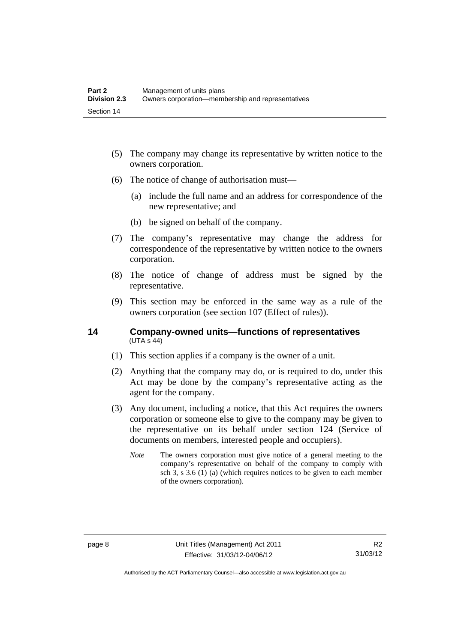- (5) The company may change its representative by written notice to the owners corporation.
- (6) The notice of change of authorisation must—
	- (a) include the full name and an address for correspondence of the new representative; and
	- (b) be signed on behalf of the company.
- (7) The company's representative may change the address for correspondence of the representative by written notice to the owners corporation.
- (8) The notice of change of address must be signed by the representative.
- (9) This section may be enforced in the same way as a rule of the owners corporation (see section 107 (Effect of rules)).

#### <span id="page-19-0"></span>**14 Company-owned units—functions of representatives**   $(UTA S 44)$

- (1) This section applies if a company is the owner of a unit.
- (2) Anything that the company may do, or is required to do, under this Act may be done by the company's representative acting as the agent for the company.
- (3) Any document, including a notice, that this Act requires the owners corporation or someone else to give to the company may be given to the representative on its behalf under section 124 (Service of documents on members, interested people and occupiers).
	- *Note* The owners corporation must give notice of a general meeting to the company's representative on behalf of the company to comply with sch 3, s 3.6 (1) (a) (which requires notices to be given to each member of the owners corporation).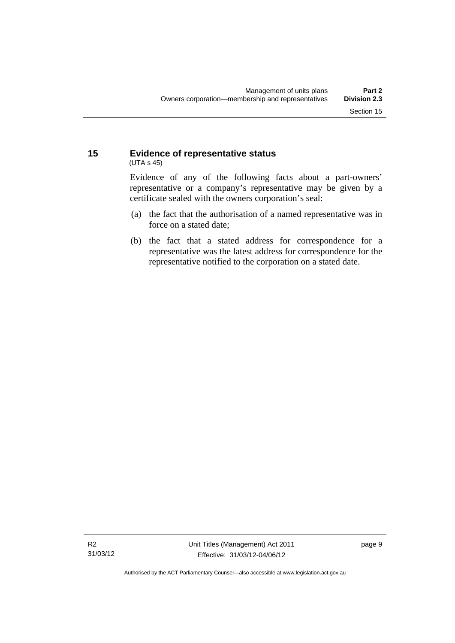#### <span id="page-20-0"></span>**15 Evidence of representative status**  (UTA s 45)

Evidence of any of the following facts about a part-owners' representative or a company's representative may be given by a certificate sealed with the owners corporation's seal:

- (a) the fact that the authorisation of a named representative was in force on a stated date;
- (b) the fact that a stated address for correspondence for a representative was the latest address for correspondence for the representative notified to the corporation on a stated date.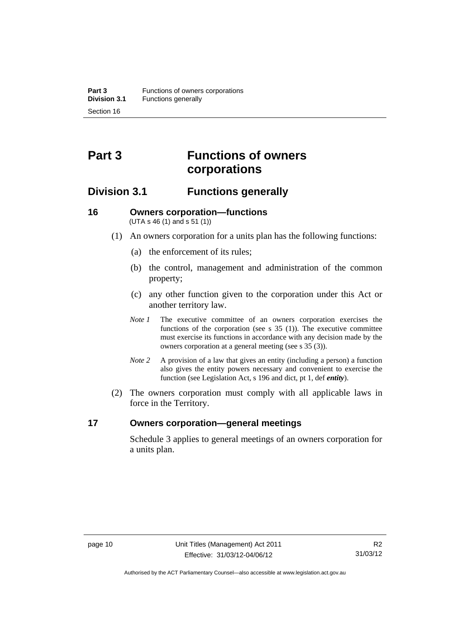## <span id="page-21-0"></span>**Part 3 Functions of owners corporations**

### <span id="page-21-1"></span>**Division 3.1 Functions generally**

#### <span id="page-21-2"></span>**16 Owners corporation—functions**  (UTA s 46 (1) and s 51 (1))

- (1) An owners corporation for a units plan has the following functions:
	- (a) the enforcement of its rules;
	- (b) the control, management and administration of the common property;
	- (c) any other function given to the corporation under this Act or another territory law.
	- *Note 1* The executive committee of an owners corporation exercises the functions of the corporation (see s 35 (1)). The executive committee must exercise its functions in accordance with any decision made by the owners corporation at a general meeting (see s 35 (3)).
	- *Note 2* A provision of a law that gives an entity (including a person) a function also gives the entity powers necessary and convenient to exercise the function (see Legislation Act, s 196 and dict, pt 1, def *entity*).
- (2) The owners corporation must comply with all applicable laws in force in the Territory.

#### <span id="page-21-3"></span>**17 Owners corporation—general meetings**

Schedule 3 applies to general meetings of an owners corporation for a units plan.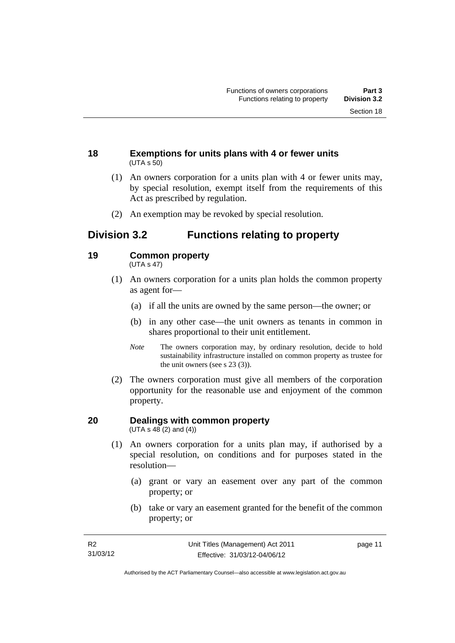#### <span id="page-22-0"></span>**18 Exemptions for units plans with 4 or fewer units**  (UTA s 50)

- (1) An owners corporation for a units plan with 4 or fewer units may, by special resolution, exempt itself from the requirements of this Act as prescribed by regulation.
- (2) An exemption may be revoked by special resolution.

### <span id="page-22-1"></span>**Division 3.2 Functions relating to property**

#### <span id="page-22-2"></span>**19 Common property**

(UTA s 47)

- (1) An owners corporation for a units plan holds the common property as agent for—
	- (a) if all the units are owned by the same person—the owner; or
	- (b) in any other case—the unit owners as tenants in common in shares proportional to their unit entitlement.
	- *Note* The owners corporation may, by ordinary resolution, decide to hold sustainability infrastructure installed on common property as trustee for the unit owners (see s 23 (3)).
- (2) The owners corporation must give all members of the corporation opportunity for the reasonable use and enjoyment of the common property.

#### <span id="page-22-3"></span>**20 Dealings with common property**  (UTA s  $48(2)$  and  $(4)$ )

- (1) An owners corporation for a units plan may, if authorised by a special resolution, on conditions and for purposes stated in the resolution—
	- (a) grant or vary an easement over any part of the common property; or
	- (b) take or vary an easement granted for the benefit of the common property; or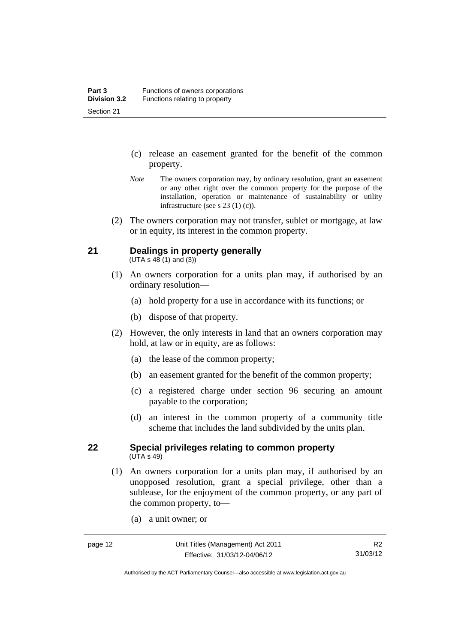- (c) release an easement granted for the benefit of the common property.
- *Note* The owners corporation may, by ordinary resolution, grant an easement or any other right over the common property for the purpose of the installation, operation or maintenance of sustainability or utility infrastructure (see s 23 (1) (c)).
- (2) The owners corporation may not transfer, sublet or mortgage, at law or in equity, its interest in the common property.

#### <span id="page-23-0"></span>**21 Dealings in property generally**

 $(UTA s 48 (1) and (3))$ 

- (1) An owners corporation for a units plan may, if authorised by an ordinary resolution—
	- (a) hold property for a use in accordance with its functions; or
	- (b) dispose of that property.
- (2) However, the only interests in land that an owners corporation may hold, at law or in equity, are as follows:
	- (a) the lease of the common property;
	- (b) an easement granted for the benefit of the common property;
	- (c) a registered charge under section 96 securing an amount payable to the corporation;
	- (d) an interest in the common property of a community title scheme that includes the land subdivided by the units plan.

#### <span id="page-23-1"></span>**22 Special privileges relating to common property**  (UTA s 49)

- (1) An owners corporation for a units plan may, if authorised by an unopposed resolution, grant a special privilege, other than a sublease, for the enjoyment of the common property, or any part of the common property, to—
	- (a) a unit owner; or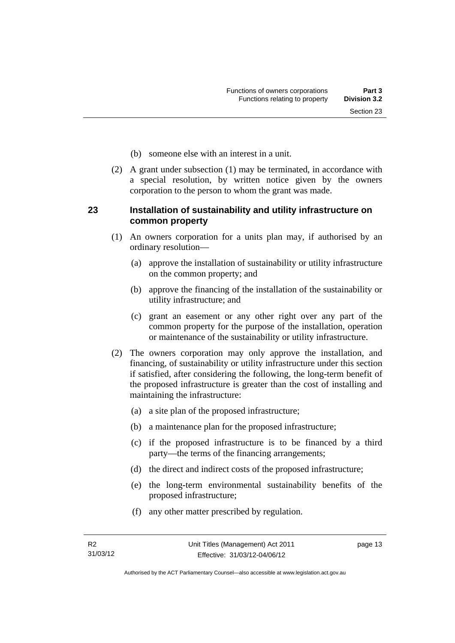- (b) someone else with an interest in a unit.
- (2) A grant under subsection (1) may be terminated, in accordance with a special resolution, by written notice given by the owners corporation to the person to whom the grant was made.

#### <span id="page-24-0"></span>**23 Installation of sustainability and utility infrastructure on common property**

- (1) An owners corporation for a units plan may, if authorised by an ordinary resolution—
	- (a) approve the installation of sustainability or utility infrastructure on the common property; and
	- (b) approve the financing of the installation of the sustainability or utility infrastructure; and
	- (c) grant an easement or any other right over any part of the common property for the purpose of the installation, operation or maintenance of the sustainability or utility infrastructure.
- (2) The owners corporation may only approve the installation, and financing, of sustainability or utility infrastructure under this section if satisfied, after considering the following, the long-term benefit of the proposed infrastructure is greater than the cost of installing and maintaining the infrastructure:
	- (a) a site plan of the proposed infrastructure;
	- (b) a maintenance plan for the proposed infrastructure;
	- (c) if the proposed infrastructure is to be financed by a third party—the terms of the financing arrangements;
	- (d) the direct and indirect costs of the proposed infrastructure;
	- (e) the long-term environmental sustainability benefits of the proposed infrastructure;
	- (f) any other matter prescribed by regulation.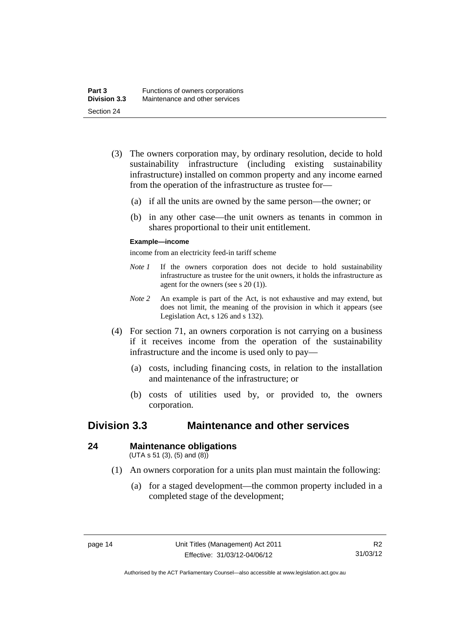- (3) The owners corporation may, by ordinary resolution, decide to hold sustainability infrastructure (including existing sustainability infrastructure) installed on common property and any income earned from the operation of the infrastructure as trustee for—
	- (a) if all the units are owned by the same person—the owner; or
	- (b) in any other case—the unit owners as tenants in common in shares proportional to their unit entitlement.

#### **Example—income**

income from an electricity feed-in tariff scheme

- *Note 1* If the owners corporation does not decide to hold sustainability infrastructure as trustee for the unit owners, it holds the infrastructure as agent for the owners (see s 20 (1)).
- *Note 2* An example is part of the Act, is not exhaustive and may extend, but does not limit, the meaning of the provision in which it appears (see Legislation Act, s 126 and s 132).
- (4) For section 71, an owners corporation is not carrying on a business if it receives income from the operation of the sustainability infrastructure and the income is used only to pay—
	- (a) costs, including financing costs, in relation to the installation and maintenance of the infrastructure; or
	- (b) costs of utilities used by, or provided to, the owners corporation.

### <span id="page-25-0"></span>**Division 3.3 Maintenance and other services**

#### <span id="page-25-1"></span>**24 Maintenance obligations**

 $(UTA s 51 (3), (5) and (8))$ 

- (1) An owners corporation for a units plan must maintain the following:
	- (a) for a staged development—the common property included in a completed stage of the development;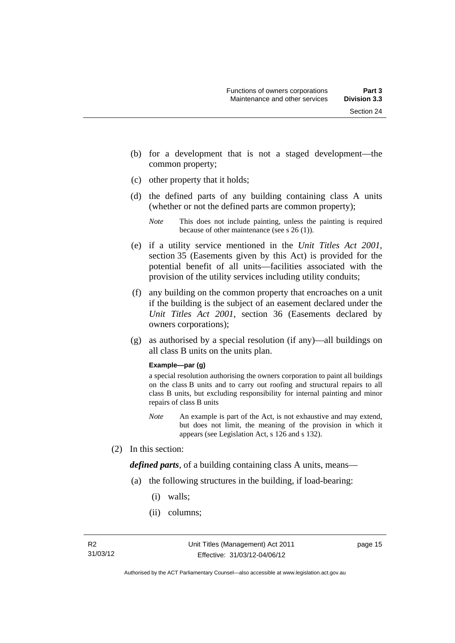- (b) for a development that is not a staged development—the common property;
- (c) other property that it holds;
- (d) the defined parts of any building containing class A units (whether or not the defined parts are common property);

- (e) if a utility service mentioned in the *Unit Titles Act 2001*, section 35 (Easements given by this Act) is provided for the potential benefit of all units—facilities associated with the provision of the utility services including utility conduits;
- (f) any building on the common property that encroaches on a unit if the building is the subject of an easement declared under the *Unit Titles Act 2001*, section 36 (Easements declared by owners corporations);
- (g) as authorised by a special resolution (if any)—all buildings on all class B units on the units plan.

#### **Example—par (g)**

a special resolution authorising the owners corporation to paint all buildings on the class B units and to carry out roofing and structural repairs to all class B units, but excluding responsibility for internal painting and minor repairs of class B units

- *Note* An example is part of the Act, is not exhaustive and may extend, but does not limit, the meaning of the provision in which it appears (see Legislation Act, s 126 and s 132).
- (2) In this section:

*defined parts*, of a building containing class A units, means—

- (a) the following structures in the building, if load-bearing:
	- (i) walls;
	- (ii) columns;

*Note* This does not include painting, unless the painting is required because of other maintenance (see s 26 (1)).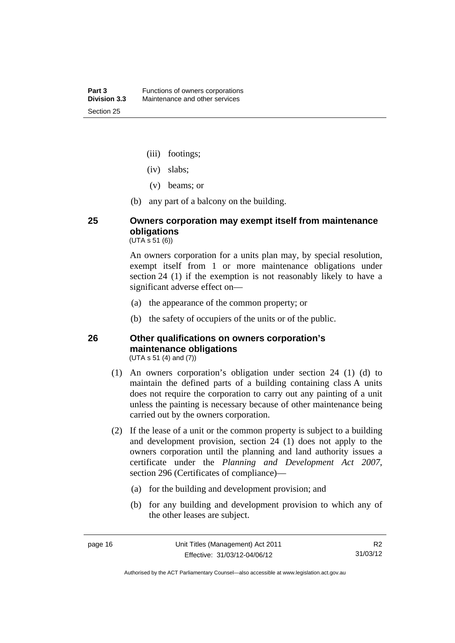- (iii) footings;
- (iv) slabs;
- (v) beams; or
- (b) any part of a balcony on the building.

### <span id="page-27-0"></span>**25 Owners corporation may exempt itself from maintenance obligations**

 $(UTA \, \bar{s} \, 51 \, (6))$ 

An owners corporation for a units plan may, by special resolution, exempt itself from 1 or more maintenance obligations under section 24 (1) if the exemption is not reasonably likely to have a significant adverse effect on—

- (a) the appearance of the common property; or
- (b) the safety of occupiers of the units or of the public.

#### <span id="page-27-1"></span>**26 Other qualifications on owners corporation's maintenance obligations**  (UTA s 51 (4) and (7))

- (1) An owners corporation's obligation under section 24 (1) (d) to maintain the defined parts of a building containing class A units does not require the corporation to carry out any painting of a unit unless the painting is necessary because of other maintenance being carried out by the owners corporation.
- (2) If the lease of a unit or the common property is subject to a building and development provision, section 24 (1) does not apply to the owners corporation until the planning and land authority issues a certificate under the *Planning and Development Act 2007*, section 296 (Certificates of compliance)—
	- (a) for the building and development provision; and
	- (b) for any building and development provision to which any of the other leases are subject.

Authorised by the ACT Parliamentary Counsel—also accessible at www.legislation.act.gov.au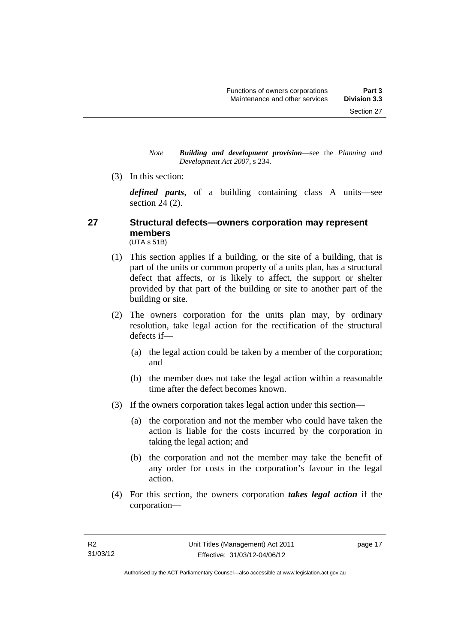*Note Building and development provision*—see the *Planning and Development Act 2007*, s 234.

(3) In this section:

*defined parts*, of a building containing class A units—see section 24 (2).

#### <span id="page-28-0"></span>**27 Structural defects—owners corporation may represent members**  (UTA s 51B)

- (1) This section applies if a building, or the site of a building, that is part of the units or common property of a units plan, has a structural defect that affects, or is likely to affect, the support or shelter provided by that part of the building or site to another part of the building or site.
- (2) The owners corporation for the units plan may, by ordinary resolution, take legal action for the rectification of the structural defects if—
	- (a) the legal action could be taken by a member of the corporation; and
	- (b) the member does not take the legal action within a reasonable time after the defect becomes known.
- (3) If the owners corporation takes legal action under this section—
	- (a) the corporation and not the member who could have taken the action is liable for the costs incurred by the corporation in taking the legal action; and
	- (b) the corporation and not the member may take the benefit of any order for costs in the corporation's favour in the legal action.
- (4) For this section, the owners corporation *takes legal action* if the corporation—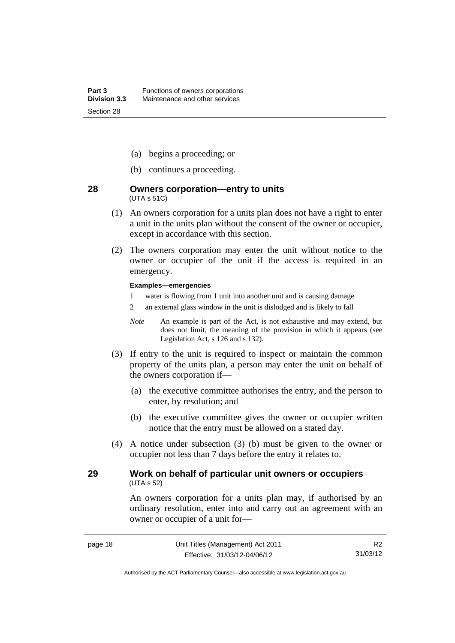- (a) begins a proceeding; or
- (b) continues a proceeding.

#### <span id="page-29-0"></span>**28 Owners corporation—entry to units**  (UTA s 51C)

- (1) An owners corporation for a units plan does not have a right to enter a unit in the units plan without the consent of the owner or occupier, except in accordance with this section.
- (2) The owners corporation may enter the unit without notice to the owner or occupier of the unit if the access is required in an emergency.

#### **Examples—emergencies**

- 1 water is flowing from 1 unit into another unit and is causing damage
- 2 an external glass window in the unit is dislodged and is likely to fall
- *Note* An example is part of the Act, is not exhaustive and may extend, but does not limit, the meaning of the provision in which it appears (see Legislation Act, s 126 and s 132).
- (3) If entry to the unit is required to inspect or maintain the common property of the units plan, a person may enter the unit on behalf of the owners corporation if—
	- (a) the executive committee authorises the entry, and the person to enter, by resolution; and
	- (b) the executive committee gives the owner or occupier written notice that the entry must be allowed on a stated day.
- (4) A notice under subsection (3) (b) must be given to the owner or occupier not less than 7 days before the entry it relates to.

#### <span id="page-29-1"></span>**29 Work on behalf of particular unit owners or occupiers**  (UTA s 52)

An owners corporation for a units plan may, if authorised by an ordinary resolution, enter into and carry out an agreement with an owner or occupier of a unit for—

Authorised by the ACT Parliamentary Counsel—also accessible at www.legislation.act.gov.au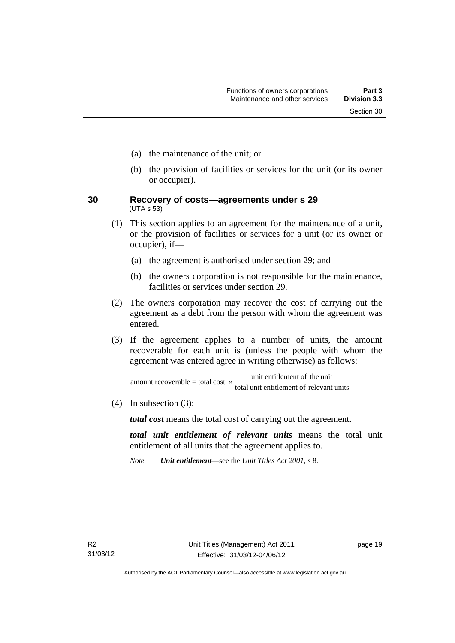- (a) the maintenance of the unit; or
- (b) the provision of facilities or services for the unit (or its owner or occupier).
- <span id="page-30-0"></span>**30 Recovery of costs—agreements under s 29**  (UTA s 53)
	- (1) This section applies to an agreement for the maintenance of a unit, or the provision of facilities or services for a unit (or its owner or occupier), if—
		- (a) the agreement is authorised under section 29; and
		- (b) the owners corporation is not responsible for the maintenance, facilities or services under section 29.
	- (2) The owners corporation may recover the cost of carrying out the agreement as a debt from the person with whom the agreement was entered.
	- (3) If the agreement applies to a number of units, the amount recoverable for each unit is (unless the people with whom the agreement was entered agree in writing otherwise) as follows:

total unit entitlement of relevant units amount recoverable = total cost  $\times$  unit entitlement of the unit

(4) In subsection (3):

*total cost* means the total cost of carrying out the agreement.

*total unit entitlement of relevant units* means the total unit entitlement of all units that the agreement applies to.

*Note Unit entitlement*—see the *Unit Titles Act 2001*, s 8.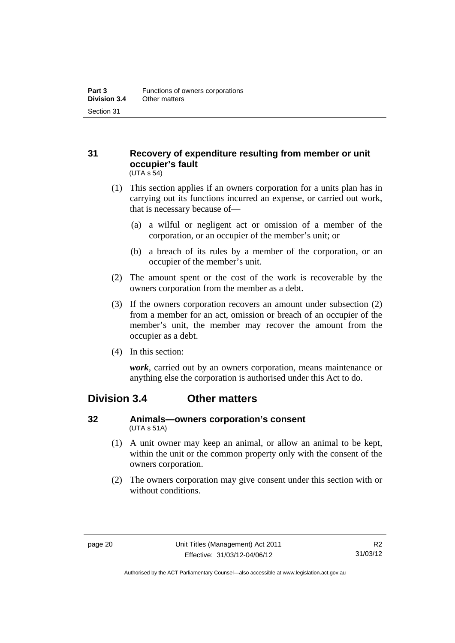#### <span id="page-31-0"></span>**31 Recovery of expenditure resulting from member or unit occupier's fault**  (UTA s 54)

- (1) This section applies if an owners corporation for a units plan has in carrying out its functions incurred an expense, or carried out work, that is necessary because of—
	- (a) a wilful or negligent act or omission of a member of the corporation, or an occupier of the member's unit; or
	- (b) a breach of its rules by a member of the corporation, or an occupier of the member's unit.
- (2) The amount spent or the cost of the work is recoverable by the owners corporation from the member as a debt.
- (3) If the owners corporation recovers an amount under subsection (2) from a member for an act, omission or breach of an occupier of the member's unit, the member may recover the amount from the occupier as a debt.
- (4) In this section:

*work*, carried out by an owners corporation, means maintenance or anything else the corporation is authorised under this Act to do.

### <span id="page-31-1"></span>**Division 3.4 Other matters**

#### <span id="page-31-2"></span>**32 Animals—owners corporation's consent**  (UTA s 51A)

- (1) A unit owner may keep an animal, or allow an animal to be kept, within the unit or the common property only with the consent of the owners corporation.
- (2) The owners corporation may give consent under this section with or without conditions.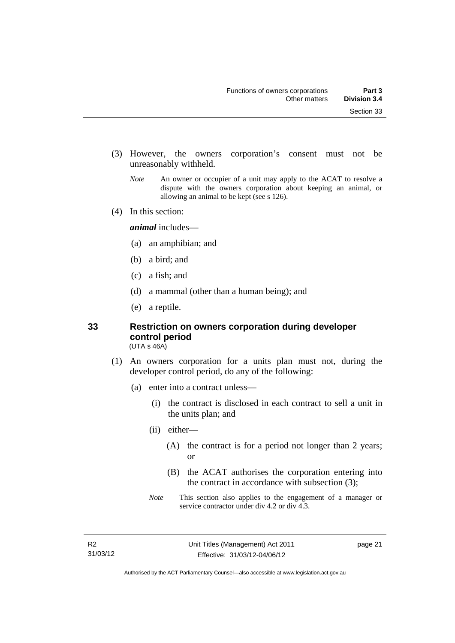- (3) However, the owners corporation's consent must not be unreasonably withheld.
	- *Note* An owner or occupier of a unit may apply to the ACAT to resolve a dispute with the owners corporation about keeping an animal, or allowing an animal to be kept (see s 126).
- (4) In this section:

*animal* includes—

- (a) an amphibian; and
- (b) a bird; and
- (c) a fish; and
- (d) a mammal (other than a human being); and
- (e) a reptile.

### <span id="page-32-0"></span>**33 Restriction on owners corporation during developer control period**

(UTA s 46A)

- (1) An owners corporation for a units plan must not, during the developer control period, do any of the following:
	- (a) enter into a contract unless—
		- (i) the contract is disclosed in each contract to sell a unit in the units plan; and
		- (ii) either—
			- (A) the contract is for a period not longer than 2 years; or
			- (B) the ACAT authorises the corporation entering into the contract in accordance with subsection (3);
		- *Note* This section also applies to the engagement of a manager or service contractor under div 4.2 or div 4.3.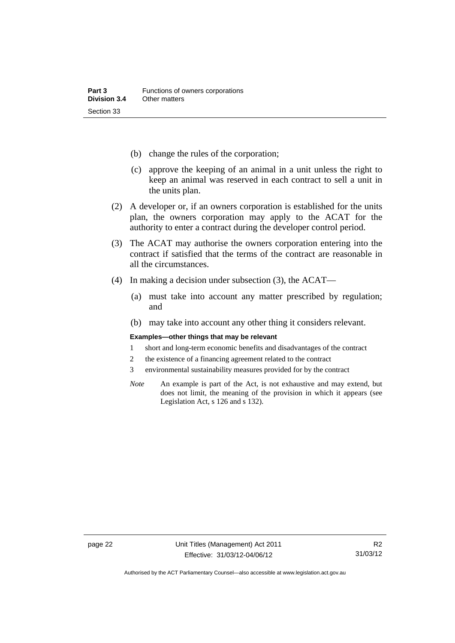- (b) change the rules of the corporation;
- (c) approve the keeping of an animal in a unit unless the right to keep an animal was reserved in each contract to sell a unit in the units plan.
- (2) A developer or, if an owners corporation is established for the units plan, the owners corporation may apply to the ACAT for the authority to enter a contract during the developer control period.
- (3) The ACAT may authorise the owners corporation entering into the contract if satisfied that the terms of the contract are reasonable in all the circumstances.
- (4) In making a decision under subsection (3), the ACAT—
	- (a) must take into account any matter prescribed by regulation; and
	- (b) may take into account any other thing it considers relevant.

#### **Examples—other things that may be relevant**

- 1 short and long-term economic benefits and disadvantages of the contract
- 2 the existence of a financing agreement related to the contract
- 3 environmental sustainability measures provided for by the contract
- *Note* An example is part of the Act, is not exhaustive and may extend, but does not limit, the meaning of the provision in which it appears (see Legislation Act, s 126 and s 132).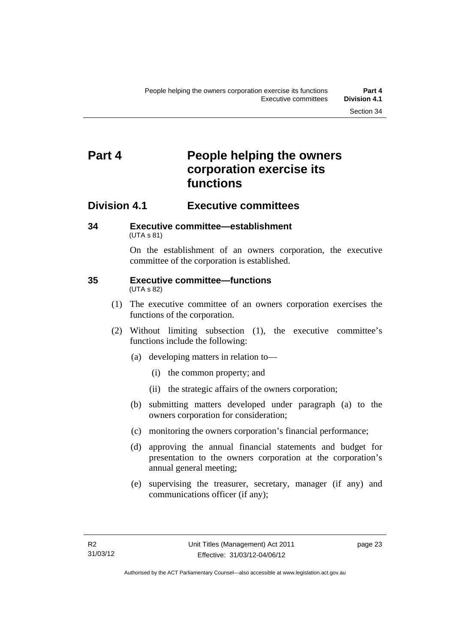## <span id="page-34-0"></span>**Part 4 People helping the owners corporation exercise its functions**

### <span id="page-34-1"></span>**Division 4.1 Executive committees**

#### <span id="page-34-2"></span>**34 Executive committee—establishment**  (UTA s 81)

On the establishment of an owners corporation, the executive committee of the corporation is established.

#### <span id="page-34-3"></span>**35 Executive committee—functions**  (UTA s 82)

- (1) The executive committee of an owners corporation exercises the functions of the corporation.
- (2) Without limiting subsection (1), the executive committee's functions include the following:
	- (a) developing matters in relation to—
		- (i) the common property; and
		- (ii) the strategic affairs of the owners corporation;
	- (b) submitting matters developed under paragraph (a) to the owners corporation for consideration;
	- (c) monitoring the owners corporation's financial performance;
	- (d) approving the annual financial statements and budget for presentation to the owners corporation at the corporation's annual general meeting;
	- (e) supervising the treasurer, secretary, manager (if any) and communications officer (if any);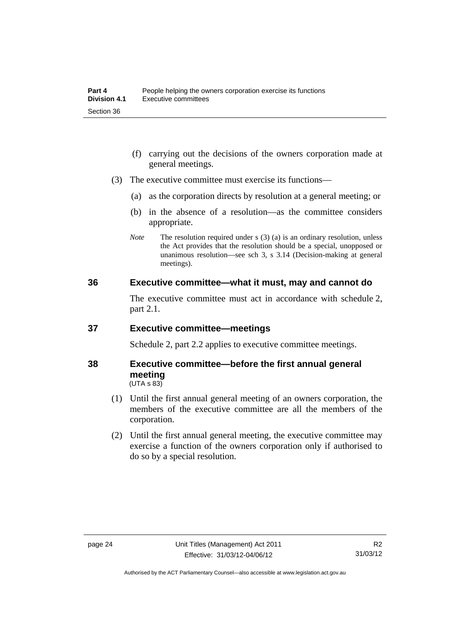- (f) carrying out the decisions of the owners corporation made at general meetings.
- (3) The executive committee must exercise its functions—
	- (a) as the corporation directs by resolution at a general meeting; or
	- (b) in the absence of a resolution—as the committee considers appropriate.
	- *Note* The resolution required under s (3) (a) is an ordinary resolution, unless the Act provides that the resolution should be a special, unopposed or unanimous resolution—see sch 3, s 3.14 (Decision-making at general meetings).

#### <span id="page-35-0"></span>**36 Executive committee—what it must, may and cannot do**

The executive committee must act in accordance with schedule 2, part 2.1.

#### <span id="page-35-1"></span>**37 Executive committee—meetings**

Schedule 2, part 2.2 applies to executive committee meetings.

#### <span id="page-35-2"></span>**38 Executive committee—before the first annual general meeting**   $(UTA S 83)$

- (1) Until the first annual general meeting of an owners corporation, the members of the executive committee are all the members of the corporation.
- (2) Until the first annual general meeting, the executive committee may exercise a function of the owners corporation only if authorised to do so by a special resolution.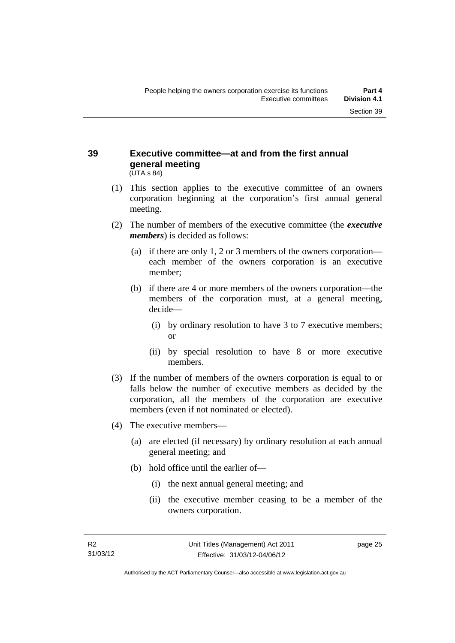#### **39 Executive committee—at and from the first annual general meeting**  (UTA s 84)

- (1) This section applies to the executive committee of an owners corporation beginning at the corporation's first annual general meeting.
- (2) The number of members of the executive committee (the *executive members*) is decided as follows:
	- (a) if there are only 1, 2 or 3 members of the owners corporation each member of the owners corporation is an executive member;
	- (b) if there are 4 or more members of the owners corporation—the members of the corporation must, at a general meeting, decide—
		- (i) by ordinary resolution to have 3 to 7 executive members; or
		- (ii) by special resolution to have 8 or more executive members.
- (3) If the number of members of the owners corporation is equal to or falls below the number of executive members as decided by the corporation, all the members of the corporation are executive members (even if not nominated or elected).
- (4) The executive members—
	- (a) are elected (if necessary) by ordinary resolution at each annual general meeting; and
	- (b) hold office until the earlier of—
		- (i) the next annual general meeting; and
		- (ii) the executive member ceasing to be a member of the owners corporation.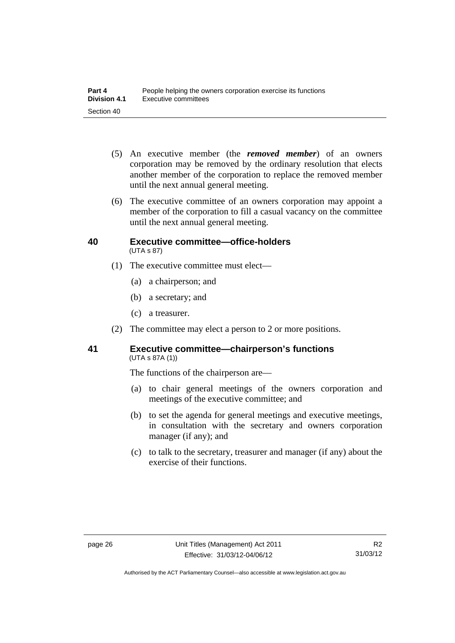- (5) An executive member (the *removed member*) of an owners corporation may be removed by the ordinary resolution that elects another member of the corporation to replace the removed member until the next annual general meeting.
- (6) The executive committee of an owners corporation may appoint a member of the corporation to fill a casual vacancy on the committee until the next annual general meeting.

#### **40 Executive committee—office-holders**  (UTA s 87)

- (1) The executive committee must elect—
	- (a) a chairperson; and
	- (b) a secretary; and
	- (c) a treasurer.
- (2) The committee may elect a person to 2 or more positions.

#### **41 Executive committee—chairperson's functions**  (UTA s 87A (1))

The functions of the chairperson are—

- (a) to chair general meetings of the owners corporation and meetings of the executive committee; and
- (b) to set the agenda for general meetings and executive meetings, in consultation with the secretary and owners corporation manager (if any); and
- (c) to talk to the secretary, treasurer and manager (if any) about the exercise of their functions.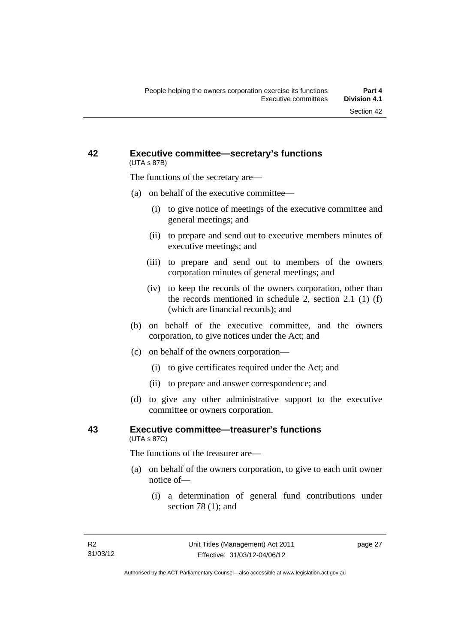#### **42 Executive committee—secretary's functions**  (UTA s 87B)

The functions of the secretary are—

- (a) on behalf of the executive committee—
	- (i) to give notice of meetings of the executive committee and general meetings; and
	- (ii) to prepare and send out to executive members minutes of executive meetings; and
	- (iii) to prepare and send out to members of the owners corporation minutes of general meetings; and
	- (iv) to keep the records of the owners corporation, other than the records mentioned in schedule 2, section 2.1 (1) (f) (which are financial records); and
- (b) on behalf of the executive committee, and the owners corporation, to give notices under the Act; and
- (c) on behalf of the owners corporation—
	- (i) to give certificates required under the Act; and
	- (ii) to prepare and answer correspondence; and
- (d) to give any other administrative support to the executive committee or owners corporation.

#### **43 Executive committee—treasurer's functions**  (UTA s 87C)

The functions of the treasurer are—

- (a) on behalf of the owners corporation, to give to each unit owner notice of—
	- (i) a determination of general fund contributions under section 78 (1); and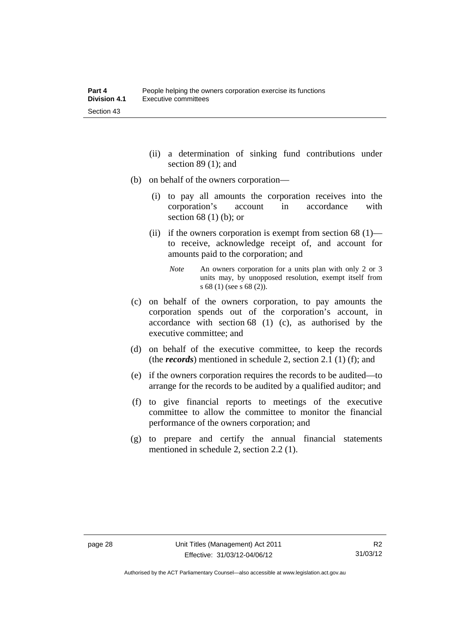- (ii) a determination of sinking fund contributions under section 89 (1); and
- (b) on behalf of the owners corporation—
	- (i) to pay all amounts the corporation receives into the corporation's account in accordance with section 68 (1) (b); or
	- (ii) if the owners corporation is exempt from section  $68(1)$  to receive, acknowledge receipt of, and account for amounts paid to the corporation; and
		- *Note* An owners corporation for a units plan with only 2 or 3 units may, by unopposed resolution, exempt itself from s 68 (1) (see s 68 (2)).
- (c) on behalf of the owners corporation, to pay amounts the corporation spends out of the corporation's account, in accordance with section 68 (1) (c), as authorised by the executive committee; and
- (d) on behalf of the executive committee, to keep the records (the *records*) mentioned in schedule 2, section 2.1 (1) (f); and
- (e) if the owners corporation requires the records to be audited—to arrange for the records to be audited by a qualified auditor; and
- (f) to give financial reports to meetings of the executive committee to allow the committee to monitor the financial performance of the owners corporation; and
- (g) to prepare and certify the annual financial statements mentioned in schedule 2, section 2.2 (1).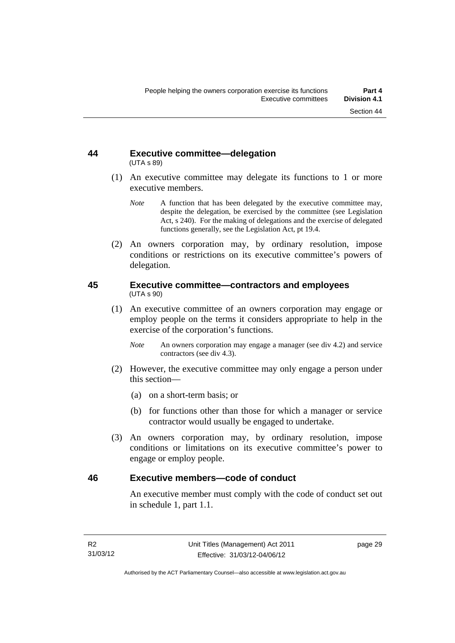#### **44 Executive committee—delegation**  (UTA s 89)

- (1) An executive committee may delegate its functions to 1 or more executive members.
	- *Note* A function that has been delegated by the executive committee may, despite the delegation, be exercised by the committee (see Legislation Act, s 240). For the making of delegations and the exercise of delegated functions generally, see the Legislation Act, pt 19.4.
- (2) An owners corporation may, by ordinary resolution, impose conditions or restrictions on its executive committee's powers of delegation.

#### **45 Executive committee—contractors and employees**  (UTA s 90)

- (1) An executive committee of an owners corporation may engage or employ people on the terms it considers appropriate to help in the exercise of the corporation's functions.
	- *Note* An owners corporation may engage a manager (see div 4.2) and service contractors (see div 4.3).
- (2) However, the executive committee may only engage a person under this section—
	- (a) on a short-term basis; or
	- (b) for functions other than those for which a manager or service contractor would usually be engaged to undertake.
- (3) An owners corporation may, by ordinary resolution, impose conditions or limitations on its executive committee's power to engage or employ people.

#### **46 Executive members—code of conduct**

An executive member must comply with the code of conduct set out in schedule 1, part 1.1.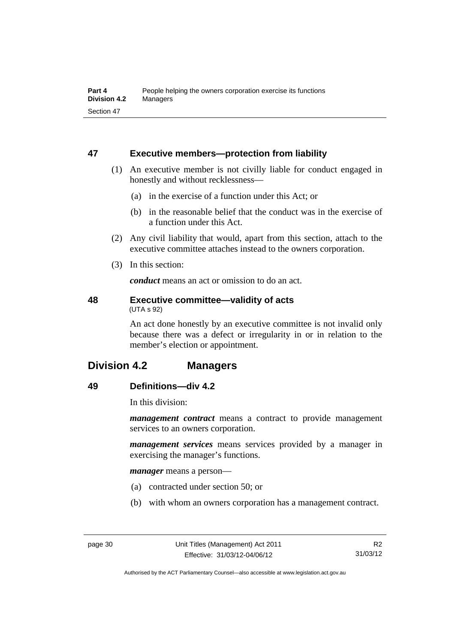### **47 Executive members—protection from liability**

- (1) An executive member is not civilly liable for conduct engaged in honestly and without recklessness—
	- (a) in the exercise of a function under this Act; or
	- (b) in the reasonable belief that the conduct was in the exercise of a function under this Act.
- (2) Any civil liability that would, apart from this section, attach to the executive committee attaches instead to the owners corporation.
- (3) In this section:

*conduct* means an act or omission to do an act.

#### **48 Executive committee—validity of acts**  (UTA s 92)

An act done honestly by an executive committee is not invalid only because there was a defect or irregularity in or in relation to the member's election or appointment.

### **Division 4.2 Managers**

### **49 Definitions—div 4.2**

In this division:

*management contract* means a contract to provide management services to an owners corporation.

*management services* means services provided by a manager in exercising the manager's functions.

*manager* means a person—

- (a) contracted under section 50; or
- (b) with whom an owners corporation has a management contract.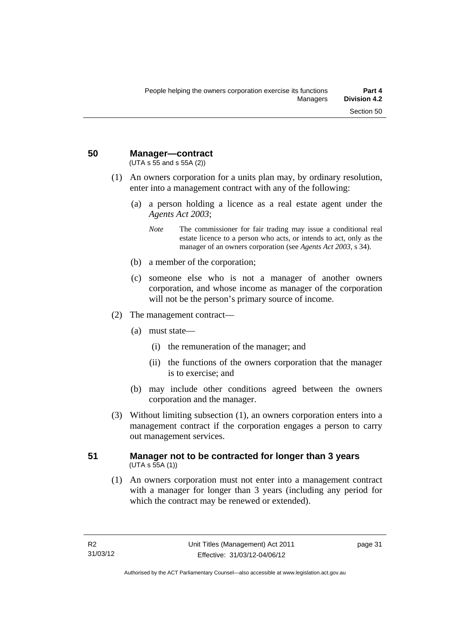**50 Manager—contract** 

(UTA s 55 and s 55A (2))

- (1) An owners corporation for a units plan may, by ordinary resolution, enter into a management contract with any of the following:
	- (a) a person holding a licence as a real estate agent under the *Agents Act 2003*;
		- *Note* The commissioner for fair trading may issue a conditional real estate licence to a person who acts, or intends to act, only as the manager of an owners corporation (see *Agents Act 2003*, s 34).
	- (b) a member of the corporation;
	- (c) someone else who is not a manager of another owners corporation, and whose income as manager of the corporation will not be the person's primary source of income.
- (2) The management contract—
	- (a) must state—
		- (i) the remuneration of the manager; and
		- (ii) the functions of the owners corporation that the manager is to exercise; and
	- (b) may include other conditions agreed between the owners corporation and the manager.
- (3) Without limiting subsection (1), an owners corporation enters into a management contract if the corporation engages a person to carry out management services.

#### **51 Manager not to be contracted for longer than 3 years**   $(UTA S 55A (1))$

 (1) An owners corporation must not enter into a management contract with a manager for longer than 3 years (including any period for which the contract may be renewed or extended).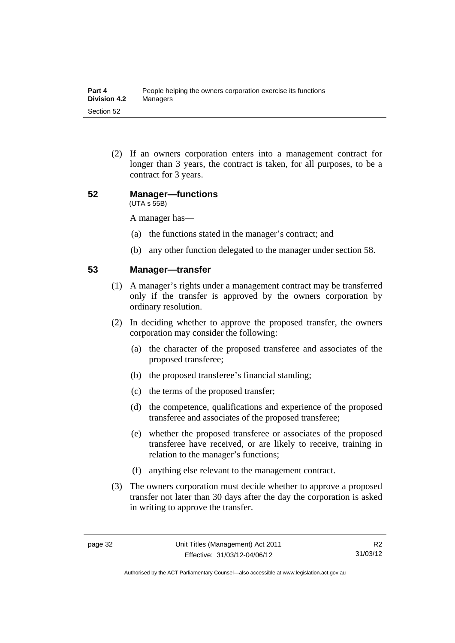(2) If an owners corporation enters into a management contract for longer than 3 years, the contract is taken, for all purposes, to be a contract for 3 years.

#### **52 Manager—functions**  (UTA s 55B)

A manager has—

- (a) the functions stated in the manager's contract; and
- (b) any other function delegated to the manager under section 58.

#### **53 Manager—transfer**

- (1) A manager's rights under a management contract may be transferred only if the transfer is approved by the owners corporation by ordinary resolution.
- (2) In deciding whether to approve the proposed transfer, the owners corporation may consider the following:
	- (a) the character of the proposed transferee and associates of the proposed transferee;
	- (b) the proposed transferee's financial standing;
	- (c) the terms of the proposed transfer;
	- (d) the competence, qualifications and experience of the proposed transferee and associates of the proposed transferee;
	- (e) whether the proposed transferee or associates of the proposed transferee have received, or are likely to receive, training in relation to the manager's functions;
	- (f) anything else relevant to the management contract.
- (3) The owners corporation must decide whether to approve a proposed transfer not later than 30 days after the day the corporation is asked in writing to approve the transfer.

Authorised by the ACT Parliamentary Counsel—also accessible at www.legislation.act.gov.au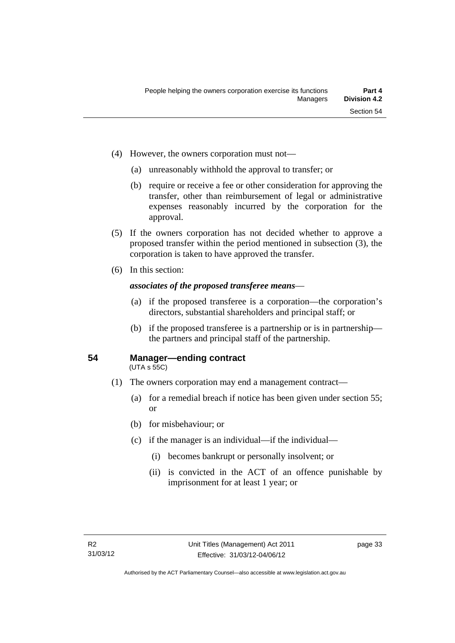- (4) However, the owners corporation must not—
	- (a) unreasonably withhold the approval to transfer; or
	- (b) require or receive a fee or other consideration for approving the transfer, other than reimbursement of legal or administrative expenses reasonably incurred by the corporation for the approval.
- (5) If the owners corporation has not decided whether to approve a proposed transfer within the period mentioned in subsection (3), the corporation is taken to have approved the transfer.
- (6) In this section:

#### *associates of the proposed transferee means*—

- (a) if the proposed transferee is a corporation—the corporation's directors, substantial shareholders and principal staff; or
- (b) if the proposed transferee is a partnership or is in partnership the partners and principal staff of the partnership.

#### **54 Manager—ending contract**

(UTA s 55C)

- (1) The owners corporation may end a management contract—
	- (a) for a remedial breach if notice has been given under section 55; or
	- (b) for misbehaviour; or
	- (c) if the manager is an individual—if the individual—
		- (i) becomes bankrupt or personally insolvent; or
		- (ii) is convicted in the ACT of an offence punishable by imprisonment for at least 1 year; or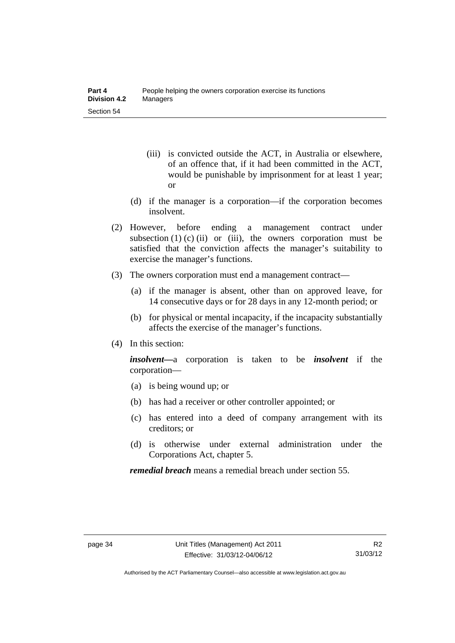- (iii) is convicted outside the ACT, in Australia or elsewhere, of an offence that, if it had been committed in the ACT, would be punishable by imprisonment for at least 1 year; or
- (d) if the manager is a corporation—if the corporation becomes insolvent.
- (2) However, before ending a management contract under subsection  $(1)$   $(c)$   $(ii)$  or  $(iii)$ , the owners corporation must be satisfied that the conviction affects the manager's suitability to exercise the manager's functions.
- (3) The owners corporation must end a management contract—
	- (a) if the manager is absent, other than on approved leave, for 14 consecutive days or for 28 days in any 12-month period; or
	- (b) for physical or mental incapacity, if the incapacity substantially affects the exercise of the manager's functions.
- (4) In this section:

*insolvent—*a corporation is taken to be *insolvent* if the corporation—

- (a) is being wound up; or
- (b) has had a receiver or other controller appointed; or
- (c) has entered into a deed of company arrangement with its creditors; or
- (d) is otherwise under external administration under the Corporations Act, chapter 5.

*remedial breach* means a remedial breach under section 55.

Authorised by the ACT Parliamentary Counsel—also accessible at www.legislation.act.gov.au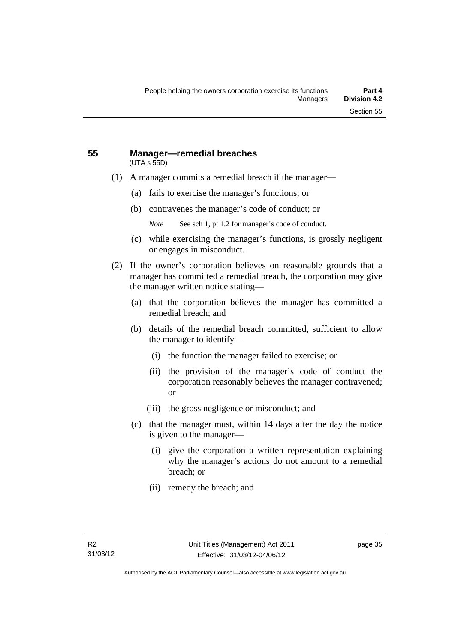#### **55 Manager—remedial breaches**  (UTA s 55D)

- (1) A manager commits a remedial breach if the manager—
	- (a) fails to exercise the manager's functions; or
	- (b) contravenes the manager's code of conduct; or
		- *Note* See sch 1, pt 1.2 for manager's code of conduct.
	- (c) while exercising the manager's functions, is grossly negligent or engages in misconduct.
- (2) If the owner's corporation believes on reasonable grounds that a manager has committed a remedial breach, the corporation may give the manager written notice stating—
	- (a) that the corporation believes the manager has committed a remedial breach; and
	- (b) details of the remedial breach committed, sufficient to allow the manager to identify—
		- (i) the function the manager failed to exercise; or
		- (ii) the provision of the manager's code of conduct the corporation reasonably believes the manager contravened; or
		- (iii) the gross negligence or misconduct; and
	- (c) that the manager must, within 14 days after the day the notice is given to the manager—
		- (i) give the corporation a written representation explaining why the manager's actions do not amount to a remedial breach; or
		- (ii) remedy the breach; and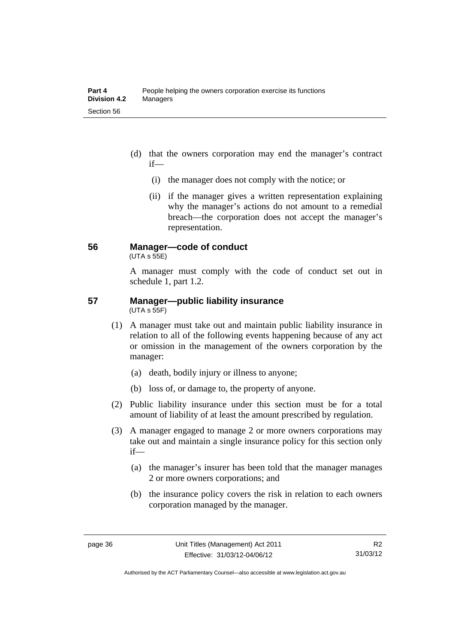- (d) that the owners corporation may end the manager's contract if—
	- (i) the manager does not comply with the notice; or
	- (ii) if the manager gives a written representation explaining why the manager's actions do not amount to a remedial breach—the corporation does not accept the manager's representation.

#### **56 Manager—code of conduct**

 $(UTA s 55E)$ 

A manager must comply with the code of conduct set out in schedule 1, part 1.2.

#### **57 Manager—public liability insurance**  (UTA s 55F)

- (1) A manager must take out and maintain public liability insurance in relation to all of the following events happening because of any act or omission in the management of the owners corporation by the manager:
	- (a) death, bodily injury or illness to anyone;
	- (b) loss of, or damage to, the property of anyone.
- (2) Public liability insurance under this section must be for a total amount of liability of at least the amount prescribed by regulation.
- (3) A manager engaged to manage 2 or more owners corporations may take out and maintain a single insurance policy for this section only if—
	- (a) the manager's insurer has been told that the manager manages 2 or more owners corporations; and
	- (b) the insurance policy covers the risk in relation to each owners corporation managed by the manager.

Authorised by the ACT Parliamentary Counsel—also accessible at www.legislation.act.gov.au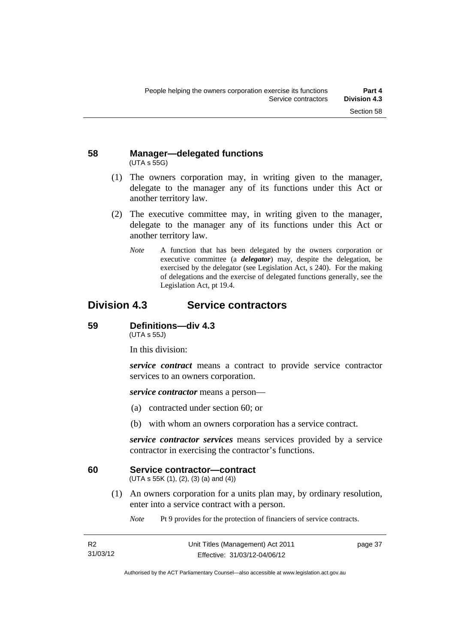#### **58 Manager—delegated functions**  (UTA s 55G)

- (1) The owners corporation may, in writing given to the manager, delegate to the manager any of its functions under this Act or another territory law.
- (2) The executive committee may, in writing given to the manager, delegate to the manager any of its functions under this Act or another territory law.
	- *Note* A function that has been delegated by the owners corporation or executive committee (a *delegator*) may, despite the delegation, be exercised by the delegator (see Legislation Act, s 240). For the making of delegations and the exercise of delegated functions generally, see the Legislation Act, pt 19.4.

### **Division 4.3 Service contractors**

#### **59 Definitions—div 4.3**

(UTA s 55J)

In this division:

*service contract* means a contract to provide service contractor services to an owners corporation.

*service contractor* means a person—

- (a) contracted under section 60; or
- (b) with whom an owners corporation has a service contract.

*service contractor services* means services provided by a service contractor in exercising the contractor's functions.

#### **60 Service contractor—contract**

(UTA s 55K (1), (2), (3) (a) and (4))

 (1) An owners corporation for a units plan may, by ordinary resolution, enter into a service contract with a person.

*Note* Pt 9 provides for the protection of financiers of service contracts.

| R <sub>2</sub> | Unit Titles (Management) Act 2011 | page 37 |
|----------------|-----------------------------------|---------|
| 31/03/12       | Effective: 31/03/12-04/06/12      |         |

Authorised by the ACT Parliamentary Counsel—also accessible at www.legislation.act.gov.au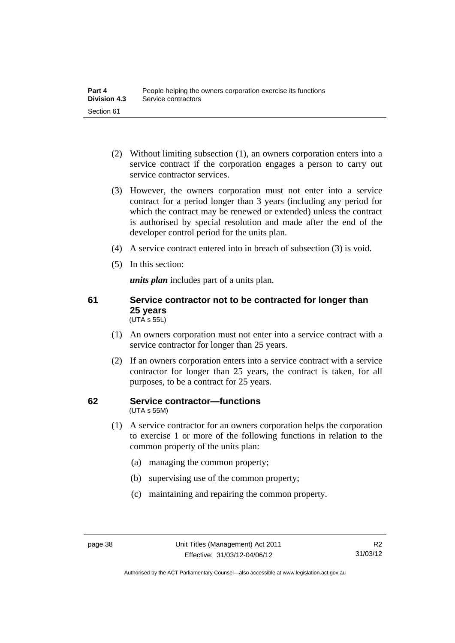- (2) Without limiting subsection (1), an owners corporation enters into a service contract if the corporation engages a person to carry out service contractor services.
- (3) However, the owners corporation must not enter into a service contract for a period longer than 3 years (including any period for which the contract may be renewed or extended) unless the contract is authorised by special resolution and made after the end of the developer control period for the units plan.
- (4) A service contract entered into in breach of subsection (3) is void.
- (5) In this section:

*units plan* includes part of a units plan.

#### **61 Service contractor not to be contracted for longer than 25 years**  (UTA s 55L)

- (1) An owners corporation must not enter into a service contract with a service contractor for longer than 25 years.
- (2) If an owners corporation enters into a service contract with a service contractor for longer than 25 years, the contract is taken, for all purposes, to be a contract for 25 years.

#### **62 Service contractor—functions**  (UTA s 55M)

- (1) A service contractor for an owners corporation helps the corporation to exercise 1 or more of the following functions in relation to the common property of the units plan:
	- (a) managing the common property;
	- (b) supervising use of the common property;
	- (c) maintaining and repairing the common property.

Authorised by the ACT Parliamentary Counsel—also accessible at www.legislation.act.gov.au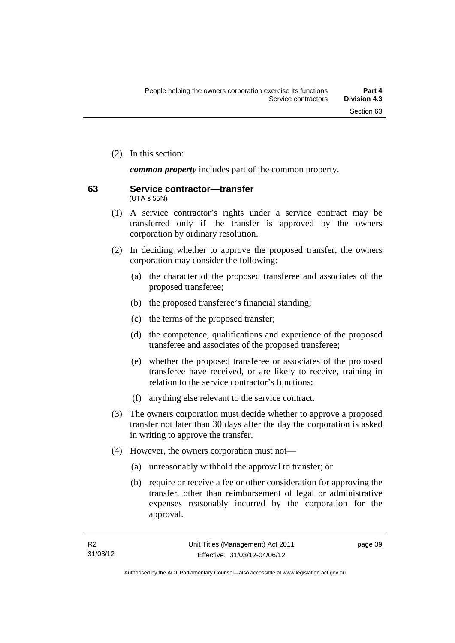(2) In this section:

*common property* includes part of the common property.

#### **63 Service contractor—transfer**  (UTA s 55N)

- (1) A service contractor's rights under a service contract may be transferred only if the transfer is approved by the owners corporation by ordinary resolution.
- (2) In deciding whether to approve the proposed transfer, the owners corporation may consider the following:
	- (a) the character of the proposed transferee and associates of the proposed transferee;
	- (b) the proposed transferee's financial standing;
	- (c) the terms of the proposed transfer;
	- (d) the competence, qualifications and experience of the proposed transferee and associates of the proposed transferee;
	- (e) whether the proposed transferee or associates of the proposed transferee have received, or are likely to receive, training in relation to the service contractor's functions;
	- (f) anything else relevant to the service contract.
- (3) The owners corporation must decide whether to approve a proposed transfer not later than 30 days after the day the corporation is asked in writing to approve the transfer.
- (4) However, the owners corporation must not—
	- (a) unreasonably withhold the approval to transfer; or
	- (b) require or receive a fee or other consideration for approving the transfer, other than reimbursement of legal or administrative expenses reasonably incurred by the corporation for the approval.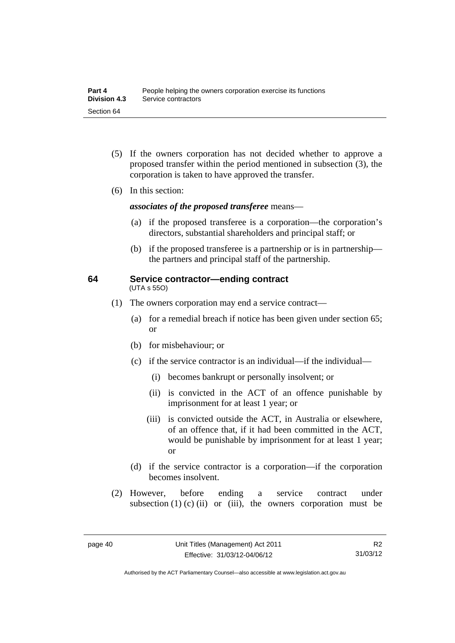- (5) If the owners corporation has not decided whether to approve a proposed transfer within the period mentioned in subsection (3), the corporation is taken to have approved the transfer.
- (6) In this section:

*associates of the proposed transferee* means—

- (a) if the proposed transferee is a corporation—the corporation's directors, substantial shareholders and principal staff; or
- (b) if the proposed transferee is a partnership or is in partnership the partners and principal staff of the partnership.

#### **64 Service contractor—ending contract**  (UTA s 55O)

- (1) The owners corporation may end a service contract—
	- (a) for a remedial breach if notice has been given under section 65; or
	- (b) for misbehaviour; or
	- (c) if the service contractor is an individual—if the individual—
		- (i) becomes bankrupt or personally insolvent; or
		- (ii) is convicted in the ACT of an offence punishable by imprisonment for at least 1 year; or
		- (iii) is convicted outside the ACT, in Australia or elsewhere, of an offence that, if it had been committed in the ACT, would be punishable by imprisonment for at least 1 year; or
	- (d) if the service contractor is a corporation—if the corporation becomes insolvent.
- (2) However, before ending a service contract under subsection  $(1)$   $(c)$   $(ii)$  or  $(iii)$ , the owners corporation must be

R2 31/03/12

Authorised by the ACT Parliamentary Counsel—also accessible at www.legislation.act.gov.au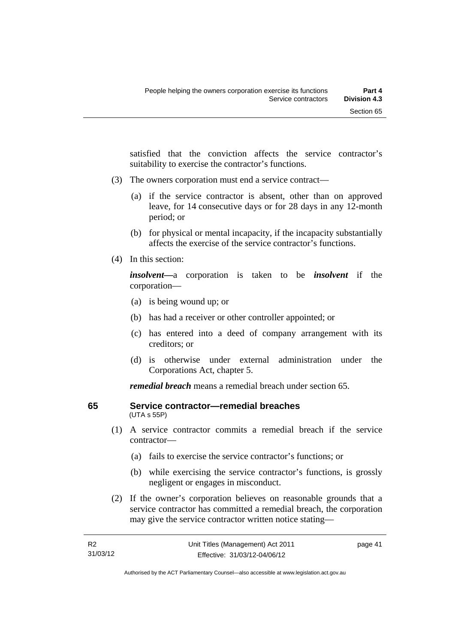satisfied that the conviction affects the service contractor's suitability to exercise the contractor's functions.

- (3) The owners corporation must end a service contract—
	- (a) if the service contractor is absent, other than on approved leave, for 14 consecutive days or for 28 days in any 12-month period; or
	- (b) for physical or mental incapacity, if the incapacity substantially affects the exercise of the service contractor's functions.
- (4) In this section:

*insolvent—*a corporation is taken to be *insolvent* if the corporation—

- (a) is being wound up; or
- (b) has had a receiver or other controller appointed; or
- (c) has entered into a deed of company arrangement with its creditors; or
- (d) is otherwise under external administration under the Corporations Act, chapter 5.

*remedial breach* means a remedial breach under section 65.

#### **65 Service contractor—remedial breaches**  (UTA s 55P)

- (1) A service contractor commits a remedial breach if the service contractor—
	- (a) fails to exercise the service contractor's functions; or
	- (b) while exercising the service contractor's functions, is grossly negligent or engages in misconduct.
- (2) If the owner's corporation believes on reasonable grounds that a service contractor has committed a remedial breach, the corporation may give the service contractor written notice stating—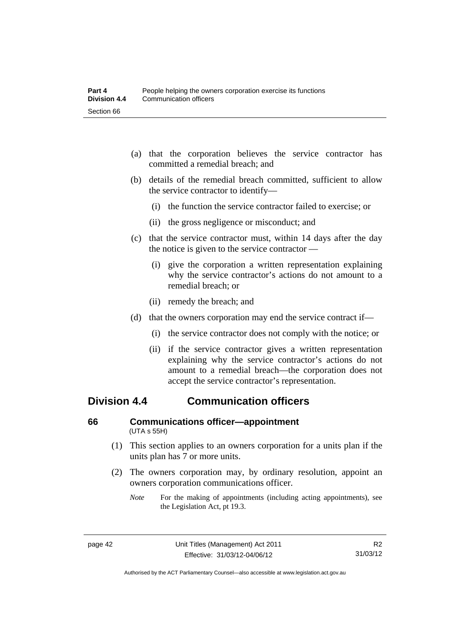- (a) that the corporation believes the service contractor has committed a remedial breach; and
- (b) details of the remedial breach committed, sufficient to allow the service contractor to identify—
	- (i) the function the service contractor failed to exercise; or
	- (ii) the gross negligence or misconduct; and
- (c) that the service contractor must, within 14 days after the day the notice is given to the service contractor —
	- (i) give the corporation a written representation explaining why the service contractor's actions do not amount to a remedial breach; or
	- (ii) remedy the breach; and
- (d) that the owners corporation may end the service contract if—
	- (i) the service contractor does not comply with the notice; or
	- (ii) if the service contractor gives a written representation explaining why the service contractor's actions do not amount to a remedial breach—the corporation does not accept the service contractor's representation.

### **Division 4.4 Communication officers**

#### **66 Communications officer—appointment**  (UTA s 55H)

- (1) This section applies to an owners corporation for a units plan if the units plan has 7 or more units.
- (2) The owners corporation may, by ordinary resolution, appoint an owners corporation communications officer.
	- *Note* For the making of appointments (including acting appointments), see the Legislation Act, pt 19.3.

Authorised by the ACT Parliamentary Counsel—also accessible at www.legislation.act.gov.au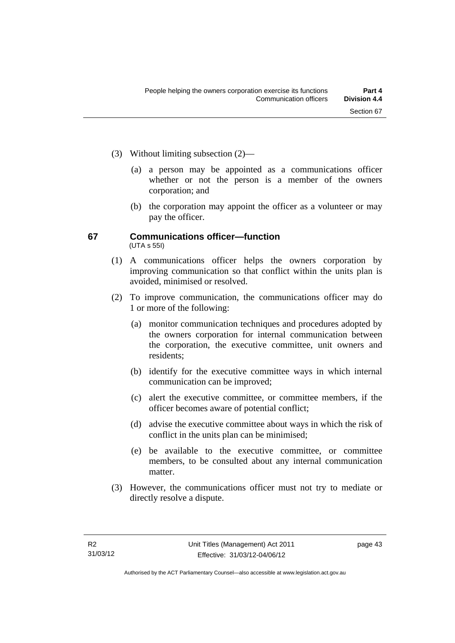- (3) Without limiting subsection (2)—
	- (a) a person may be appointed as a communications officer whether or not the person is a member of the owners corporation; and
	- (b) the corporation may appoint the officer as a volunteer or may pay the officer.

#### **67 Communications officer—function**  (UTA s 55I)

- (1) A communications officer helps the owners corporation by improving communication so that conflict within the units plan is avoided, minimised or resolved.
- (2) To improve communication, the communications officer may do 1 or more of the following:
	- (a) monitor communication techniques and procedures adopted by the owners corporation for internal communication between the corporation, the executive committee, unit owners and residents;
	- (b) identify for the executive committee ways in which internal communication can be improved;
	- (c) alert the executive committee, or committee members, if the officer becomes aware of potential conflict;
	- (d) advise the executive committee about ways in which the risk of conflict in the units plan can be minimised;
	- (e) be available to the executive committee, or committee members, to be consulted about any internal communication matter.
- (3) However, the communications officer must not try to mediate or directly resolve a dispute.

page 43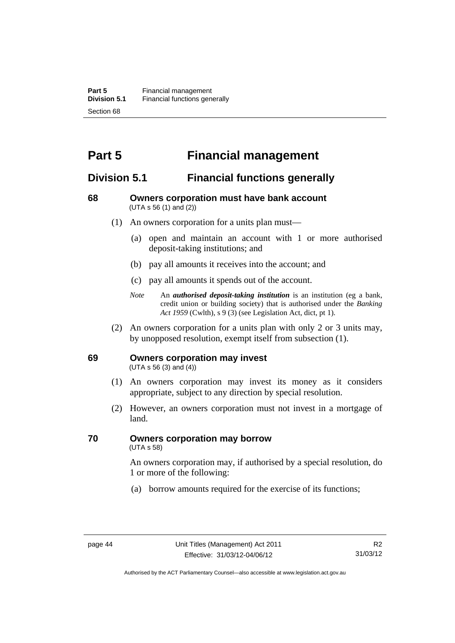# **Part 5 Financial management**

### **Division 5.1 Financial functions generally**

#### **68 Owners corporation must have bank account**  (UTA s 56 (1) and (2))

- (1) An owners corporation for a units plan must—
	- (a) open and maintain an account with 1 or more authorised deposit-taking institutions; and
	- (b) pay all amounts it receives into the account; and
	- (c) pay all amounts it spends out of the account.
	- *Note* An *authorised deposit-taking institution* is an institution (eg a bank, credit union or building society) that is authorised under the *Banking Act 1959* (Cwlth), s 9 (3) (see Legislation Act, dict, pt 1).
- (2) An owners corporation for a units plan with only 2 or 3 units may, by unopposed resolution, exempt itself from subsection (1).

#### **69 Owners corporation may invest**

(UTA s 56 (3) and (4))

- (1) An owners corporation may invest its money as it considers appropriate, subject to any direction by special resolution.
- (2) However, an owners corporation must not invest in a mortgage of land.

## **70 Owners corporation may borrow**

(UTA s 58)

An owners corporation may, if authorised by a special resolution, do 1 or more of the following:

(a) borrow amounts required for the exercise of its functions;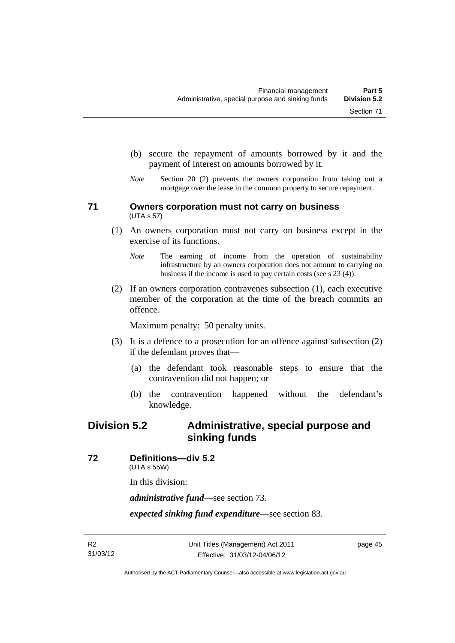- (b) secure the repayment of amounts borrowed by it and the
- *Note* Section 20 (2) prevents the owners corporation from taking out a mortgage over the lease in the common property to secure repayment.

payment of interest on amounts borrowed by it.

#### **71 Owners corporation must not carry on business**  (UTA s 57)

- (1) An owners corporation must not carry on business except in the exercise of its functions.
	- *Note* The earning of income from the operation of sustainability infrastructure by an owners corporation does not amount to carrying on business if the income is used to pay certain costs (see s 23 (4)).
- (2) If an owners corporation contravenes subsection (1), each executive member of the corporation at the time of the breach commits an offence.

Maximum penalty: 50 penalty units.

- (3) It is a defence to a prosecution for an offence against subsection (2) if the defendant proves that—
	- (a) the defendant took reasonable steps to ensure that the contravention did not happen; or
	- (b) the contravention happened without the defendant's knowledge.

### **Division 5.2 Administrative, special purpose and sinking funds**

**72 Definitions—div 5.2** 

(UTA s 55W)

In this division:

*administrative fund*—see section 73.

*expected sinking fund expenditure*—see section 83.

page 45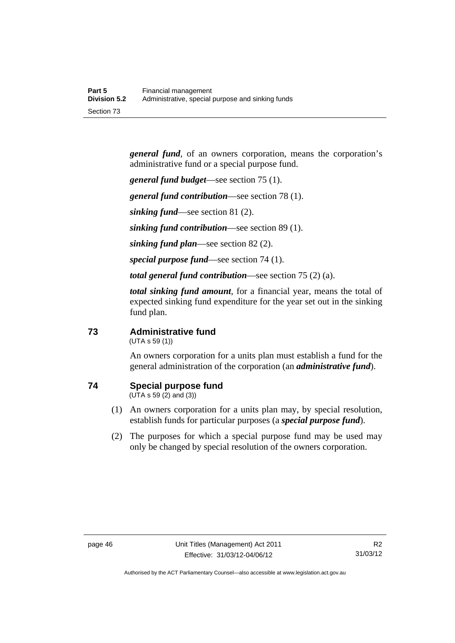*general fund*, of an owners corporation, means the corporation's administrative fund or a special purpose fund.

*general fund budget*—see section 75 (1).

*general fund contribution*—see section 78 (1).

*sinking fund*—see section 81 (2).

*sinking fund contribution*—see section 89 (1).

*sinking fund plan*—see section 82 (2).

*special purpose fund*—see section 74 (1).

*total general fund contribution*—see section 75 (2) (a).

*total sinking fund amount*, for a financial year, means the total of expected sinking fund expenditure for the year set out in the sinking fund plan.

#### **73 Administrative fund**

(UTA s 59 (1))

An owners corporation for a units plan must establish a fund for the general administration of the corporation (an *administrative fund*).

### **74 Special purpose fund**

(UTA s 59 (2) and (3))

- (1) An owners corporation for a units plan may, by special resolution, establish funds for particular purposes (a *special purpose fund*).
- (2) The purposes for which a special purpose fund may be used may only be changed by special resolution of the owners corporation.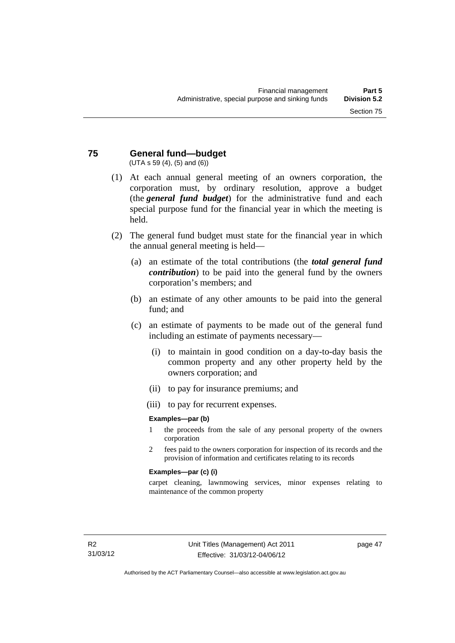#### **75 General fund—budget**  (UTA s 59 (4), (5) and (6))

- (1) At each annual general meeting of an owners corporation, the corporation must, by ordinary resolution, approve a budget (the *general fund budget*) for the administrative fund and each special purpose fund for the financial year in which the meeting is held.
- (2) The general fund budget must state for the financial year in which the annual general meeting is held—
	- (a) an estimate of the total contributions (the *total general fund contribution*) to be paid into the general fund by the owners corporation's members; and
	- (b) an estimate of any other amounts to be paid into the general fund; and
	- (c) an estimate of payments to be made out of the general fund including an estimate of payments necessary—
		- (i) to maintain in good condition on a day-to-day basis the common property and any other property held by the owners corporation; and
		- (ii) to pay for insurance premiums; and
		- (iii) to pay for recurrent expenses.

#### **Examples—par (b)**

- 1 the proceeds from the sale of any personal property of the owners corporation
- 2 fees paid to the owners corporation for inspection of its records and the provision of information and certificates relating to its records

#### **Examples—par (c) (i)**

carpet cleaning, lawnmowing services, minor expenses relating to maintenance of the common property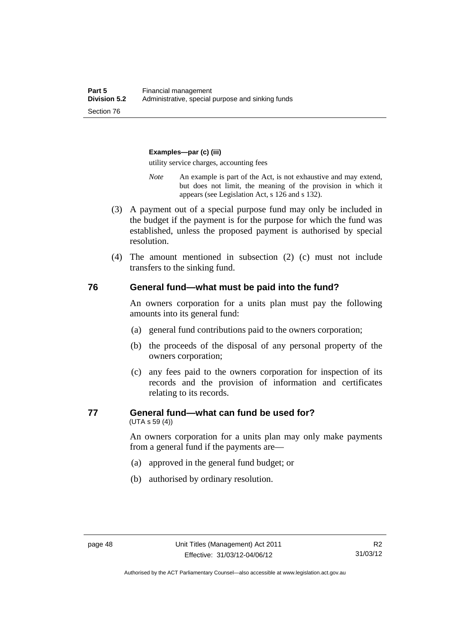#### **Examples—par (c) (iii)**

utility service charges, accounting fees

- *Note* An example is part of the Act, is not exhaustive and may extend, but does not limit, the meaning of the provision in which it appears (see Legislation Act, s 126 and s 132).
- (3) A payment out of a special purpose fund may only be included in the budget if the payment is for the purpose for which the fund was established, unless the proposed payment is authorised by special resolution.
- (4) The amount mentioned in subsection (2) (c) must not include transfers to the sinking fund.

#### **76 General fund—what must be paid into the fund?**

An owners corporation for a units plan must pay the following amounts into its general fund:

- (a) general fund contributions paid to the owners corporation;
- (b) the proceeds of the disposal of any personal property of the owners corporation;
- (c) any fees paid to the owners corporation for inspection of its records and the provision of information and certificates relating to its records.

#### **77 General fund—what can fund be used for?**

(UTA s 59 (4))

An owners corporation for a units plan may only make payments from a general fund if the payments are—

- (a) approved in the general fund budget; or
- (b) authorised by ordinary resolution.

Authorised by the ACT Parliamentary Counsel—also accessible at www.legislation.act.gov.au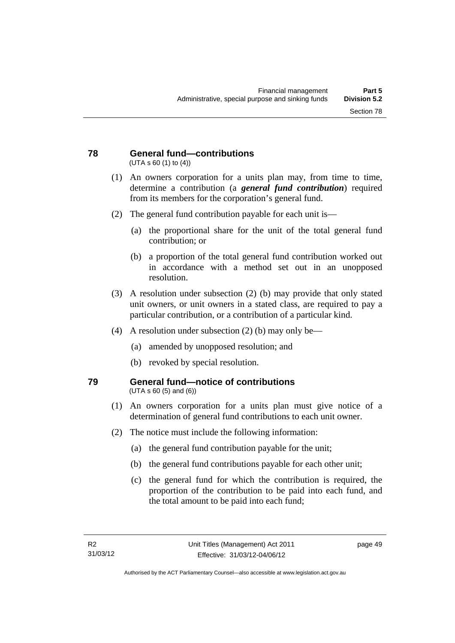#### **78 General fund—contributions**  (UTA s 60 (1) to (4))

- (1) An owners corporation for a units plan may, from time to time, determine a contribution (a *general fund contribution*) required from its members for the corporation's general fund.
- (2) The general fund contribution payable for each unit is—
	- (a) the proportional share for the unit of the total general fund contribution; or
	- (b) a proportion of the total general fund contribution worked out in accordance with a method set out in an unopposed resolution.
- (3) A resolution under subsection (2) (b) may provide that only stated unit owners, or unit owners in a stated class, are required to pay a particular contribution, or a contribution of a particular kind.
- (4) A resolution under subsection (2) (b) may only be—
	- (a) amended by unopposed resolution; and
	- (b) revoked by special resolution.

#### **79 General fund—notice of contributions**  (UTA s 60 (5) and (6))

- (1) An owners corporation for a units plan must give notice of a determination of general fund contributions to each unit owner.
- (2) The notice must include the following information:
	- (a) the general fund contribution payable for the unit;
	- (b) the general fund contributions payable for each other unit;
	- (c) the general fund for which the contribution is required, the proportion of the contribution to be paid into each fund, and the total amount to be paid into each fund;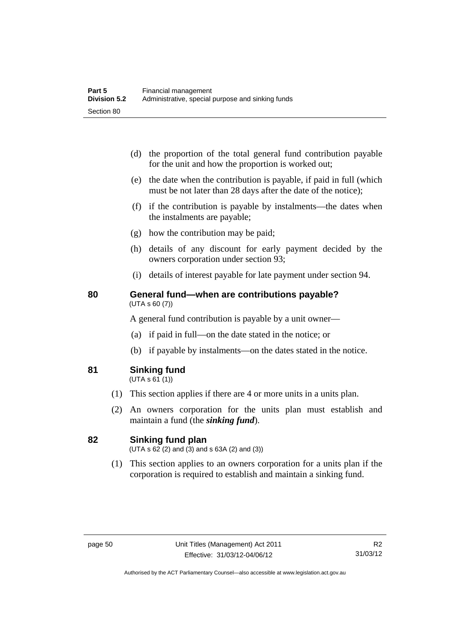- (d) the proportion of the total general fund contribution payable for the unit and how the proportion is worked out;
- (e) the date when the contribution is payable, if paid in full (which must be not later than 28 days after the date of the notice);
- (f) if the contribution is payable by instalments—the dates when the instalments are payable;
- (g) how the contribution may be paid;
- (h) details of any discount for early payment decided by the owners corporation under section 93;
- (i) details of interest payable for late payment under section 94.

#### **80 General fund—when are contributions payable?**  (UTA s 60 (7))

A general fund contribution is payable by a unit owner—

- (a) if paid in full—on the date stated in the notice; or
- (b) if payable by instalments—on the dates stated in the notice.
- **81 Sinking fund**

 $(UTA S 61(1))$ 

- (1) This section applies if there are 4 or more units in a units plan.
- (2) An owners corporation for the units plan must establish and maintain a fund (the *sinking fund*).

#### **82 Sinking fund plan**

 $(UTA \, s \, 62 \, (2)$  and  $(3)$  and  $s \, 63A \, (2)$  and  $(3)$ )

 (1) This section applies to an owners corporation for a units plan if the corporation is required to establish and maintain a sinking fund.

Authorised by the ACT Parliamentary Counsel—also accessible at www.legislation.act.gov.au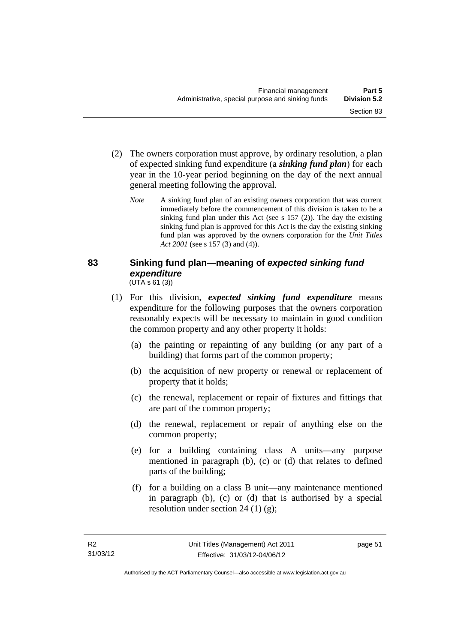- (2) The owners corporation must approve, by ordinary resolution, a plan of expected sinking fund expenditure (a *sinking fund plan*) for each year in the 10-year period beginning on the day of the next annual general meeting following the approval.
	- *Note* A sinking fund plan of an existing owners corporation that was current immediately before the commencement of this division is taken to be a sinking fund plan under this Act (see s 157 (2)). The day the existing sinking fund plan is approved for this Act is the day the existing sinking fund plan was approved by the owners corporation for the *Unit Titles Act 2001* (see s 157 (3) and (4)).

#### **83 Sinking fund plan—meaning of** *expected sinking fund expenditure* (UTA s 61 (3))

- (1) For this division, *expected sinking fund expenditure* means expenditure for the following purposes that the owners corporation reasonably expects will be necessary to maintain in good condition the common property and any other property it holds:
	- (a) the painting or repainting of any building (or any part of a building) that forms part of the common property;
	- (b) the acquisition of new property or renewal or replacement of property that it holds;
	- (c) the renewal, replacement or repair of fixtures and fittings that are part of the common property;
	- (d) the renewal, replacement or repair of anything else on the common property;
	- (e) for a building containing class A units—any purpose mentioned in paragraph (b), (c) or (d) that relates to defined parts of the building;
	- (f) for a building on a class B unit—any maintenance mentioned in paragraph (b), (c) or (d) that is authorised by a special resolution under section 24 (1) (g);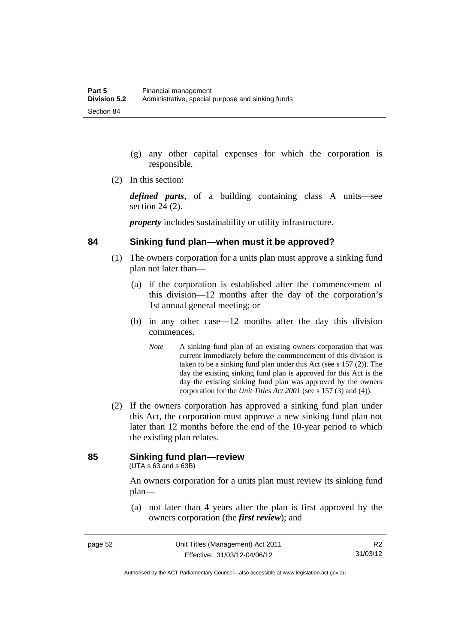- (g) any other capital expenses for which the corporation is responsible.
- (2) In this section:

*defined parts*, of a building containing class A units—see section 24 (2).

*property* includes sustainability or utility infrastructure.

#### **84 Sinking fund plan—when must it be approved?**

- (1) The owners corporation for a units plan must approve a sinking fund plan not later than—
	- (a) if the corporation is established after the commencement of this division—12 months after the day of the corporation's 1st annual general meeting; or
	- (b) in any other case—12 months after the day this division commences.
		- *Note* A sinking fund plan of an existing owners corporation that was current immediately before the commencement of this division is taken to be a sinking fund plan under this Act (see s 157 (2)). The day the existing sinking fund plan is approved for this Act is the day the existing sinking fund plan was approved by the owners corporation for the *Unit Titles Act 2001* (see s 157 (3) and (4)).
- (2) If the owners corporation has approved a sinking fund plan under this Act, the corporation must approve a new sinking fund plan not later than 12 months before the end of the 10-year period to which the existing plan relates.

### **85 Sinking fund plan—review**

(UTA s 63 and s 63B)

An owners corporation for a units plan must review its sinking fund plan—

 (a) not later than 4 years after the plan is first approved by the owners corporation (the *first review*); and

Authorised by the ACT Parliamentary Counsel—also accessible at www.legislation.act.gov.au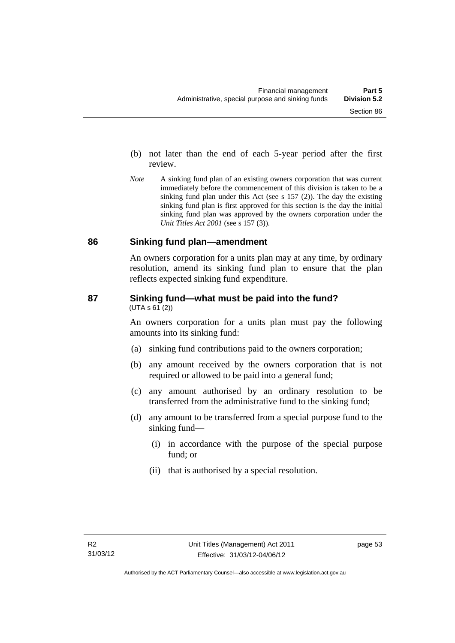- (b) not later than the end of each 5-year period after the first review.
- *Note* A sinking fund plan of an existing owners corporation that was current immediately before the commencement of this division is taken to be a sinking fund plan under this Act (see s 157 (2)). The day the existing sinking fund plan is first approved for this section is the day the initial sinking fund plan was approved by the owners corporation under the *Unit Titles Act 2001* (see s 157 (3)).

#### **86 Sinking fund plan—amendment**

An owners corporation for a units plan may at any time, by ordinary resolution, amend its sinking fund plan to ensure that the plan reflects expected sinking fund expenditure.

#### **87 Sinking fund—what must be paid into the fund?**   $(UTA S 61 (2))$

An owners corporation for a units plan must pay the following amounts into its sinking fund:

- (a) sinking fund contributions paid to the owners corporation;
- (b) any amount received by the owners corporation that is not required or allowed to be paid into a general fund;
- (c) any amount authorised by an ordinary resolution to be transferred from the administrative fund to the sinking fund;
- (d) any amount to be transferred from a special purpose fund to the sinking fund—
	- (i) in accordance with the purpose of the special purpose fund; or
	- (ii) that is authorised by a special resolution.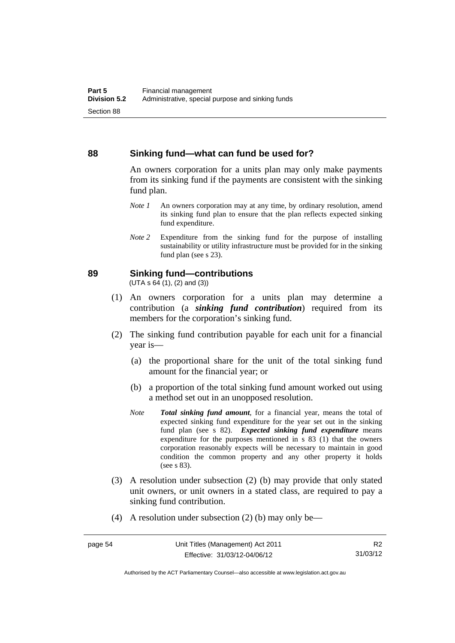#### **88 Sinking fund—what can fund be used for?**

An owners corporation for a units plan may only make payments from its sinking fund if the payments are consistent with the sinking fund plan.

- *Note 1* An owners corporation may at any time, by ordinary resolution, amend its sinking fund plan to ensure that the plan reflects expected sinking fund expenditure.
- *Note 2* Expenditure from the sinking fund for the purpose of installing sustainability or utility infrastructure must be provided for in the sinking fund plan (see s 23).

#### **89 Sinking fund—contributions**

 $(UTA S 64(1), (2) and (3))$ 

- (1) An owners corporation for a units plan may determine a contribution (a *sinking fund contribution*) required from its members for the corporation's sinking fund.
- (2) The sinking fund contribution payable for each unit for a financial year is—
	- (a) the proportional share for the unit of the total sinking fund amount for the financial year; or
	- (b) a proportion of the total sinking fund amount worked out using a method set out in an unopposed resolution.
	- *Note Total sinking fund amount*, for a financial year, means the total of expected sinking fund expenditure for the year set out in the sinking fund plan (see s 82). *Expected sinking fund expenditure* means expenditure for the purposes mentioned in s 83 (1) that the owners corporation reasonably expects will be necessary to maintain in good condition the common property and any other property it holds (see s 83).
- (3) A resolution under subsection (2) (b) may provide that only stated unit owners, or unit owners in a stated class, are required to pay a sinking fund contribution.
- (4) A resolution under subsection (2) (b) may only be—

Authorised by the ACT Parliamentary Counsel—also accessible at www.legislation.act.gov.au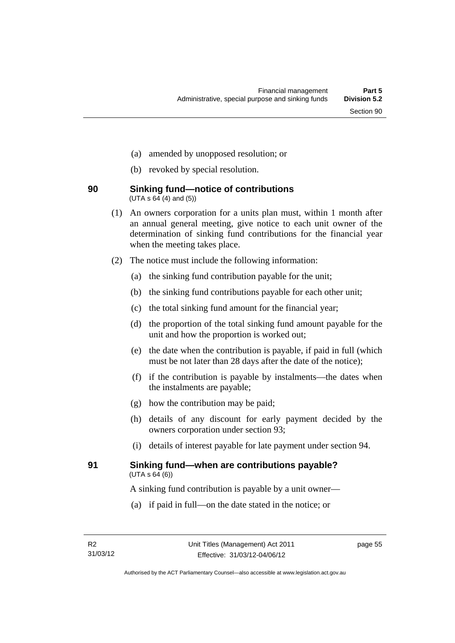- (a) amended by unopposed resolution; or
- (b) revoked by special resolution.

#### **90 Sinking fund—notice of contributions**   $(UTA \, s \, 64 \, (4) \, and \, (5))$

- (1) An owners corporation for a units plan must, within 1 month after an annual general meeting, give notice to each unit owner of the determination of sinking fund contributions for the financial year when the meeting takes place.
- (2) The notice must include the following information:
	- (a) the sinking fund contribution payable for the unit;
	- (b) the sinking fund contributions payable for each other unit;
	- (c) the total sinking fund amount for the financial year;
	- (d) the proportion of the total sinking fund amount payable for the unit and how the proportion is worked out;
	- (e) the date when the contribution is payable, if paid in full (which must be not later than 28 days after the date of the notice);
	- (f) if the contribution is payable by instalments—the dates when the instalments are payable;
	- (g) how the contribution may be paid;
	- (h) details of any discount for early payment decided by the owners corporation under section 93;
	- (i) details of interest payable for late payment under section 94.

#### **91 Sinking fund—when are contributions payable?**   $(UTA S 64(6))$

A sinking fund contribution is payable by a unit owner—

(a) if paid in full—on the date stated in the notice; or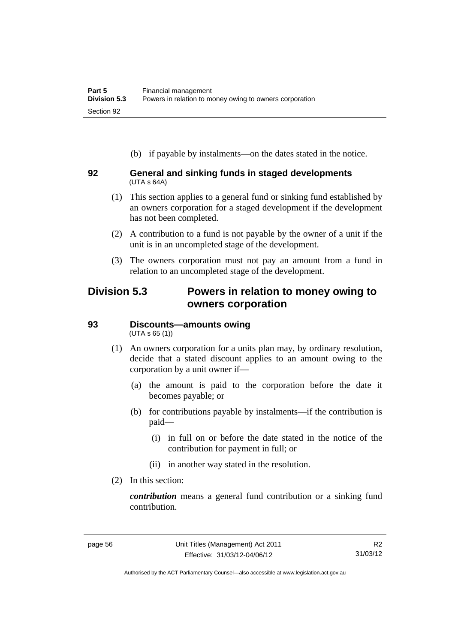(b) if payable by instalments—on the dates stated in the notice.

#### **92 General and sinking funds in staged developments**  (UTA s 64A)

- (1) This section applies to a general fund or sinking fund established by an owners corporation for a staged development if the development has not been completed.
- (2) A contribution to a fund is not payable by the owner of a unit if the unit is in an uncompleted stage of the development.
- (3) The owners corporation must not pay an amount from a fund in relation to an uncompleted stage of the development.

### **Division 5.3 Powers in relation to money owing to owners corporation**

# **93 Discounts—amounts owing**

(UTA s 65 (1))

- (1) An owners corporation for a units plan may, by ordinary resolution, decide that a stated discount applies to an amount owing to the corporation by a unit owner if—
	- (a) the amount is paid to the corporation before the date it becomes payable; or
	- (b) for contributions payable by instalments—if the contribution is paid—
		- (i) in full on or before the date stated in the notice of the contribution for payment in full; or
		- (ii) in another way stated in the resolution.
- (2) In this section:

*contribution* means a general fund contribution or a sinking fund contribution.

Authorised by the ACT Parliamentary Counsel—also accessible at www.legislation.act.gov.au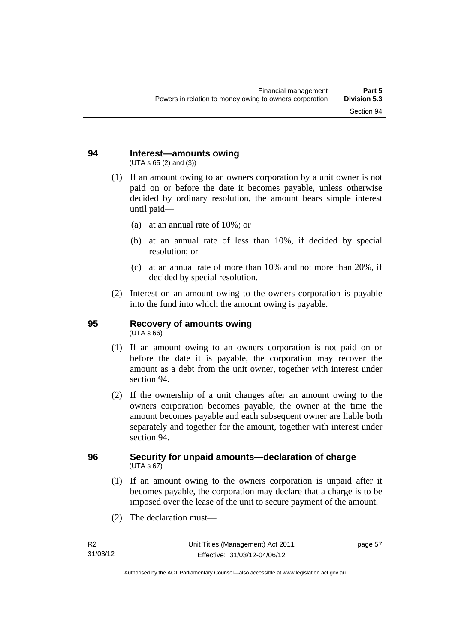#### **94 Interest—amounts owing**  (UTA s 65 (2) and (3))

- (1) If an amount owing to an owners corporation by a unit owner is not paid on or before the date it becomes payable, unless otherwise decided by ordinary resolution, the amount bears simple interest until paid—
	- (a) at an annual rate of 10%; or
	- (b) at an annual rate of less than 10%, if decided by special resolution; or
	- (c) at an annual rate of more than 10% and not more than 20%, if decided by special resolution.
- (2) Interest on an amount owing to the owners corporation is payable into the fund into which the amount owing is payable.

# **95 Recovery of amounts owing**

(UTA s 66)

- (1) If an amount owing to an owners corporation is not paid on or before the date it is payable, the corporation may recover the amount as a debt from the unit owner, together with interest under section 94.
- (2) If the ownership of a unit changes after an amount owing to the owners corporation becomes payable, the owner at the time the amount becomes payable and each subsequent owner are liable both separately and together for the amount, together with interest under section 94.

#### **96 Security for unpaid amounts—declaration of charge**   $(UTA \, s \, 67)$

- (1) If an amount owing to the owners corporation is unpaid after it becomes payable, the corporation may declare that a charge is to be imposed over the lease of the unit to secure payment of the amount.
- (2) The declaration must—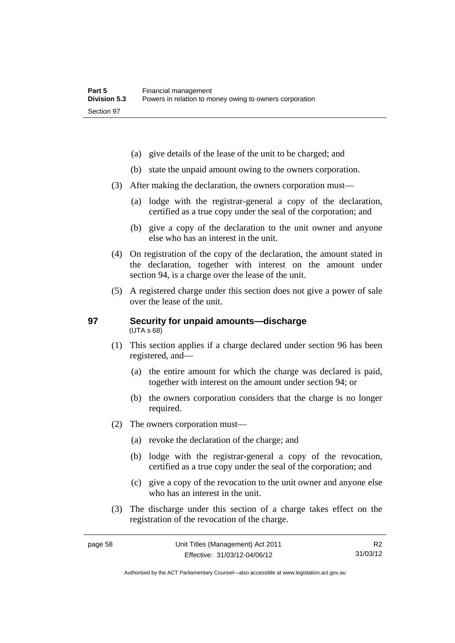- (a) give details of the lease of the unit to be charged; and
- (b) state the unpaid amount owing to the owners corporation.
- (3) After making the declaration, the owners corporation must—
	- (a) lodge with the registrar-general a copy of the declaration, certified as a true copy under the seal of the corporation; and
	- (b) give a copy of the declaration to the unit owner and anyone else who has an interest in the unit.
- (4) On registration of the copy of the declaration, the amount stated in the declaration, together with interest on the amount under section 94, is a charge over the lease of the unit.
- (5) A registered charge under this section does not give a power of sale over the lease of the unit.

#### **97 Security for unpaid amounts—discharge**  (UTA s 68)

- (1) This section applies if a charge declared under section 96 has been registered, and—
	- (a) the entire amount for which the charge was declared is paid, together with interest on the amount under section 94; or
	- (b) the owners corporation considers that the charge is no longer required.
- (2) The owners corporation must—
	- (a) revoke the declaration of the charge; and
	- (b) lodge with the registrar-general a copy of the revocation, certified as a true copy under the seal of the corporation; and
	- (c) give a copy of the revocation to the unit owner and anyone else who has an interest in the unit.
- (3) The discharge under this section of a charge takes effect on the registration of the revocation of the charge.

R2 31/03/12

Authorised by the ACT Parliamentary Counsel—also accessible at www.legislation.act.gov.au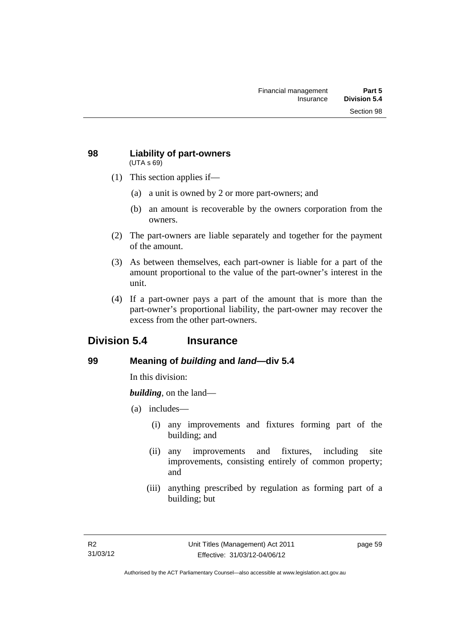#### **98 Liability of part-owners**  (UTA s 69)

- (1) This section applies if—
	- (a) a unit is owned by 2 or more part-owners; and
	- (b) an amount is recoverable by the owners corporation from the owners.
- (2) The part-owners are liable separately and together for the payment of the amount.
- (3) As between themselves, each part-owner is liable for a part of the amount proportional to the value of the part-owner's interest in the unit.
- (4) If a part-owner pays a part of the amount that is more than the part-owner's proportional liability, the part-owner may recover the excess from the other part-owners.

## **Division 5.4 Insurance**

### **99 Meaning of** *building* **and** *land***—div 5.4**

In this division:

*building*, on the land—

- (a) includes—
	- (i) any improvements and fixtures forming part of the building; and
	- (ii) any improvements and fixtures, including site improvements, consisting entirely of common property; and
	- (iii) anything prescribed by regulation as forming part of a building; but

page 59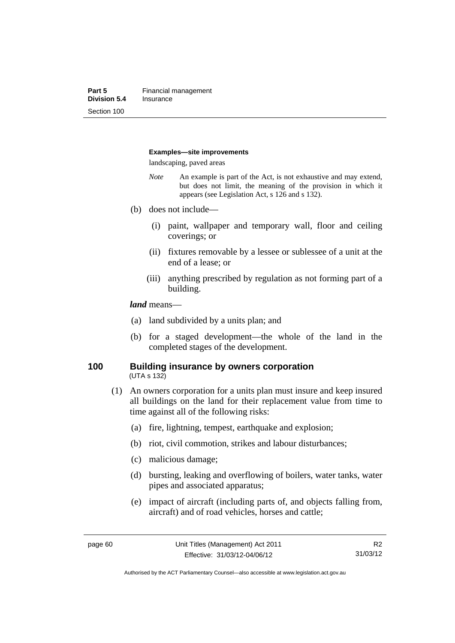#### **Examples—site improvements**

landscaping, paved areas

- *Note* An example is part of the Act, is not exhaustive and may extend, but does not limit, the meaning of the provision in which it appears (see Legislation Act, s 126 and s 132).
- (b) does not include—
	- (i) paint, wallpaper and temporary wall, floor and ceiling coverings; or
	- (ii) fixtures removable by a lessee or sublessee of a unit at the end of a lease; or
	- (iii) anything prescribed by regulation as not forming part of a building.

#### *land* means—

- (a) land subdivided by a units plan; and
- (b) for a staged development—the whole of the land in the completed stages of the development.

#### **100 Building insurance by owners corporation**  (UTA s 132)

- (1) An owners corporation for a units plan must insure and keep insured all buildings on the land for their replacement value from time to time against all of the following risks:
	- (a) fire, lightning, tempest, earthquake and explosion;
	- (b) riot, civil commotion, strikes and labour disturbances;
	- (c) malicious damage;
	- (d) bursting, leaking and overflowing of boilers, water tanks, water pipes and associated apparatus;
	- (e) impact of aircraft (including parts of, and objects falling from, aircraft) and of road vehicles, horses and cattle;

Authorised by the ACT Parliamentary Counsel—also accessible at www.legislation.act.gov.au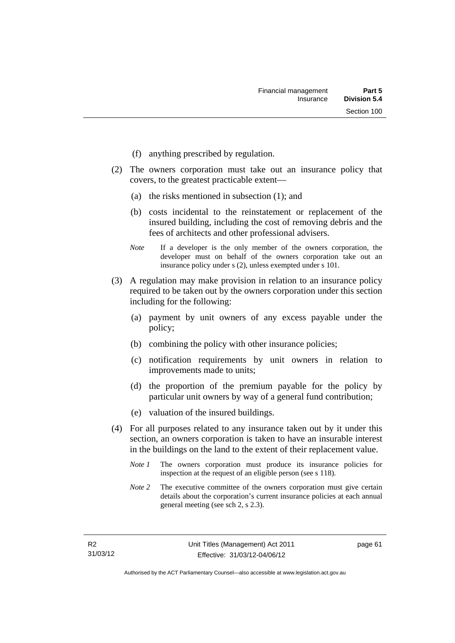- (f) anything prescribed by regulation.
- (2) The owners corporation must take out an insurance policy that covers, to the greatest practicable extent—
	- (a) the risks mentioned in subsection (1); and
	- (b) costs incidental to the reinstatement or replacement of the insured building, including the cost of removing debris and the fees of architects and other professional advisers.
	- *Note* If a developer is the only member of the owners corporation, the developer must on behalf of the owners corporation take out an insurance policy under s (2), unless exempted under s 101.
- (3) A regulation may make provision in relation to an insurance policy required to be taken out by the owners corporation under this section including for the following:
	- (a) payment by unit owners of any excess payable under the policy;
	- (b) combining the policy with other insurance policies;
	- (c) notification requirements by unit owners in relation to improvements made to units;
	- (d) the proportion of the premium payable for the policy by particular unit owners by way of a general fund contribution;
	- (e) valuation of the insured buildings.
- (4) For all purposes related to any insurance taken out by it under this section, an owners corporation is taken to have an insurable interest in the buildings on the land to the extent of their replacement value.
	- *Note 1* The owners corporation must produce its insurance policies for inspection at the request of an eligible person (see s 118).
	- *Note 2* The executive committee of the owners corporation must give certain details about the corporation's current insurance policies at each annual general meeting (see sch 2, s 2.3).

page 61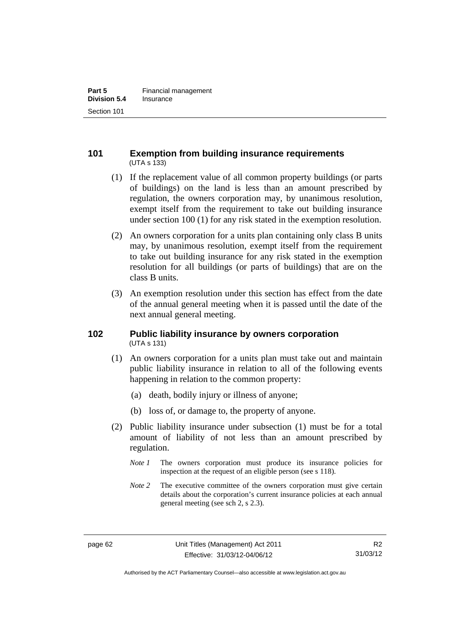## **101 Exemption from building insurance requirements**  (UTA s 133)

- (1) If the replacement value of all common property buildings (or parts of buildings) on the land is less than an amount prescribed by regulation, the owners corporation may, by unanimous resolution, exempt itself from the requirement to take out building insurance under section 100 (1) for any risk stated in the exemption resolution.
- (2) An owners corporation for a units plan containing only class B units may, by unanimous resolution, exempt itself from the requirement to take out building insurance for any risk stated in the exemption resolution for all buildings (or parts of buildings) that are on the class B units.
- (3) An exemption resolution under this section has effect from the date of the annual general meeting when it is passed until the date of the next annual general meeting.

## **102 Public liability insurance by owners corporation**  (UTA s 131)

- (1) An owners corporation for a units plan must take out and maintain public liability insurance in relation to all of the following events happening in relation to the common property:
	- (a) death, bodily injury or illness of anyone;
	- (b) loss of, or damage to, the property of anyone.
- (2) Public liability insurance under subsection (1) must be for a total amount of liability of not less than an amount prescribed by regulation.
	- *Note 1* The owners corporation must produce its insurance policies for inspection at the request of an eligible person (see s 118).
	- *Note 2* The executive committee of the owners corporation must give certain details about the corporation's current insurance policies at each annual general meeting (see sch 2, s 2.3).

Authorised by the ACT Parliamentary Counsel—also accessible at www.legislation.act.gov.au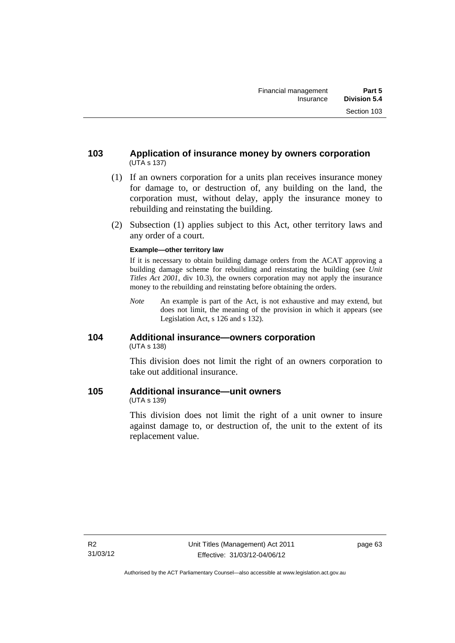- (1) If an owners corporation for a units plan receives insurance money for damage to, or destruction of, any building on the land, the corporation must, without delay, apply the insurance money to rebuilding and reinstating the building.
- (2) Subsection (1) applies subject to this Act, other territory laws and any order of a court.

#### **Example—other territory law**

If it is necessary to obtain building damage orders from the ACAT approving a building damage scheme for rebuilding and reinstating the building (see *Unit Titles Act 2001*, div 10.3), the owners corporation may not apply the insurance money to the rebuilding and reinstating before obtaining the orders.

*Note* An example is part of the Act, is not exhaustive and may extend, but does not limit, the meaning of the provision in which it appears (see Legislation Act, s 126 and s 132).

## **104 Additional insurance—owners corporation**  (UTA s 138)

This division does not limit the right of an owners corporation to take out additional insurance.

## **105 Additional insurance—unit owners**

(UTA s 139)

This division does not limit the right of a unit owner to insure against damage to, or destruction of, the unit to the extent of its replacement value.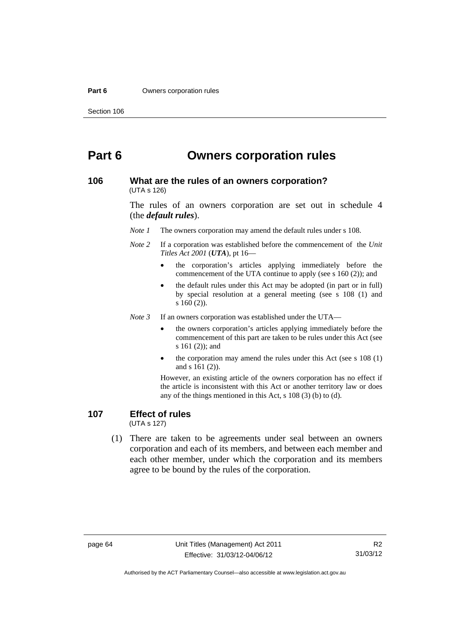#### **Part 6 Owners corporation rules**

# **Part 6 Owners corporation rules**

#### **106 What are the rules of an owners corporation?**  (UTA s 126)

The rules of an owners corporation are set out in schedule 4 (the *default rules*).

*Note 1* The owners corporation may amend the default rules under s 108.

- *Note 2* If a corporation was established before the commencement of the *Unit Titles Act 2001* (*UTA*), pt 16
	- the corporation's articles applying immediately before the commencement of the UTA continue to apply (see s 160 (2)); and
	- the default rules under this Act may be adopted (in part or in full) by special resolution at a general meeting (see s 108 (1) and s 160 (2)).

*Note 3* If an owners corporation was established under the UTA—

- the owners corporation's articles applying immediately before the commencement of this part are taken to be rules under this Act (see s 161 (2)); and
- the corporation may amend the rules under this Act (see s 108 (1) and s 161 (2)).

However, an existing article of the owners corporation has no effect if the article is inconsistent with this Act or another territory law or does any of the things mentioned in this Act, s 108 (3) (b) to (d).

# **107 Effect of rules**

(UTA s 127)

 (1) There are taken to be agreements under seal between an owners corporation and each of its members, and between each member and each other member, under which the corporation and its members agree to be bound by the rules of the corporation.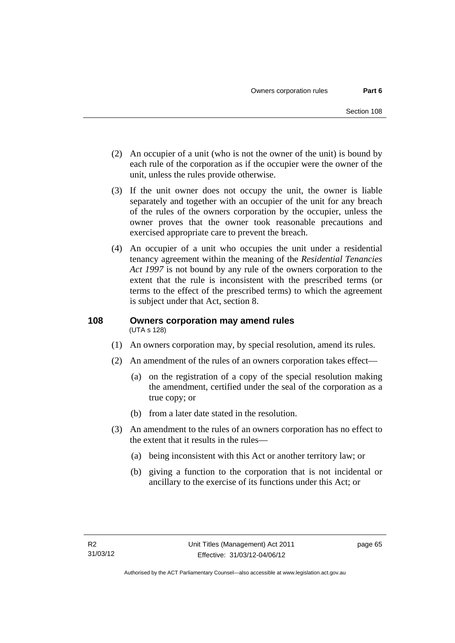- (2) An occupier of a unit (who is not the owner of the unit) is bound by each rule of the corporation as if the occupier were the owner of the unit, unless the rules provide otherwise.
- (3) If the unit owner does not occupy the unit, the owner is liable separately and together with an occupier of the unit for any breach of the rules of the owners corporation by the occupier, unless the owner proves that the owner took reasonable precautions and exercised appropriate care to prevent the breach.
- (4) An occupier of a unit who occupies the unit under a residential tenancy agreement within the meaning of the *Residential Tenancies Act 1997* is not bound by any rule of the owners corporation to the extent that the rule is inconsistent with the prescribed terms (or terms to the effect of the prescribed terms) to which the agreement is subject under that Act, section 8.

### **108 Owners corporation may amend rules**  (UTA s 128)

- (1) An owners corporation may, by special resolution, amend its rules.
- (2) An amendment of the rules of an owners corporation takes effect—
	- (a) on the registration of a copy of the special resolution making the amendment, certified under the seal of the corporation as a true copy; or
	- (b) from a later date stated in the resolution.
- (3) An amendment to the rules of an owners corporation has no effect to the extent that it results in the rules—
	- (a) being inconsistent with this Act or another territory law; or
	- (b) giving a function to the corporation that is not incidental or ancillary to the exercise of its functions under this Act; or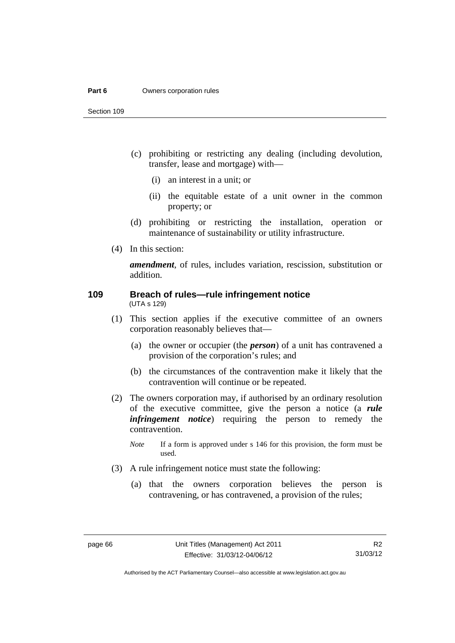#### **Part 6 Owners corporation rules**

Section 109

- (c) prohibiting or restricting any dealing (including devolution, transfer, lease and mortgage) with—
	- (i) an interest in a unit; or
	- (ii) the equitable estate of a unit owner in the common property; or
- (d) prohibiting or restricting the installation, operation or maintenance of sustainability or utility infrastructure.
- (4) In this section:

*amendment*, of rules, includes variation, rescission, substitution or addition.

#### **109 Breach of rules—rule infringement notice**  (UTA s 129)

- (1) This section applies if the executive committee of an owners corporation reasonably believes that—
	- (a) the owner or occupier (the *person*) of a unit has contravened a provision of the corporation's rules; and
	- (b) the circumstances of the contravention make it likely that the contravention will continue or be repeated.
- (2) The owners corporation may, if authorised by an ordinary resolution of the executive committee, give the person a notice (a *rule infringement notice*) requiring the person to remedy the contravention.
	- *Note* If a form is approved under s 146 for this provision, the form must be used.
- (3) A rule infringement notice must state the following:
	- (a) that the owners corporation believes the person is contravening, or has contravened, a provision of the rules;

R2 31/03/12

Authorised by the ACT Parliamentary Counsel—also accessible at www.legislation.act.gov.au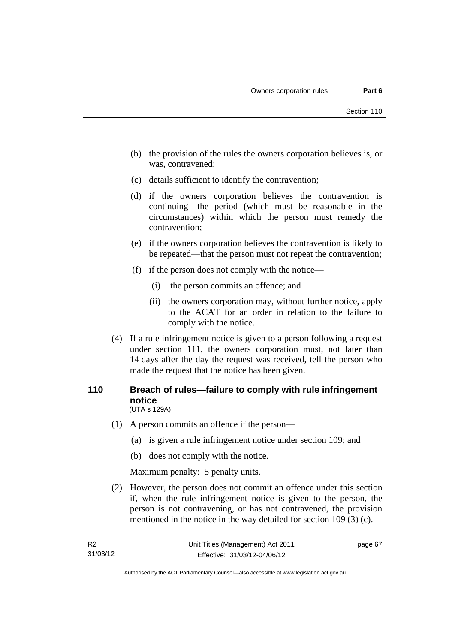- (b) the provision of the rules the owners corporation believes is, or was, contravened;
- (c) details sufficient to identify the contravention;
- (d) if the owners corporation believes the contravention is continuing—the period (which must be reasonable in the circumstances) within which the person must remedy the contravention;
- (e) if the owners corporation believes the contravention is likely to be repeated—that the person must not repeat the contravention;
- (f) if the person does not comply with the notice—
	- (i) the person commits an offence; and
	- (ii) the owners corporation may, without further notice, apply to the ACAT for an order in relation to the failure to comply with the notice.
- (4) If a rule infringement notice is given to a person following a request under section 111, the owners corporation must, not later than 14 days after the day the request was received, tell the person who made the request that the notice has been given.

### **110 Breach of rules—failure to comply with rule infringement notice**  (UTA s 129A)

- (1) A person commits an offence if the person—
	- (a) is given a rule infringement notice under section 109; and
	- (b) does not comply with the notice.

Maximum penalty: 5 penalty units.

 (2) However, the person does not commit an offence under this section if, when the rule infringement notice is given to the person, the person is not contravening, or has not contravened, the provision mentioned in the notice in the way detailed for section 109 (3) (c).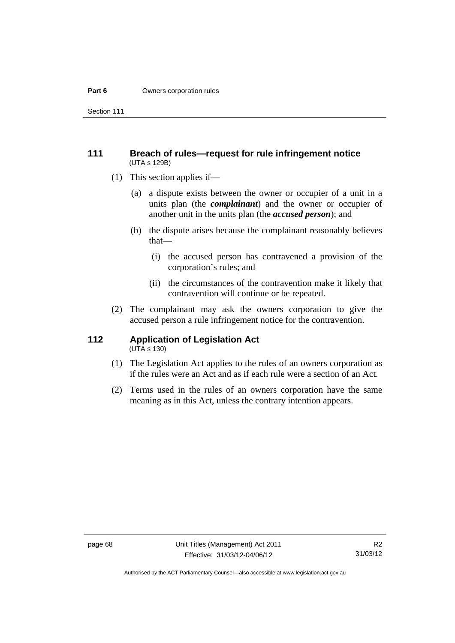#### **Part 6 Owners corporation rules**

Section 111

### **111 Breach of rules—request for rule infringement notice**  (UTA s 129B)

- (1) This section applies if—
	- (a) a dispute exists between the owner or occupier of a unit in a units plan (the *complainant*) and the owner or occupier of another unit in the units plan (the *accused person*); and
	- (b) the dispute arises because the complainant reasonably believes that—
		- (i) the accused person has contravened a provision of the corporation's rules; and
		- (ii) the circumstances of the contravention make it likely that contravention will continue or be repeated.
- (2) The complainant may ask the owners corporation to give the accused person a rule infringement notice for the contravention.

# **112 Application of Legislation Act**

- $(UTA \s{130})$
- (1) The Legislation Act applies to the rules of an owners corporation as if the rules were an Act and as if each rule were a section of an Act.
- (2) Terms used in the rules of an owners corporation have the same meaning as in this Act, unless the contrary intention appears.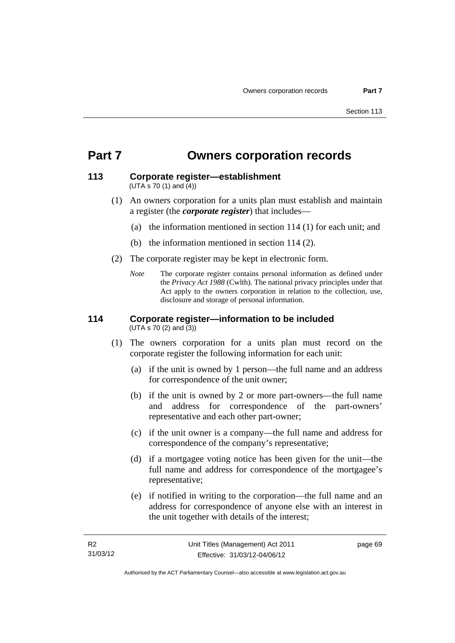# **Part 7 Owners corporation records**

### **113 Corporate register—establishment**  (UTA s 70 (1) and (4))

- (1) An owners corporation for a units plan must establish and maintain a register (the *corporate register*) that includes—
	- (a) the information mentioned in section 114 (1) for each unit; and
	- (b) the information mentioned in section 114 (2).
- (2) The corporate register may be kept in electronic form.
	- *Note* The corporate register contains personal information as defined under the *Privacy Act 1988* (Cwlth). The national privacy principles under that Act apply to the owners corporation in relation to the collection, use, disclosure and storage of personal information.

#### **114 Corporate register—information to be included**  (UTA s 70 (2) and (3))

- (1) The owners corporation for a units plan must record on the corporate register the following information for each unit:
	- (a) if the unit is owned by 1 person—the full name and an address for correspondence of the unit owner;
	- (b) if the unit is owned by 2 or more part-owners—the full name and address for correspondence of the part-owners' representative and each other part-owner;
	- (c) if the unit owner is a company—the full name and address for correspondence of the company's representative;
	- (d) if a mortgagee voting notice has been given for the unit—the full name and address for correspondence of the mortgagee's representative;
	- (e) if notified in writing to the corporation—the full name and an address for correspondence of anyone else with an interest in the unit together with details of the interest;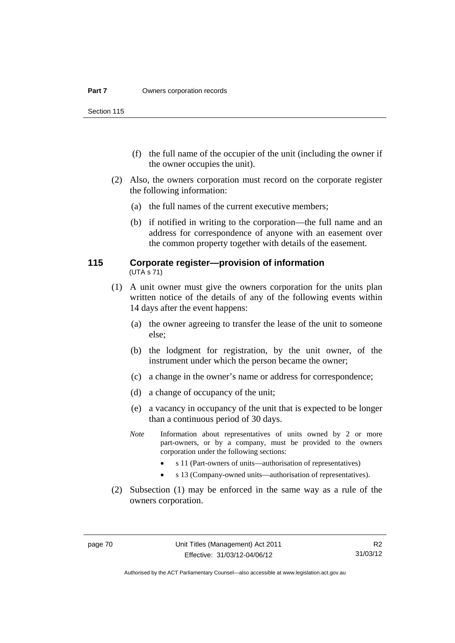Section 115

- (f) the full name of the occupier of the unit (including the owner if the owner occupies the unit).
- (2) Also, the owners corporation must record on the corporate register the following information:
	- (a) the full names of the current executive members;
	- (b) if notified in writing to the corporation—the full name and an address for correspondence of anyone with an easement over the common property together with details of the easement.

### **115 Corporate register—provision of information**  (UTA s 71)

- (1) A unit owner must give the owners corporation for the units plan written notice of the details of any of the following events within 14 days after the event happens:
	- (a) the owner agreeing to transfer the lease of the unit to someone else;
	- (b) the lodgment for registration, by the unit owner, of the instrument under which the person became the owner;
	- (c) a change in the owner's name or address for correspondence;
	- (d) a change of occupancy of the unit;
	- (e) a vacancy in occupancy of the unit that is expected to be longer than a continuous period of 30 days.
	- *Note* Information about representatives of units owned by 2 or more part-owners, or by a company, must be provided to the owners corporation under the following sections:
		- s 11 (Part-owners of units—authorisation of representatives)
		- s 13 (Company-owned units—authorisation of representatives).
- (2) Subsection (1) may be enforced in the same way as a rule of the owners corporation.

R2 31/03/12

Authorised by the ACT Parliamentary Counsel—also accessible at www.legislation.act.gov.au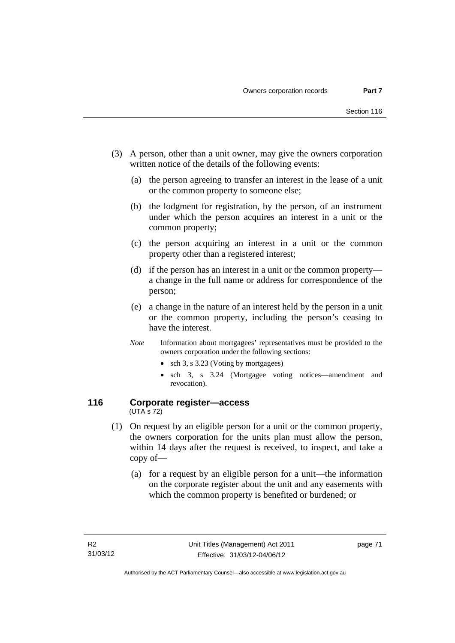- (3) A person, other than a unit owner, may give the owners corporation written notice of the details of the following events:
	- (a) the person agreeing to transfer an interest in the lease of a unit or the common property to someone else;
	- (b) the lodgment for registration, by the person, of an instrument under which the person acquires an interest in a unit or the common property;
	- (c) the person acquiring an interest in a unit or the common property other than a registered interest;
	- (d) if the person has an interest in a unit or the common property a change in the full name or address for correspondence of the person;
	- (e) a change in the nature of an interest held by the person in a unit or the common property, including the person's ceasing to have the interest.
	- *Note* Information about mortgagees' representatives must be provided to the owners corporation under the following sections:
		- sch 3, s 3.23 (Voting by mortgagees)
		- sch 3, s 3.24 (Mortgagee voting notices—amendment and revocation).

### **116 Corporate register—access**  (UTA s 72)

- (1) On request by an eligible person for a unit or the common property, the owners corporation for the units plan must allow the person, within 14 days after the request is received, to inspect, and take a copy of—
	- (a) for a request by an eligible person for a unit—the information on the corporate register about the unit and any easements with which the common property is benefited or burdened; or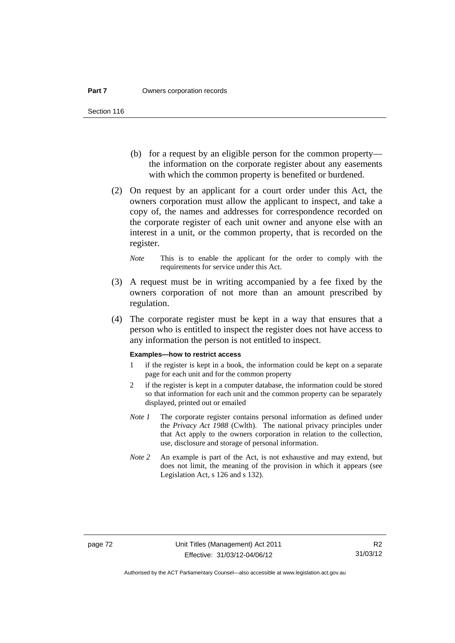- (b) for a request by an eligible person for the common property the information on the corporate register about any easements with which the common property is benefited or burdened.
- (2) On request by an applicant for a court order under this Act, the owners corporation must allow the applicant to inspect, and take a copy of, the names and addresses for correspondence recorded on the corporate register of each unit owner and anyone else with an interest in a unit, or the common property, that is recorded on the register.
	- *Note* This is to enable the applicant for the order to comply with the requirements for service under this Act.
- (3) A request must be in writing accompanied by a fee fixed by the owners corporation of not more than an amount prescribed by regulation.
- (4) The corporate register must be kept in a way that ensures that a person who is entitled to inspect the register does not have access to any information the person is not entitled to inspect.

#### **Examples—how to restrict access**

- 1 if the register is kept in a book, the information could be kept on a separate page for each unit and for the common property
- 2 if the register is kept in a computer database, the information could be stored so that information for each unit and the common property can be separately displayed, printed out or emailed
- *Note 1* The corporate register contains personal information as defined under the *Privacy Act 1988* (Cwlth). The national privacy principles under that Act apply to the owners corporation in relation to the collection, use, disclosure and storage of personal information.
- *Note 2* An example is part of the Act, is not exhaustive and may extend, but does not limit, the meaning of the provision in which it appears (see Legislation Act, s 126 and s 132).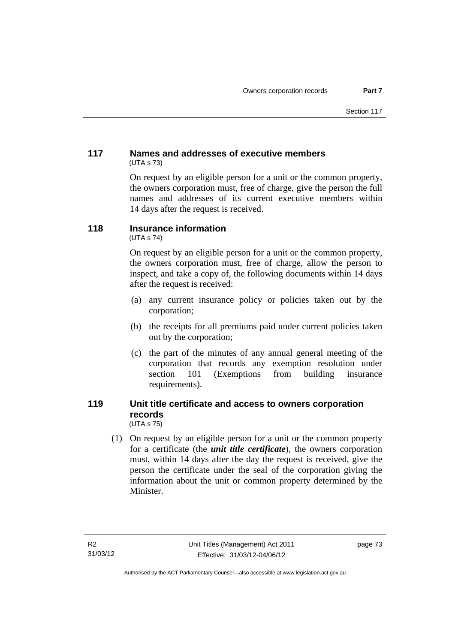# **117 Names and addresses of executive members**  (UTA s 73)

On request by an eligible person for a unit or the common property, the owners corporation must, free of charge, give the person the full names and addresses of its current executive members within 14 days after the request is received.

# **118 Insurance information**

(UTA s 74)

On request by an eligible person for a unit or the common property, the owners corporation must, free of charge, allow the person to inspect, and take a copy of, the following documents within 14 days after the request is received:

- (a) any current insurance policy or policies taken out by the corporation;
- (b) the receipts for all premiums paid under current policies taken out by the corporation;
- (c) the part of the minutes of any annual general meeting of the corporation that records any exemption resolution under section 101 (Exemptions from building insurance requirements).

### **119 Unit title certificate and access to owners corporation records**  (UTA s 75)

 (1) On request by an eligible person for a unit or the common property for a certificate (the *unit title certificate*), the owners corporation must, within 14 days after the day the request is received, give the person the certificate under the seal of the corporation giving the information about the unit or common property determined by the Minister.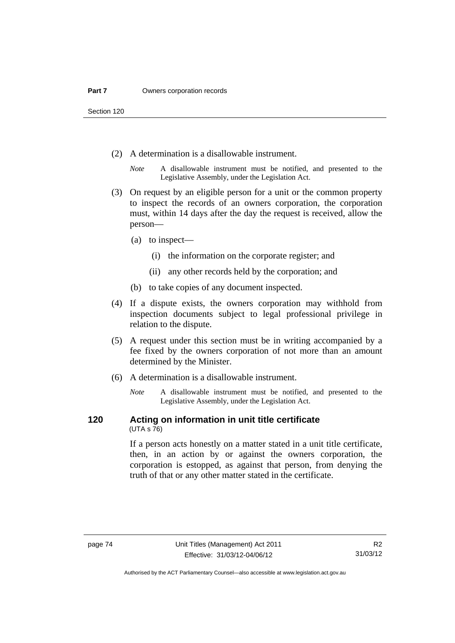Section 120

- (2) A determination is a disallowable instrument.
	- *Note* A disallowable instrument must be notified, and presented to the Legislative Assembly, under the Legislation Act.
- (3) On request by an eligible person for a unit or the common property to inspect the records of an owners corporation, the corporation must, within 14 days after the day the request is received, allow the person—
	- (a) to inspect—
		- (i) the information on the corporate register; and
		- (ii) any other records held by the corporation; and
	- (b) to take copies of any document inspected.
- (4) If a dispute exists, the owners corporation may withhold from inspection documents subject to legal professional privilege in relation to the dispute.
- (5) A request under this section must be in writing accompanied by a fee fixed by the owners corporation of not more than an amount determined by the Minister.
- (6) A determination is a disallowable instrument.
	- *Note* A disallowable instrument must be notified, and presented to the Legislative Assembly, under the Legislation Act.

#### **120 Acting on information in unit title certificate**  (UTA s 76)

If a person acts honestly on a matter stated in a unit title certificate, then, in an action by or against the owners corporation, the corporation is estopped, as against that person, from denying the truth of that or any other matter stated in the certificate.

Authorised by the ACT Parliamentary Counsel—also accessible at www.legislation.act.gov.au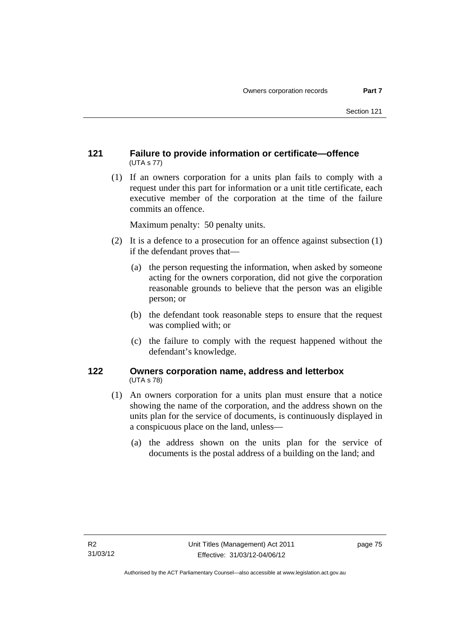# **121 Failure to provide information or certificate—offence**  (UTA s 77)

 (1) If an owners corporation for a units plan fails to comply with a request under this part for information or a unit title certificate, each executive member of the corporation at the time of the failure commits an offence.

Maximum penalty: 50 penalty units.

- (2) It is a defence to a prosecution for an offence against subsection (1) if the defendant proves that—
	- (a) the person requesting the information, when asked by someone acting for the owners corporation, did not give the corporation reasonable grounds to believe that the person was an eligible person; or
	- (b) the defendant took reasonable steps to ensure that the request was complied with; or
	- (c) the failure to comply with the request happened without the defendant's knowledge.

## **122 Owners corporation name, address and letterbox**  (UTA s 78)

- (1) An owners corporation for a units plan must ensure that a notice showing the name of the corporation, and the address shown on the units plan for the service of documents, is continuously displayed in a conspicuous place on the land, unless—
	- (a) the address shown on the units plan for the service of documents is the postal address of a building on the land; and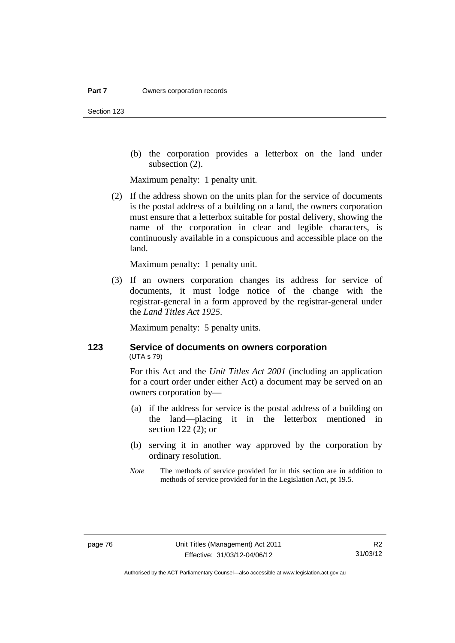Section 123

 (b) the corporation provides a letterbox on the land under subsection (2).

Maximum penalty: 1 penalty unit.

 (2) If the address shown on the units plan for the service of documents is the postal address of a building on a land, the owners corporation must ensure that a letterbox suitable for postal delivery, showing the name of the corporation in clear and legible characters, is continuously available in a conspicuous and accessible place on the land.

Maximum penalty: 1 penalty unit.

 (3) If an owners corporation changes its address for service of documents, it must lodge notice of the change with the registrar-general in a form approved by the registrar-general under the *Land Titles Act 1925*.

Maximum penalty: 5 penalty units.

## **123 Service of documents on owners corporation**  (UTA s 79)

For this Act and the *Unit Titles Act 2001* (including an application for a court order under either Act) a document may be served on an owners corporation by—

- (a) if the address for service is the postal address of a building on the land—placing it in the letterbox mentioned in section 122 (2); or
- (b) serving it in another way approved by the corporation by ordinary resolution.
- *Note* The methods of service provided for in this section are in addition to methods of service provided for in the Legislation Act, pt 19.5.

Authorised by the ACT Parliamentary Counsel—also accessible at www.legislation.act.gov.au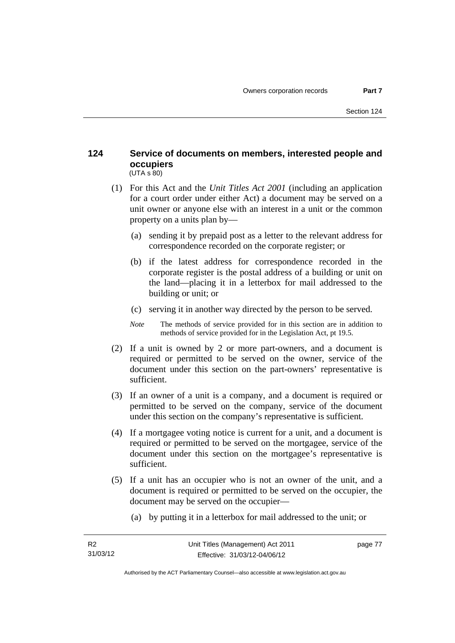### **124 Service of documents on members, interested people and occupiers**   $(UTA S 80)$

- (1) For this Act and the *Unit Titles Act 2001* (including an application for a court order under either Act) a document may be served on a unit owner or anyone else with an interest in a unit or the common property on a units plan by—
	- (a) sending it by prepaid post as a letter to the relevant address for correspondence recorded on the corporate register; or
	- (b) if the latest address for correspondence recorded in the corporate register is the postal address of a building or unit on the land—placing it in a letterbox for mail addressed to the building or unit; or
	- (c) serving it in another way directed by the person to be served.
	- *Note* The methods of service provided for in this section are in addition to methods of service provided for in the Legislation Act, pt 19.5.
- (2) If a unit is owned by 2 or more part-owners, and a document is required or permitted to be served on the owner, service of the document under this section on the part-owners' representative is sufficient.
- (3) If an owner of a unit is a company, and a document is required or permitted to be served on the company, service of the document under this section on the company's representative is sufficient.
- (4) If a mortgagee voting notice is current for a unit, and a document is required or permitted to be served on the mortgagee, service of the document under this section on the mortgagee's representative is sufficient.
- (5) If a unit has an occupier who is not an owner of the unit, and a document is required or permitted to be served on the occupier, the document may be served on the occupier—
	- (a) by putting it in a letterbox for mail addressed to the unit; or

page 77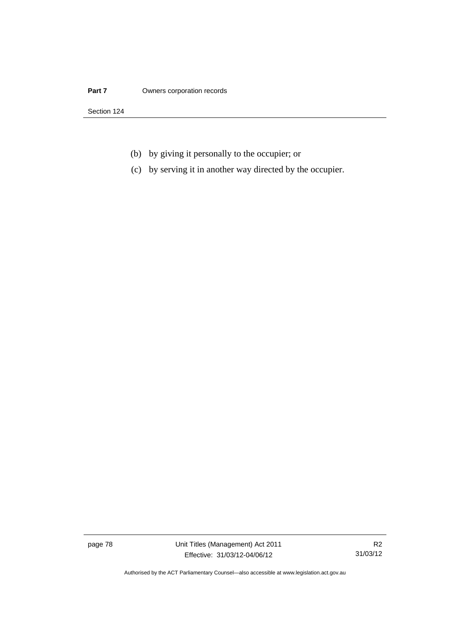#### **Part 7 Owners corporation records**

Section 124

- (b) by giving it personally to the occupier; or
- (c) by serving it in another way directed by the occupier.

page 78 Unit Titles (Management) Act 2011 Effective: 31/03/12-04/06/12

R2 31/03/12

Authorised by the ACT Parliamentary Counsel—also accessible at www.legislation.act.gov.au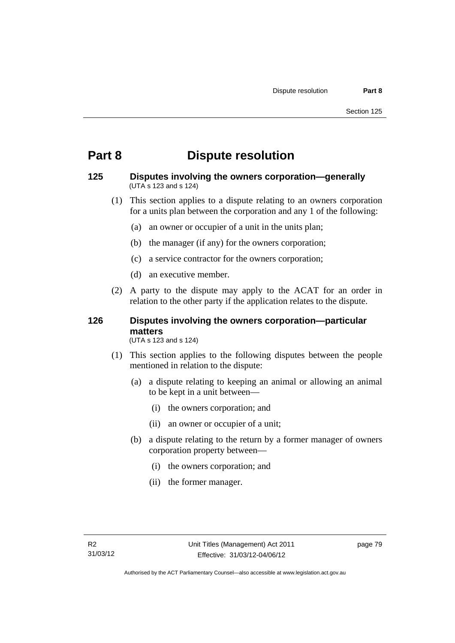# **Part 8 Dispute resolution**

### **125 Disputes involving the owners corporation—generally**  (UTA s 123 and s 124)

- (1) This section applies to a dispute relating to an owners corporation for a units plan between the corporation and any 1 of the following:
	- (a) an owner or occupier of a unit in the units plan;
	- (b) the manager (if any) for the owners corporation;
	- (c) a service contractor for the owners corporation;
	- (d) an executive member.
- (2) A party to the dispute may apply to the ACAT for an order in relation to the other party if the application relates to the dispute.

# **126 Disputes involving the owners corporation—particular matters**

(UTA s 123 and s 124)

- (1) This section applies to the following disputes between the people mentioned in relation to the dispute:
	- (a) a dispute relating to keeping an animal or allowing an animal to be kept in a unit between—
		- (i) the owners corporation; and
		- (ii) an owner or occupier of a unit;
	- (b) a dispute relating to the return by a former manager of owners corporation property between—
		- (i) the owners corporation; and
		- (ii) the former manager.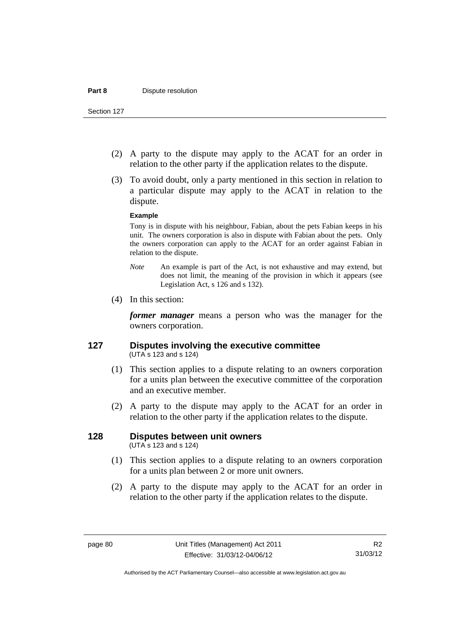- (2) A party to the dispute may apply to the ACAT for an order in relation to the other party if the application relates to the dispute.
- (3) To avoid doubt, only a party mentioned in this section in relation to a particular dispute may apply to the ACAT in relation to the dispute.

#### **Example**

Tony is in dispute with his neighbour, Fabian, about the pets Fabian keeps in his unit. The owners corporation is also in dispute with Fabian about the pets. Only the owners corporation can apply to the ACAT for an order against Fabian in relation to the dispute.

- *Note* An example is part of the Act, is not exhaustive and may extend, but does not limit, the meaning of the provision in which it appears (see Legislation Act, s 126 and s 132).
- (4) In this section:

*former manager* means a person who was the manager for the owners corporation.

### **127 Disputes involving the executive committee**  (UTA s 123 and s 124)

- (1) This section applies to a dispute relating to an owners corporation for a units plan between the executive committee of the corporation and an executive member.
- (2) A party to the dispute may apply to the ACAT for an order in relation to the other party if the application relates to the dispute.

# **128 Disputes between unit owners**

(UTA s 123 and s 124)

- (1) This section applies to a dispute relating to an owners corporation for a units plan between 2 or more unit owners.
- (2) A party to the dispute may apply to the ACAT for an order in relation to the other party if the application relates to the dispute.

Authorised by the ACT Parliamentary Counsel—also accessible at www.legislation.act.gov.au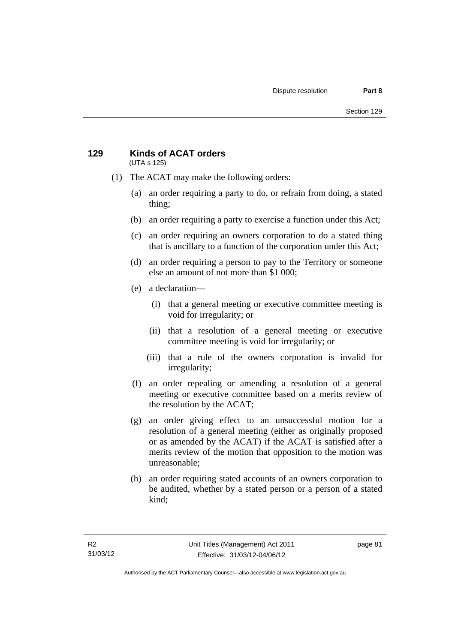### **129 Kinds of ACAT orders**  (UTA s 125)

- (1) The ACAT may make the following orders:
	- (a) an order requiring a party to do, or refrain from doing, a stated thing;
	- (b) an order requiring a party to exercise a function under this Act;
	- (c) an order requiring an owners corporation to do a stated thing that is ancillary to a function of the corporation under this Act;
	- (d) an order requiring a person to pay to the Territory or someone else an amount of not more than \$1 000;
	- (e) a declaration—
		- (i) that a general meeting or executive committee meeting is void for irregularity; or
		- (ii) that a resolution of a general meeting or executive committee meeting is void for irregularity; or
		- (iii) that a rule of the owners corporation is invalid for irregularity;
	- (f) an order repealing or amending a resolution of a general meeting or executive committee based on a merits review of the resolution by the ACAT;
	- (g) an order giving effect to an unsuccessful motion for a resolution of a general meeting (either as originally proposed or as amended by the ACAT) if the ACAT is satisfied after a merits review of the motion that opposition to the motion was unreasonable;
	- (h) an order requiring stated accounts of an owners corporation to be audited, whether by a stated person or a person of a stated kind;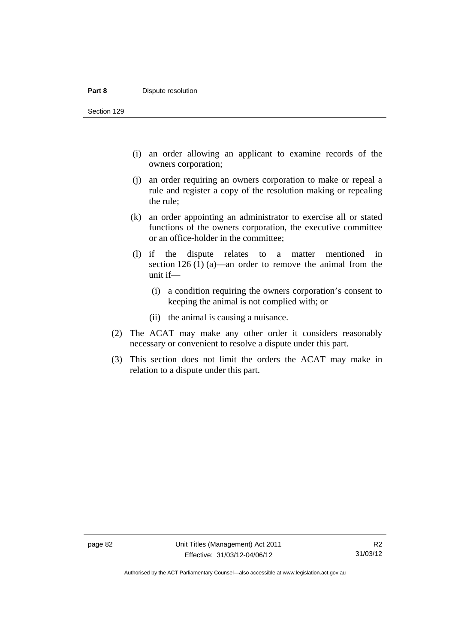#### **Part 8 Dispute resolution**

Section 129

- (i) an order allowing an applicant to examine records of the owners corporation;
- (j) an order requiring an owners corporation to make or repeal a rule and register a copy of the resolution making or repealing the rule;
- (k) an order appointing an administrator to exercise all or stated functions of the owners corporation, the executive committee or an office-holder in the committee;
- (l) if the dispute relates to a matter mentioned in section 126 (1) (a)—an order to remove the animal from the unit if—
	- (i) a condition requiring the owners corporation's consent to keeping the animal is not complied with; or
	- (ii) the animal is causing a nuisance.
- (2) The ACAT may make any other order it considers reasonably necessary or convenient to resolve a dispute under this part.
- (3) This section does not limit the orders the ACAT may make in relation to a dispute under this part.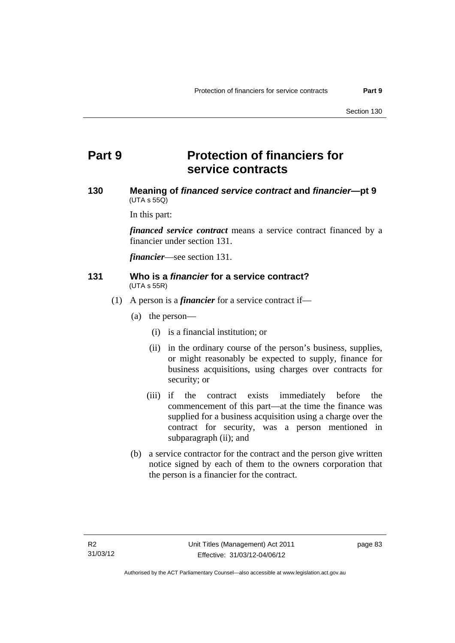# **Part 9 Protection of financiers for service contracts**

## **130 Meaning of** *financed service contract* **and** *financier***—pt 9**   $(UTA \, s \, 55Q)$

In this part:

*financed service contract* means a service contract financed by a financier under section 131.

*financier*—see section 131.

#### **131 Who is a** *financier* **for a service contract?**  (UTA s 55R)

- (1) A person is a *financier* for a service contract if—
	- (a) the person—
		- (i) is a financial institution; or
		- (ii) in the ordinary course of the person's business, supplies, or might reasonably be expected to supply, finance for business acquisitions, using charges over contracts for security; or
		- (iii) if the contract exists immediately before the commencement of this part—at the time the finance was supplied for a business acquisition using a charge over the contract for security, was a person mentioned in subparagraph (ii); and
	- (b) a service contractor for the contract and the person give written notice signed by each of them to the owners corporation that the person is a financier for the contract.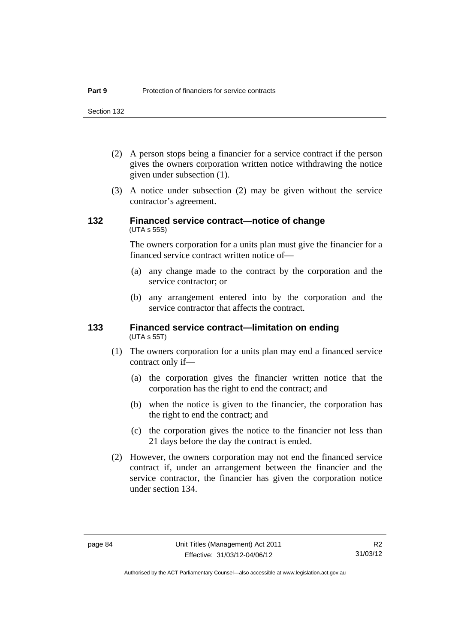Section 132

- (2) A person stops being a financier for a service contract if the person gives the owners corporation written notice withdrawing the notice given under subsection (1).
- (3) A notice under subsection (2) may be given without the service contractor's agreement.

## **132 Financed service contract—notice of change**  (UTA s 55S)

The owners corporation for a units plan must give the financier for a financed service contract written notice of—

- (a) any change made to the contract by the corporation and the service contractor; or
- (b) any arrangement entered into by the corporation and the service contractor that affects the contract.

#### **133 Financed service contract—limitation on ending**  (UTA s 55T)

- (1) The owners corporation for a units plan may end a financed service contract only if—
	- (a) the corporation gives the financier written notice that the corporation has the right to end the contract; and
	- (b) when the notice is given to the financier, the corporation has the right to end the contract; and
	- (c) the corporation gives the notice to the financier not less than 21 days before the day the contract is ended.
- (2) However, the owners corporation may not end the financed service contract if, under an arrangement between the financier and the service contractor, the financier has given the corporation notice under section 134.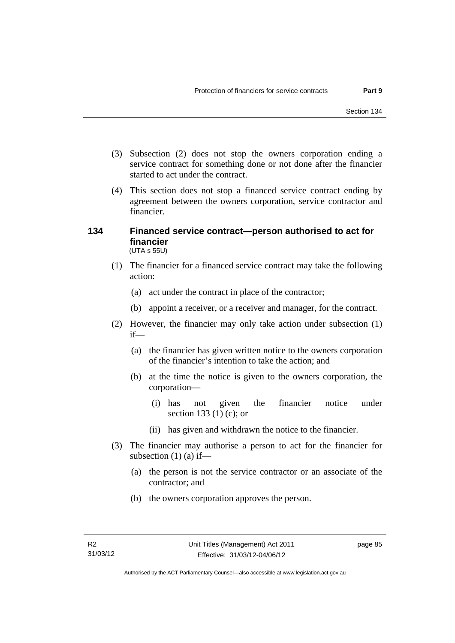- (3) Subsection (2) does not stop the owners corporation ending a service contract for something done or not done after the financier started to act under the contract.
- (4) This section does not stop a financed service contract ending by agreement between the owners corporation, service contractor and financier.

### **134 Financed service contract—person authorised to act for financier**  (UTA s 55U)

- (1) The financier for a financed service contract may take the following action:
	- (a) act under the contract in place of the contractor;
	- (b) appoint a receiver, or a receiver and manager, for the contract.
- (2) However, the financier may only take action under subsection (1) if—
	- (a) the financier has given written notice to the owners corporation of the financier's intention to take the action; and
	- (b) at the time the notice is given to the owners corporation, the corporation—
		- (i) has not given the financier notice under section 133 (1) (c); or
		- (ii) has given and withdrawn the notice to the financier.
- (3) The financier may authorise a person to act for the financier for subsection  $(1)$  (a) if—
	- (a) the person is not the service contractor or an associate of the contractor; and
	- (b) the owners corporation approves the person.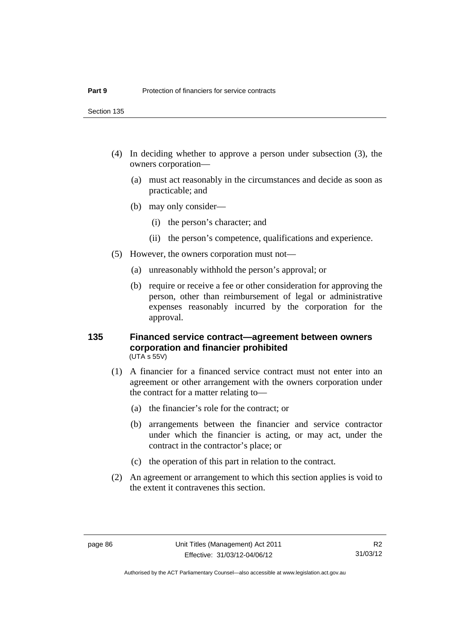Section 135

- (4) In deciding whether to approve a person under subsection (3), the owners corporation—
	- (a) must act reasonably in the circumstances and decide as soon as practicable; and
	- (b) may only consider—
		- (i) the person's character; and
		- (ii) the person's competence, qualifications and experience.
- (5) However, the owners corporation must not—
	- (a) unreasonably withhold the person's approval; or
	- (b) require or receive a fee or other consideration for approving the person, other than reimbursement of legal or administrative expenses reasonably incurred by the corporation for the approval.

#### **135 Financed service contract—agreement between owners corporation and financier prohibited**  (UTA s 55V)

- (1) A financier for a financed service contract must not enter into an agreement or other arrangement with the owners corporation under the contract for a matter relating to—
	- (a) the financier's role for the contract; or
	- (b) arrangements between the financier and service contractor under which the financier is acting, or may act, under the contract in the contractor's place; or
	- (c) the operation of this part in relation to the contract.
- (2) An agreement or arrangement to which this section applies is void to the extent it contravenes this section.

Authorised by the ACT Parliamentary Counsel—also accessible at www.legislation.act.gov.au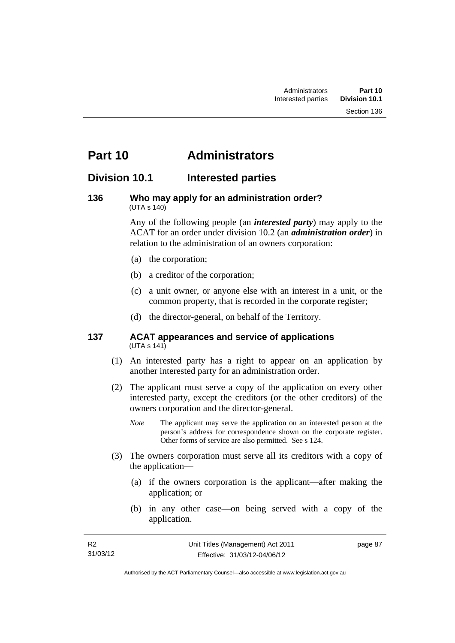# **Part 10 Administrators**

# **Division 10.1 Interested parties**

#### **136 Who may apply for an administration order?**  (UTA s 140)

Any of the following people (an *interested party*) may apply to the ACAT for an order under division 10.2 (an *administration order*) in relation to the administration of an owners corporation:

- (a) the corporation;
- (b) a creditor of the corporation;
- (c) a unit owner, or anyone else with an interest in a unit, or the common property, that is recorded in the corporate register;
- (d) the director-general, on behalf of the Territory.

#### **137 ACAT appearances and service of applications**  (UTA s 141)

- (1) An interested party has a right to appear on an application by another interested party for an administration order.
- (2) The applicant must serve a copy of the application on every other interested party, except the creditors (or the other creditors) of the owners corporation and the director-general.
	- *Note* The applicant may serve the application on an interested person at the person's address for correspondence shown on the corporate register. Other forms of service are also permitted. See s 124.
- (3) The owners corporation must serve all its creditors with a copy of the application—
	- (a) if the owners corporation is the applicant—after making the application; or
	- (b) in any other case—on being served with a copy of the application.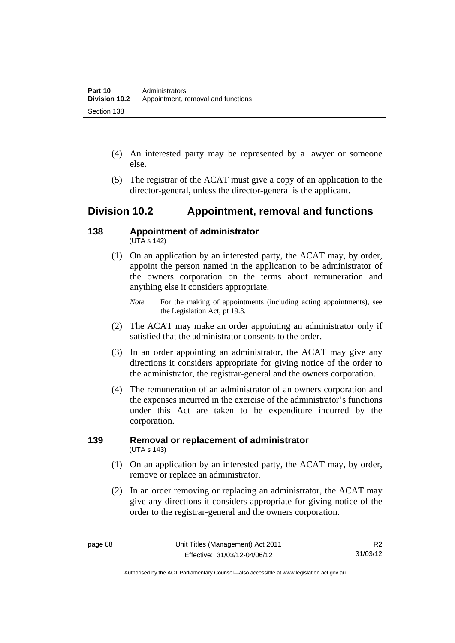- (4) An interested party may be represented by a lawyer or someone else.
- (5) The registrar of the ACAT must give a copy of an application to the director-general, unless the director-general is the applicant.

# **Division 10.2 Appointment, removal and functions**

#### **138 Appointment of administrator**   $(UTA S 142)$

- (1) On an application by an interested party, the ACAT may, by order, appoint the person named in the application to be administrator of the owners corporation on the terms about remuneration and anything else it considers appropriate.
	- *Note* For the making of appointments (including acting appointments), see the Legislation Act, pt 19.3.
- (2) The ACAT may make an order appointing an administrator only if satisfied that the administrator consents to the order.
- (3) In an order appointing an administrator, the ACAT may give any directions it considers appropriate for giving notice of the order to the administrator, the registrar-general and the owners corporation.
- (4) The remuneration of an administrator of an owners corporation and the expenses incurred in the exercise of the administrator's functions under this Act are taken to be expenditure incurred by the corporation.

## **139 Removal or replacement of administrator**  (UTA s 143)

- (1) On an application by an interested party, the ACAT may, by order, remove or replace an administrator.
- (2) In an order removing or replacing an administrator, the ACAT may give any directions it considers appropriate for giving notice of the order to the registrar-general and the owners corporation.

Authorised by the ACT Parliamentary Counsel—also accessible at www.legislation.act.gov.au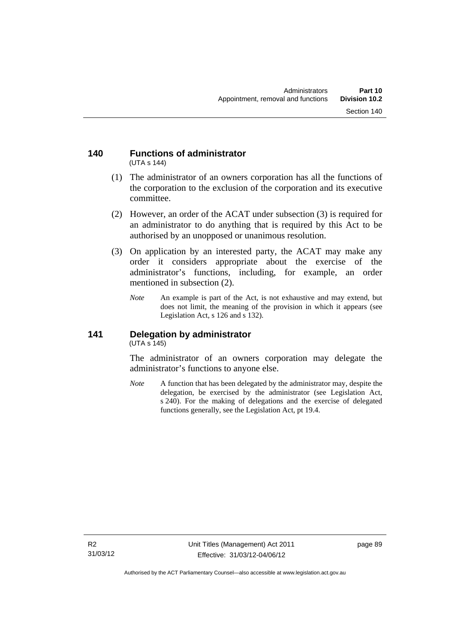#### **140 Functions of administrator**  (UTA s 144)

- (1) The administrator of an owners corporation has all the functions of the corporation to the exclusion of the corporation and its executive committee.
- (2) However, an order of the ACAT under subsection (3) is required for an administrator to do anything that is required by this Act to be authorised by an unopposed or unanimous resolution.
- (3) On application by an interested party, the ACAT may make any order it considers appropriate about the exercise of the administrator's functions, including, for example, an order mentioned in subsection (2).
	- *Note* An example is part of the Act, is not exhaustive and may extend, but does not limit, the meaning of the provision in which it appears (see Legislation Act, s 126 and s 132).

### **141 Delegation by administrator**  (UTA s 145)

The administrator of an owners corporation may delegate the administrator's functions to anyone else.

*Note* A function that has been delegated by the administrator may, despite the delegation, be exercised by the administrator (see Legislation Act, s 240). For the making of delegations and the exercise of delegated functions generally, see the Legislation Act, pt 19.4.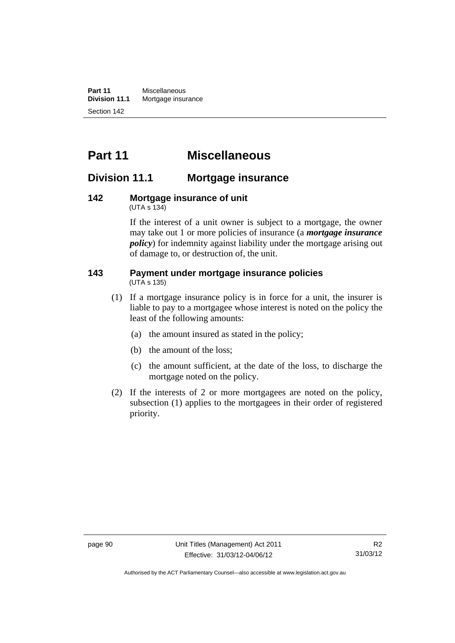**Part 11** Miscellaneous<br>**Division 11.1** Mortgage insur **Mortgage insurance** Section 142

# **Part 11 Miscellaneous**

# **Division 11.1 Mortgage insurance**

#### **142 Mortgage insurance of unit**  (UTA s 134)

If the interest of a unit owner is subject to a mortgage, the owner may take out 1 or more policies of insurance (a *mortgage insurance policy*) for indemnity against liability under the mortgage arising out of damage to, or destruction of, the unit.

#### **143 Payment under mortgage insurance policies**  (UTA s 135)

- (1) If a mortgage insurance policy is in force for a unit, the insurer is liable to pay to a mortgagee whose interest is noted on the policy the least of the following amounts:
	- (a) the amount insured as stated in the policy;
	- (b) the amount of the loss;
	- (c) the amount sufficient, at the date of the loss, to discharge the mortgage noted on the policy.
- (2) If the interests of 2 or more mortgagees are noted on the policy, subsection (1) applies to the mortgagees in their order of registered priority.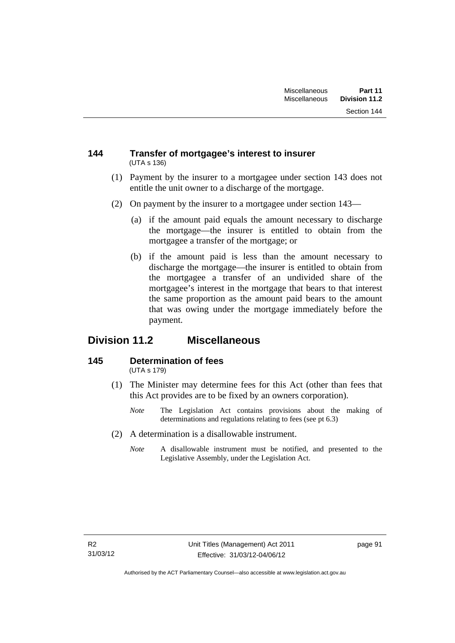### **144 Transfer of mortgagee's interest to insurer**  (UTA s 136)

- (1) Payment by the insurer to a mortgagee under section 143 does not entitle the unit owner to a discharge of the mortgage.
- (2) On payment by the insurer to a mortgagee under section 143—
	- (a) if the amount paid equals the amount necessary to discharge the mortgage—the insurer is entitled to obtain from the mortgagee a transfer of the mortgage; or
	- (b) if the amount paid is less than the amount necessary to discharge the mortgage—the insurer is entitled to obtain from the mortgagee a transfer of an undivided share of the mortgagee's interest in the mortgage that bears to that interest the same proportion as the amount paid bears to the amount that was owing under the mortgage immediately before the payment.

# **Division 11.2 Miscellaneous**

#### **145 Determination of fees**  (UTA s 179)

- (1) The Minister may determine fees for this Act (other than fees that this Act provides are to be fixed by an owners corporation).
	- *Note* The Legislation Act contains provisions about the making of determinations and regulations relating to fees (see pt 6.3)
- (2) A determination is a disallowable instrument.
	- *Note* A disallowable instrument must be notified, and presented to the Legislative Assembly, under the Legislation Act.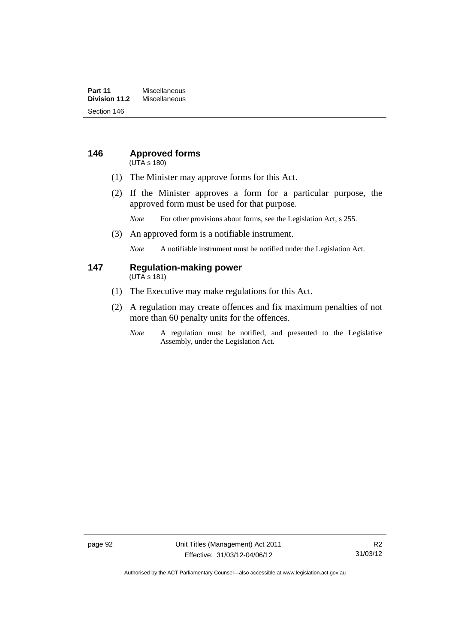### **Part 11** Miscellaneous<br>**Division 11.2** Miscellaneous **Division 11.2** Miscellaneous Section 146

# **146 Approved forms**

(UTA s 180)

- (1) The Minister may approve forms for this Act.
- (2) If the Minister approves a form for a particular purpose, the approved form must be used for that purpose.

*Note* For other provisions about forms, see the Legislation Act, s 255.

(3) An approved form is a notifiable instrument.

*Note* A notifiable instrument must be notified under the Legislation Act.

#### **147 Regulation-making power**  (UTA s 181)

- (1) The Executive may make regulations for this Act.
- (2) A regulation may create offences and fix maximum penalties of not more than 60 penalty units for the offences.
	- *Note* A regulation must be notified, and presented to the Legislative Assembly, under the Legislation Act.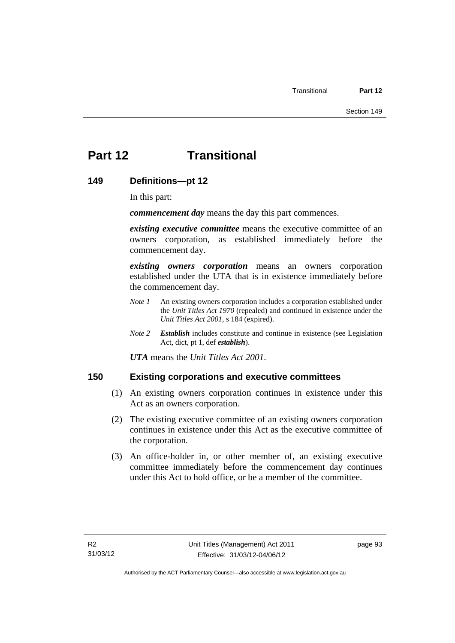# **Part 12 Transitional**

## **149 Definitions—pt 12**

In this part:

*commencement day* means the day this part commences.

*existing executive committee* means the executive committee of an owners corporation, as established immediately before the commencement day.

*existing owners corporation* means an owners corporation established under the UTA that is in existence immediately before the commencement day.

- *Note 1* An existing owners corporation includes a corporation established under the *Unit Titles Act 1970* (repealed) and continued in existence under the *Unit Titles Act 2001*, s 184 (expired).
- *Note 2 Establish* includes constitute and continue in existence (see Legislation Act, dict, pt 1, def *establish*).

*UTA* means the *Unit Titles Act 2001*.

## **150 Existing corporations and executive committees**

- (1) An existing owners corporation continues in existence under this Act as an owners corporation.
- (2) The existing executive committee of an existing owners corporation continues in existence under this Act as the executive committee of the corporation.
- (3) An office-holder in, or other member of, an existing executive committee immediately before the commencement day continues under this Act to hold office, or be a member of the committee.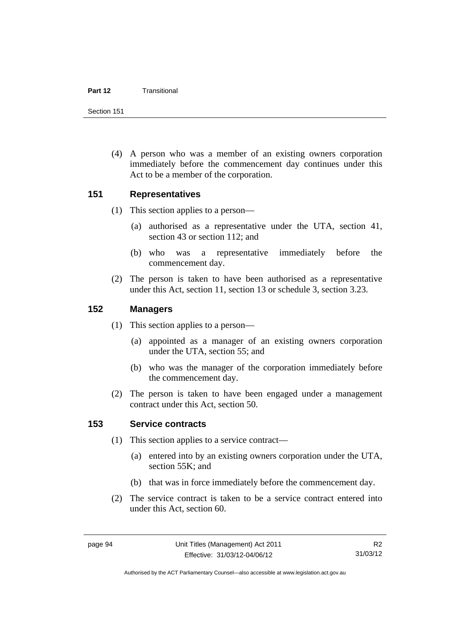#### **Part 12** Transitional

Section 151

 (4) A person who was a member of an existing owners corporation immediately before the commencement day continues under this Act to be a member of the corporation.

## **151 Representatives**

- (1) This section applies to a person—
	- (a) authorised as a representative under the UTA, section 41, section 43 or section 112; and
	- (b) who was a representative immediately before the commencement day.
- (2) The person is taken to have been authorised as a representative under this Act, section 11, section 13 or schedule 3, section 3.23.

## **152 Managers**

- (1) This section applies to a person—
	- (a) appointed as a manager of an existing owners corporation under the UTA, section 55; and
	- (b) who was the manager of the corporation immediately before the commencement day.
- (2) The person is taken to have been engaged under a management contract under this Act, section 50.

# **153 Service contracts**

- (1) This section applies to a service contract—
	- (a) entered into by an existing owners corporation under the UTA, section 55K; and
	- (b) that was in force immediately before the commencement day.
- (2) The service contract is taken to be a service contract entered into under this Act, section 60.

Authorised by the ACT Parliamentary Counsel—also accessible at www.legislation.act.gov.au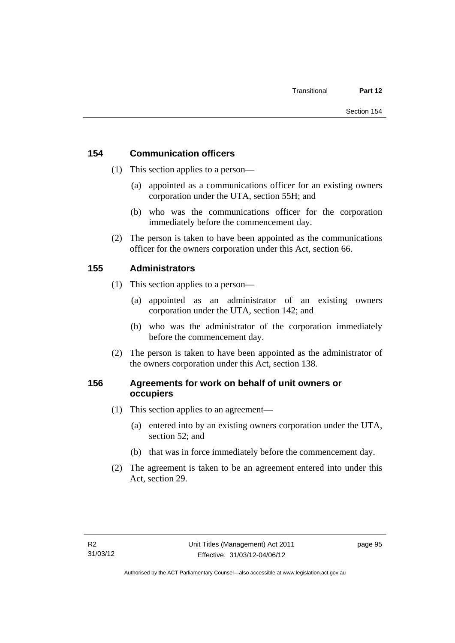# **154 Communication officers**

- (1) This section applies to a person—
	- (a) appointed as a communications officer for an existing owners corporation under the UTA, section 55H; and
	- (b) who was the communications officer for the corporation immediately before the commencement day.
- (2) The person is taken to have been appointed as the communications officer for the owners corporation under this Act, section 66.

# **155 Administrators**

- (1) This section applies to a person—
	- (a) appointed as an administrator of an existing owners corporation under the UTA, section 142; and
	- (b) who was the administrator of the corporation immediately before the commencement day.
- (2) The person is taken to have been appointed as the administrator of the owners corporation under this Act, section 138.

# **156 Agreements for work on behalf of unit owners or occupiers**

- (1) This section applies to an agreement—
	- (a) entered into by an existing owners corporation under the UTA, section 52; and
	- (b) that was in force immediately before the commencement day.
- (2) The agreement is taken to be an agreement entered into under this Act, section 29.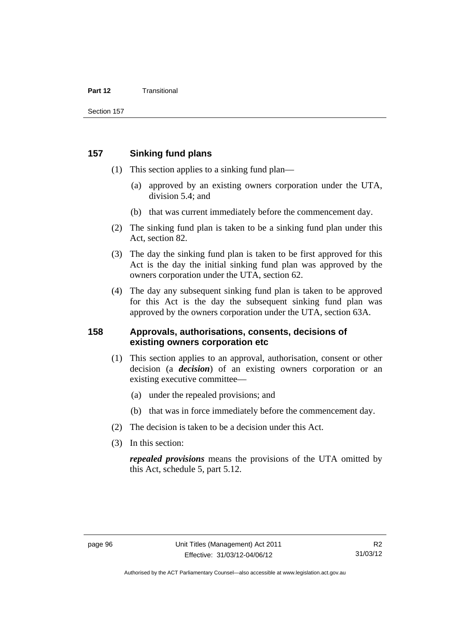#### **Part 12** Transitional

## **157 Sinking fund plans**

- (1) This section applies to a sinking fund plan—
	- (a) approved by an existing owners corporation under the UTA, division 5.4; and
	- (b) that was current immediately before the commencement day.
- (2) The sinking fund plan is taken to be a sinking fund plan under this Act, section 82.
- (3) The day the sinking fund plan is taken to be first approved for this Act is the day the initial sinking fund plan was approved by the owners corporation under the UTA, section 62.
- (4) The day any subsequent sinking fund plan is taken to be approved for this Act is the day the subsequent sinking fund plan was approved by the owners corporation under the UTA, section 63A.

## **158 Approvals, authorisations, consents, decisions of existing owners corporation etc**

- (1) This section applies to an approval, authorisation, consent or other decision (a *decision*) of an existing owners corporation or an existing executive committee—
	- (a) under the repealed provisions; and
	- (b) that was in force immediately before the commencement day.
- (2) The decision is taken to be a decision under this Act.
- (3) In this section:

*repealed provisions* means the provisions of the UTA omitted by this Act, schedule 5, part 5.12.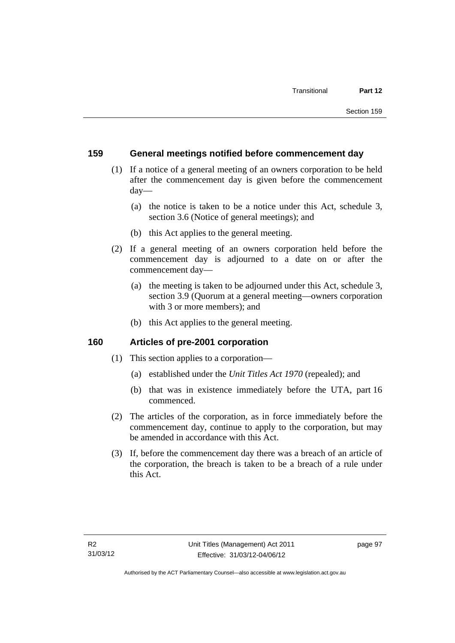## **159 General meetings notified before commencement day**

- (1) If a notice of a general meeting of an owners corporation to be held after the commencement day is given before the commencement day—
	- (a) the notice is taken to be a notice under this Act, schedule 3, section 3.6 (Notice of general meetings); and
	- (b) this Act applies to the general meeting.
- (2) If a general meeting of an owners corporation held before the commencement day is adjourned to a date on or after the commencement day—
	- (a) the meeting is taken to be adjourned under this Act, schedule 3, section 3.9 (Quorum at a general meeting—owners corporation with 3 or more members); and
	- (b) this Act applies to the general meeting.

### **160 Articles of pre-2001 corporation**

- (1) This section applies to a corporation—
	- (a) established under the *Unit Titles Act 1970* (repealed); and
	- (b) that was in existence immediately before the UTA, part 16 commenced.
- (2) The articles of the corporation, as in force immediately before the commencement day, continue to apply to the corporation, but may be amended in accordance with this Act.
- (3) If, before the commencement day there was a breach of an article of the corporation, the breach is taken to be a breach of a rule under this Act.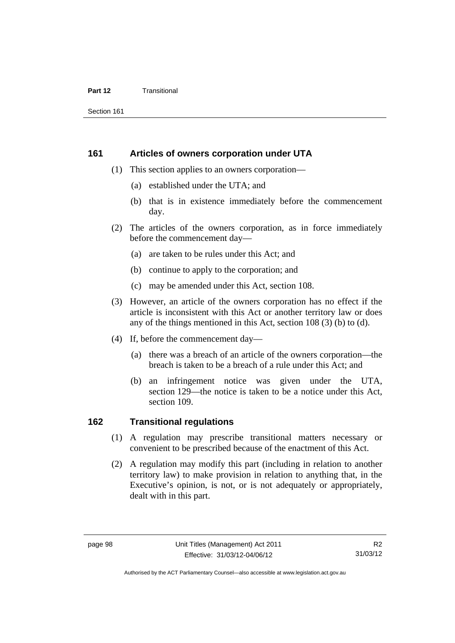#### **Part 12** Transitional

Section 161

#### **161 Articles of owners corporation under UTA**

- (1) This section applies to an owners corporation—
	- (a) established under the UTA; and
	- (b) that is in existence immediately before the commencement day.
- (2) The articles of the owners corporation, as in force immediately before the commencement day—
	- (a) are taken to be rules under this Act; and
	- (b) continue to apply to the corporation; and
	- (c) may be amended under this Act, section 108.
- (3) However, an article of the owners corporation has no effect if the article is inconsistent with this Act or another territory law or does any of the things mentioned in this Act, section 108 (3) (b) to (d).
- (4) If, before the commencement day—
	- (a) there was a breach of an article of the owners corporation—the breach is taken to be a breach of a rule under this Act; and
	- (b) an infringement notice was given under the UTA, section 129—the notice is taken to be a notice under this Act, section 109.

### **162 Transitional regulations**

- (1) A regulation may prescribe transitional matters necessary or convenient to be prescribed because of the enactment of this Act.
- (2) A regulation may modify this part (including in relation to another territory law) to make provision in relation to anything that, in the Executive's opinion, is not, or is not adequately or appropriately, dealt with in this part.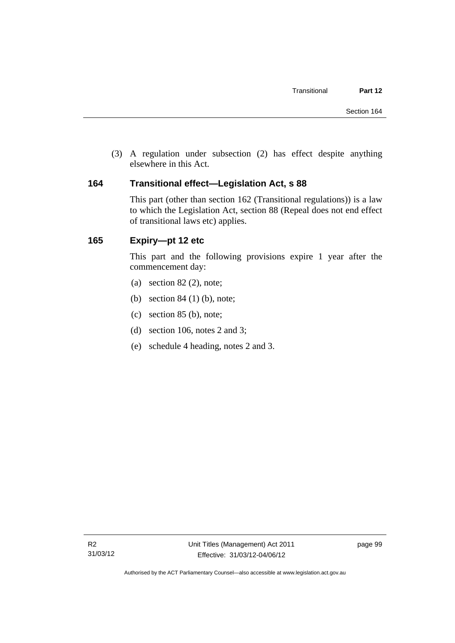(3) A regulation under subsection (2) has effect despite anything elsewhere in this Act.

## **164 Transitional effect—Legislation Act, s 88**

This part (other than section 162 (Transitional regulations)) is a law to which the Legislation Act, section 88 (Repeal does not end effect of transitional laws etc) applies.

## **165 Expiry—pt 12 etc**

This part and the following provisions expire 1 year after the commencement day:

- (a) section  $82(2)$ , note;
- (b) section 84 (1) (b), note;
- (c) section 85 (b), note;
- (d) section 106, notes 2 and 3;
- (e) schedule 4 heading, notes 2 and 3.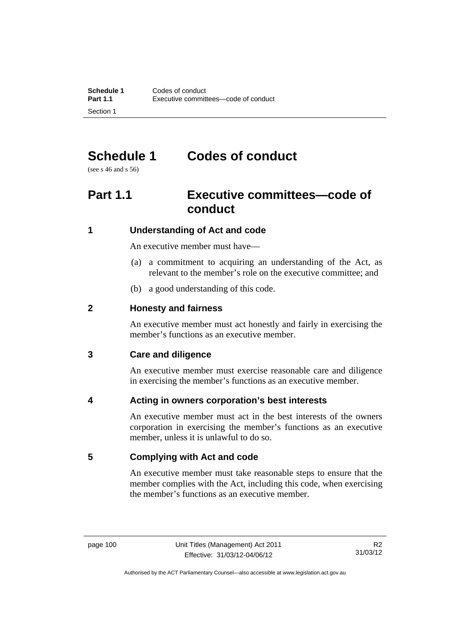## **Schedule 1 Codes of conduct**

(see s 46 and s 56)

## **Part 1.1 Executive committees—code of conduct**

## **1 Understanding of Act and code**

An executive member must have—

- (a) a commitment to acquiring an understanding of the Act, as relevant to the member's role on the executive committee; and
- (b) a good understanding of this code.

## **2 Honesty and fairness**

An executive member must act honestly and fairly in exercising the member's functions as an executive member.

## **3 Care and diligence**

An executive member must exercise reasonable care and diligence in exercising the member's functions as an executive member.

## **4 Acting in owners corporation's best interests**

An executive member must act in the best interests of the owners corporation in exercising the member's functions as an executive member, unless it is unlawful to do so.

## **5 Complying with Act and code**

An executive member must take reasonable steps to ensure that the member complies with the Act, including this code, when exercising the member's functions as an executive member.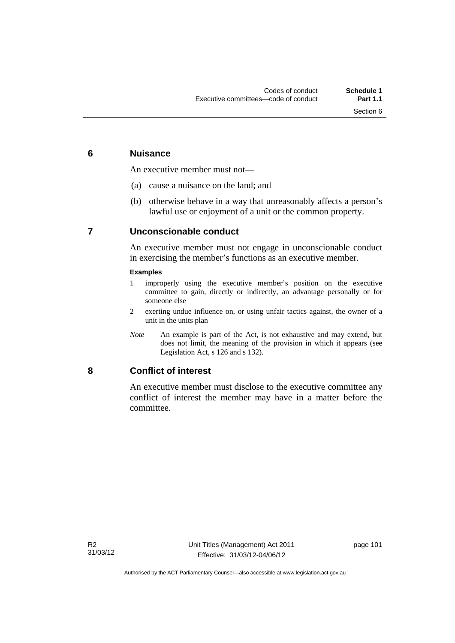### **6 Nuisance**

An executive member must not—

- (a) cause a nuisance on the land; and
- (b) otherwise behave in a way that unreasonably affects a person's lawful use or enjoyment of a unit or the common property.

## **7 Unconscionable conduct**

An executive member must not engage in unconscionable conduct in exercising the member's functions as an executive member.

#### **Examples**

- 1 improperly using the executive member's position on the executive committee to gain, directly or indirectly, an advantage personally or for someone else
- 2 exerting undue influence on, or using unfair tactics against, the owner of a unit in the units plan
- *Note* An example is part of the Act, is not exhaustive and may extend, but does not limit, the meaning of the provision in which it appears (see Legislation Act, s 126 and s 132).

### **8 Conflict of interest**

An executive member must disclose to the executive committee any conflict of interest the member may have in a matter before the committee.

page 101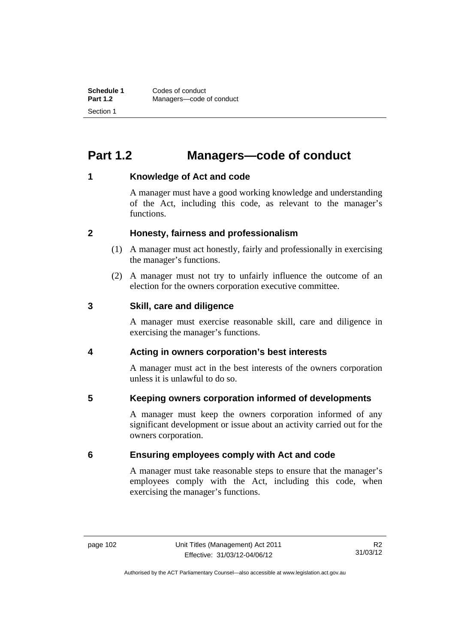## **Part 1.2 Managers—code of conduct**

## **1 Knowledge of Act and code**

A manager must have a good working knowledge and understanding of the Act, including this code, as relevant to the manager's functions.

## **2 Honesty, fairness and professionalism**

- (1) A manager must act honestly, fairly and professionally in exercising the manager's functions.
- (2) A manager must not try to unfairly influence the outcome of an election for the owners corporation executive committee.

### **3 Skill, care and diligence**

A manager must exercise reasonable skill, care and diligence in exercising the manager's functions.

## **4 Acting in owners corporation's best interests**

A manager must act in the best interests of the owners corporation unless it is unlawful to do so.

## **5 Keeping owners corporation informed of developments**

A manager must keep the owners corporation informed of any significant development or issue about an activity carried out for the owners corporation.

## **6 Ensuring employees comply with Act and code**

A manager must take reasonable steps to ensure that the manager's employees comply with the Act, including this code, when exercising the manager's functions.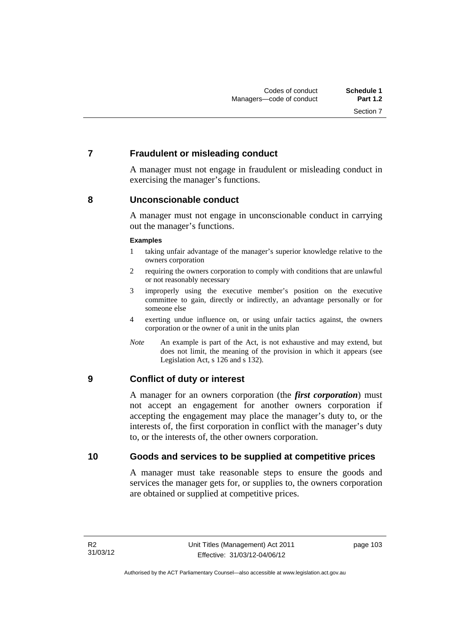## **7 Fraudulent or misleading conduct**

A manager must not engage in fraudulent or misleading conduct in exercising the manager's functions.

## **8 Unconscionable conduct**

A manager must not engage in unconscionable conduct in carrying out the manager's functions.

#### **Examples**

- 1 taking unfair advantage of the manager's superior knowledge relative to the owners corporation
- 2 requiring the owners corporation to comply with conditions that are unlawful or not reasonably necessary
- 3 improperly using the executive member's position on the executive committee to gain, directly or indirectly, an advantage personally or for someone else
- 4 exerting undue influence on, or using unfair tactics against, the owners corporation or the owner of a unit in the units plan
- *Note* An example is part of the Act, is not exhaustive and may extend, but does not limit, the meaning of the provision in which it appears (see Legislation Act, s 126 and s 132).

## **9 Conflict of duty or interest**

A manager for an owners corporation (the *first corporation*) must not accept an engagement for another owners corporation if accepting the engagement may place the manager's duty to, or the interests of, the first corporation in conflict with the manager's duty to, or the interests of, the other owners corporation.

### **10 Goods and services to be supplied at competitive prices**

A manager must take reasonable steps to ensure the goods and services the manager gets for, or supplies to, the owners corporation are obtained or supplied at competitive prices.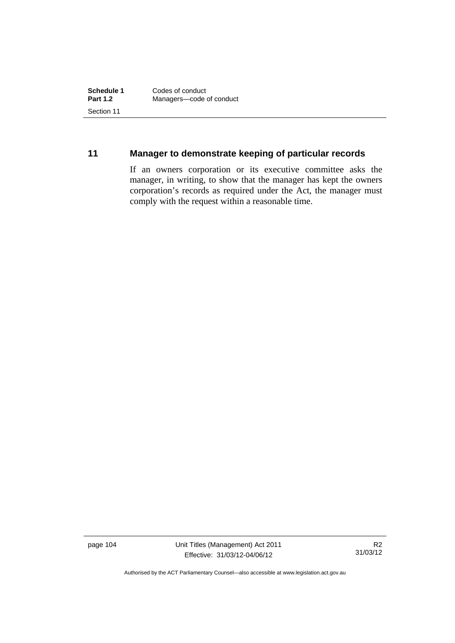## **11 Manager to demonstrate keeping of particular records**

If an owners corporation or its executive committee asks the manager, in writing, to show that the manager has kept the owners corporation's records as required under the Act, the manager must comply with the request within a reasonable time.

page 104 Unit Titles (Management) Act 2011 Effective: 31/03/12-04/06/12

R2 31/03/12

Authorised by the ACT Parliamentary Counsel—also accessible at www.legislation.act.gov.au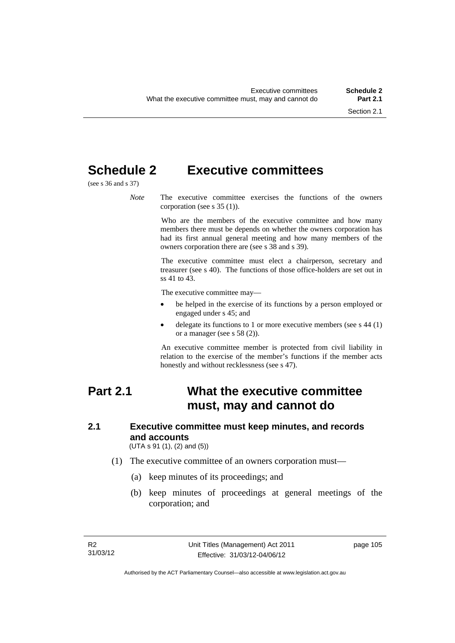## **Schedule 2 Executive committees**

(see s 36 and s 37)

*Note* The executive committee exercises the functions of the owners corporation (see s 35 (1)).

> Who are the members of the executive committee and how many members there must be depends on whether the owners corporation has had its first annual general meeting and how many members of the owners corporation there are (see s 38 and s 39).

> The executive committee must elect a chairperson, secretary and treasurer (see s 40). The functions of those office-holders are set out in ss 41 to 43.

The executive committee may—

- be helped in the exercise of its functions by a person employed or engaged under s 45; and
- delegate its functions to 1 or more executive members (see s 44 (1) or a manager (see s 58 (2)).

An executive committee member is protected from civil liability in relation to the exercise of the member's functions if the member acts honestly and without recklessness (see s 47).

## **Part 2.1 What the executive committee must, may and cannot do**

## **2.1 Executive committee must keep minutes, and records and accounts**

(UTA s 91 (1), (2) and (5))

- (1) The executive committee of an owners corporation must—
	- (a) keep minutes of its proceedings; and
	- (b) keep minutes of proceedings at general meetings of the corporation; and

page 105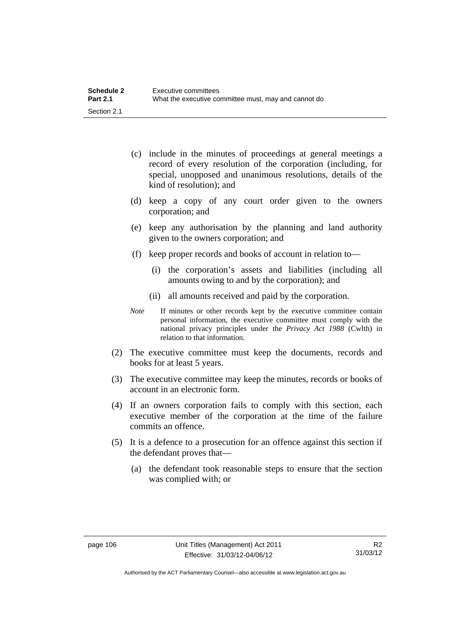| <b>Schedule 2</b> | Executive committees                                 |
|-------------------|------------------------------------------------------|
| <b>Part 2.1</b>   | What the executive committee must, may and cannot do |
| Section 2.1       |                                                      |

- (c) include in the minutes of proceedings at general meetings a record of every resolution of the corporation (including, for special, unopposed and unanimous resolutions, details of the kind of resolution); and
- (d) keep a copy of any court order given to the owners corporation; and
- (e) keep any authorisation by the planning and land authority given to the owners corporation; and
- (f) keep proper records and books of account in relation to—
	- (i) the corporation's assets and liabilities (including all amounts owing to and by the corporation); and
	- (ii) all amounts received and paid by the corporation.
- *Note* If minutes or other records kept by the executive committee contain personal information, the executive committee must comply with the national privacy principles under the *Privacy Act 1988* (Cwlth) in relation to that information.
- (2) The executive committee must keep the documents, records and books for at least 5 years.
- (3) The executive committee may keep the minutes, records or books of account in an electronic form.
- (4) If an owners corporation fails to comply with this section, each executive member of the corporation at the time of the failure commits an offence.
- (5) It is a defence to a prosecution for an offence against this section if the defendant proves that—
	- (a) the defendant took reasonable steps to ensure that the section was complied with; or

Authorised by the ACT Parliamentary Counsel—also accessible at www.legislation.act.gov.au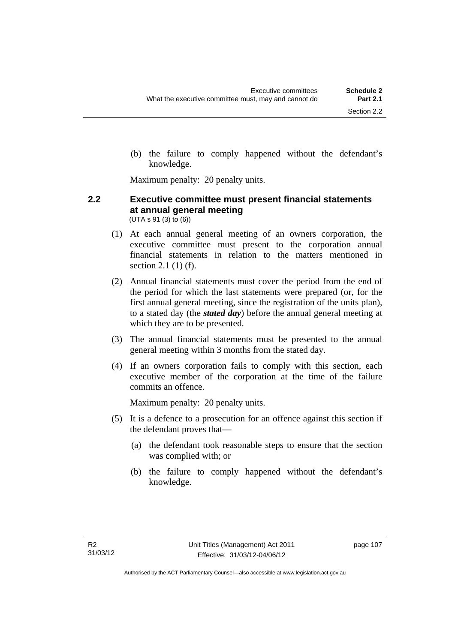(b) the failure to comply happened without the defendant's knowledge.

Maximum penalty: 20 penalty units.

#### **2.2 Executive committee must present financial statements at annual general meeting**  (UTA s 91 (3) to (6))

- (1) At each annual general meeting of an owners corporation, the executive committee must present to the corporation annual financial statements in relation to the matters mentioned in section 2.1 (1) (f).
- (2) Annual financial statements must cover the period from the end of the period for which the last statements were prepared (or, for the first annual general meeting, since the registration of the units plan), to a stated day (the *stated day*) before the annual general meeting at which they are to be presented.
- (3) The annual financial statements must be presented to the annual general meeting within 3 months from the stated day.
- (4) If an owners corporation fails to comply with this section, each executive member of the corporation at the time of the failure commits an offence.

Maximum penalty: 20 penalty units.

- (5) It is a defence to a prosecution for an offence against this section if the defendant proves that—
	- (a) the defendant took reasonable steps to ensure that the section was complied with; or
	- (b) the failure to comply happened without the defendant's knowledge.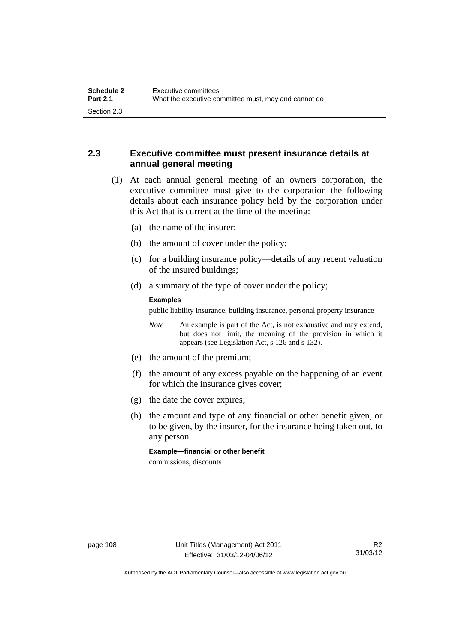## **2.3 Executive committee must present insurance details at annual general meeting**

- (1) At each annual general meeting of an owners corporation, the executive committee must give to the corporation the following details about each insurance policy held by the corporation under this Act that is current at the time of the meeting:
	- (a) the name of the insurer;
	- (b) the amount of cover under the policy;
	- (c) for a building insurance policy—details of any recent valuation of the insured buildings;
	- (d) a summary of the type of cover under the policy;

#### **Examples**

public liability insurance, building insurance, personal property insurance

*Note* An example is part of the Act, is not exhaustive and may extend, but does not limit, the meaning of the provision in which it appears (see Legislation Act, s 126 and s 132).

- (e) the amount of the premium;
- (f) the amount of any excess payable on the happening of an event for which the insurance gives cover;
- (g) the date the cover expires;
- (h) the amount and type of any financial or other benefit given, or to be given, by the insurer, for the insurance being taken out, to any person.

**Example—financial or other benefit** 

commissions, discounts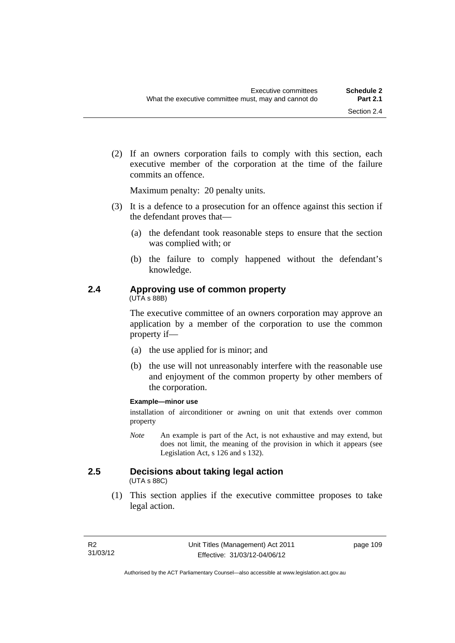(2) If an owners corporation fails to comply with this section, each executive member of the corporation at the time of the failure commits an offence.

Maximum penalty: 20 penalty units.

- (3) It is a defence to a prosecution for an offence against this section if the defendant proves that—
	- (a) the defendant took reasonable steps to ensure that the section was complied with; or
	- (b) the failure to comply happened without the defendant's knowledge.

## **2.4 Approving use of common property**

(UTA s 88B)

The executive committee of an owners corporation may approve an application by a member of the corporation to use the common property if—

- (a) the use applied for is minor; and
- (b) the use will not unreasonably interfere with the reasonable use and enjoyment of the common property by other members of the corporation.

#### **Example—minor use**

installation of airconditioner or awning on unit that extends over common property

*Note* An example is part of the Act, is not exhaustive and may extend, but does not limit, the meaning of the provision in which it appears (see Legislation Act, s 126 and s 132).

## **2.5 Decisions about taking legal action**

(UTA s 88C)

 (1) This section applies if the executive committee proposes to take legal action.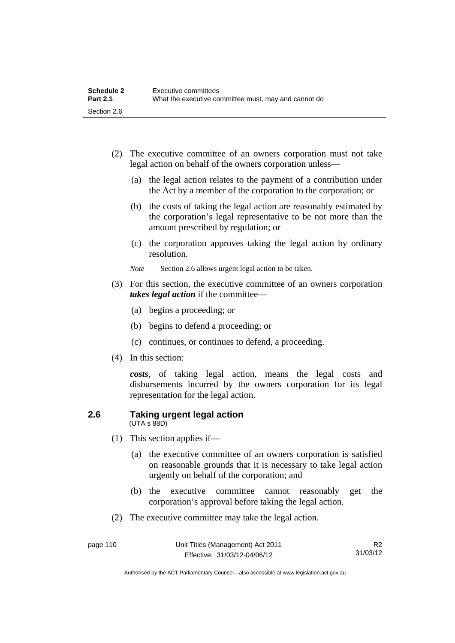| <b>Schedule 2</b> | Executive committees                                 |
|-------------------|------------------------------------------------------|
| <b>Part 2.1</b>   | What the executive committee must, may and cannot do |
| Section 2.6       |                                                      |

- (2) The executive committee of an owners corporation must not take legal action on behalf of the owners corporation unless—
	- (a) the legal action relates to the payment of a contribution under the Act by a member of the corporation to the corporation; or
	- (b) the costs of taking the legal action are reasonably estimated by the corporation's legal representative to be not more than the amount prescribed by regulation; or
	- (c) the corporation approves taking the legal action by ordinary resolution.
	- *Note* Section 2.6 allows urgent legal action to be taken.
- (3) For this section, the executive committee of an owners corporation *takes legal action* if the committee—
	- (a) begins a proceeding; or
	- (b) begins to defend a proceeding; or
	- (c) continues, or continues to defend, a proceeding.
- (4) In this section:

*costs*, of taking legal action, means the legal costs and disbursements incurred by the owners corporation for its legal representation for the legal action.

#### **2.6 Taking urgent legal action**  (UTA s 88D)

- (1) This section applies if—
	- (a) the executive committee of an owners corporation is satisfied on reasonable grounds that it is necessary to take legal action urgently on behalf of the corporation; and
	- (b) the executive committee cannot reasonably get the corporation's approval before taking the legal action.
- (2) The executive committee may take the legal action.

Authorised by the ACT Parliamentary Counsel—also accessible at www.legislation.act.gov.au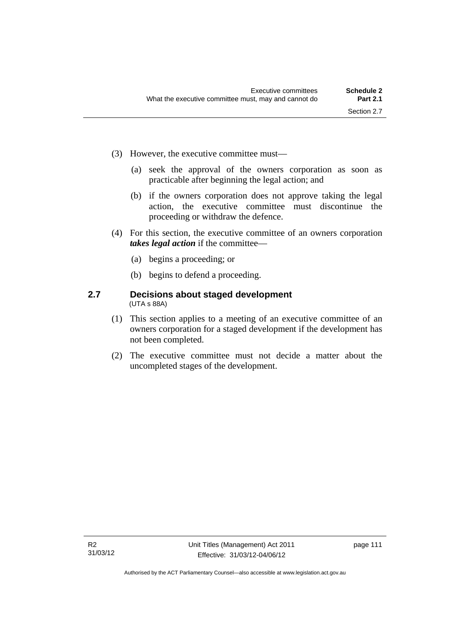- (3) However, the executive committee must—
	- (a) seek the approval of the owners corporation as soon as practicable after beginning the legal action; and
	- (b) if the owners corporation does not approve taking the legal action, the executive committee must discontinue the proceeding or withdraw the defence.
- (4) For this section, the executive committee of an owners corporation *takes legal action* if the committee—
	- (a) begins a proceeding; or
	- (b) begins to defend a proceeding.

#### **2.7 Decisions about staged development**  (UTA s 88A)

- (1) This section applies to a meeting of an executive committee of an owners corporation for a staged development if the development has not been completed.
- (2) The executive committee must not decide a matter about the uncompleted stages of the development.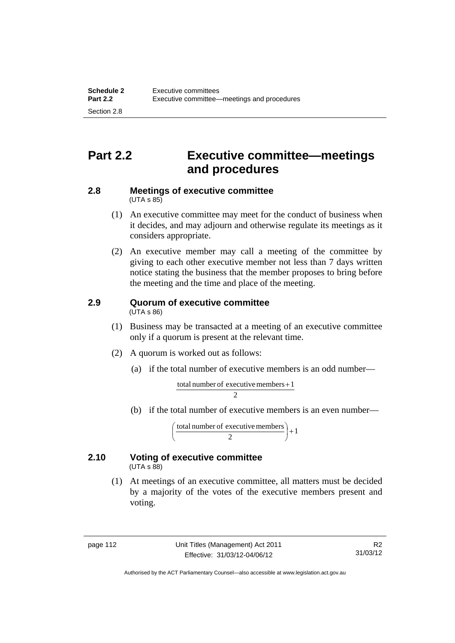## **Part 2.2 Executive committee—meetings and procedures**

#### **2.8 Meetings of executive committee**   $(UTA \, s \, 85)$

- (1) An executive committee may meet for the conduct of business when it decides, and may adjourn and otherwise regulate its meetings as it considers appropriate.
- (2) An executive member may call a meeting of the committee by giving to each other executive member not less than 7 days written notice stating the business that the member proposes to bring before the meeting and the time and place of the meeting.

#### **2.9 Quorum of executive committee**  (UTA s 86)

- (1) Business may be transacted at a meeting of an executive committee only if a quorum is present at the relevant time.
- (2) A quorum is worked out as follows:
	- (a) if the total number of executive members is an odd number—

$$
\frac{\text{total number of executive members} + 1}{2}
$$

(b) if the total number of executive members is an even number—

total number of executive members  $\begin{pmatrix} 2 \end{pmatrix} + 1$ )  $\left(\frac{\text{total number of executive members}}{2}\right)$ l ſ

#### **2.10 Voting of executive committee**   $(UTA \s{5}88)$

 (1) At meetings of an executive committee, all matters must be decided by a majority of the votes of the executive members present and voting.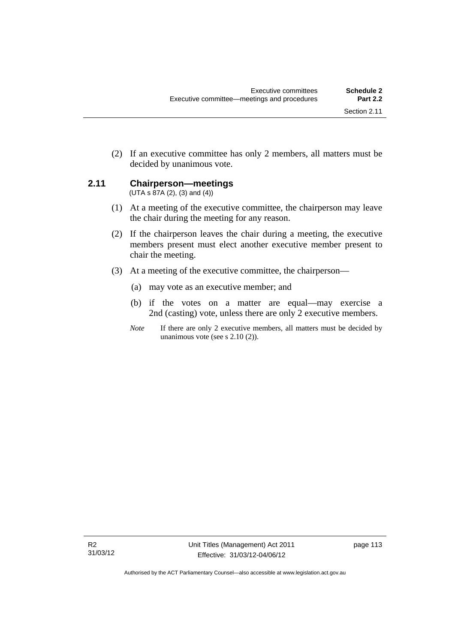(2) If an executive committee has only 2 members, all matters must be decided by unanimous vote.

## **2.11 Chairperson—meetings**

 $(UTA s 87A (2), (3) and (4))$ 

- (1) At a meeting of the executive committee, the chairperson may leave the chair during the meeting for any reason.
- (2) If the chairperson leaves the chair during a meeting, the executive members present must elect another executive member present to chair the meeting.
- (3) At a meeting of the executive committee, the chairperson—
	- (a) may vote as an executive member; and
	- (b) if the votes on a matter are equal—may exercise a 2nd (casting) vote, unless there are only 2 executive members.
	- *Note* If there are only 2 executive members, all matters must be decided by unanimous vote (see s 2.10 (2)).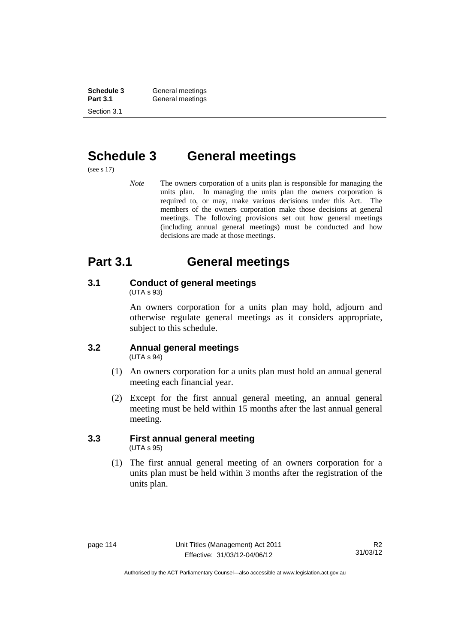**Schedule 3 General meetings**<br> **Part 3.1 General meetings** General meetings Section 3.1

## **Schedule 3 General meetings**

(see s 17)

*Note* The owners corporation of a units plan is responsible for managing the units plan. In managing the units plan the owners corporation is required to, or may, make various decisions under this Act. The members of the owners corporation make those decisions at general meetings. The following provisions set out how general meetings (including annual general meetings) must be conducted and how decisions are made at those meetings.

## **Part 3.1 General meetings**

# **3.1 Conduct of general meetings**

(UTA s 93)

An owners corporation for a units plan may hold, adjourn and otherwise regulate general meetings as it considers appropriate, subject to this schedule.

#### **3.2 Annual general meetings**  (UTA s 94)

- (1) An owners corporation for a units plan must hold an annual general meeting each financial year.
- (2) Except for the first annual general meeting, an annual general meeting must be held within 15 months after the last annual general meeting.

#### **3.3 First annual general meeting**  (UTA s 95)

 (1) The first annual general meeting of an owners corporation for a units plan must be held within 3 months after the registration of the units plan.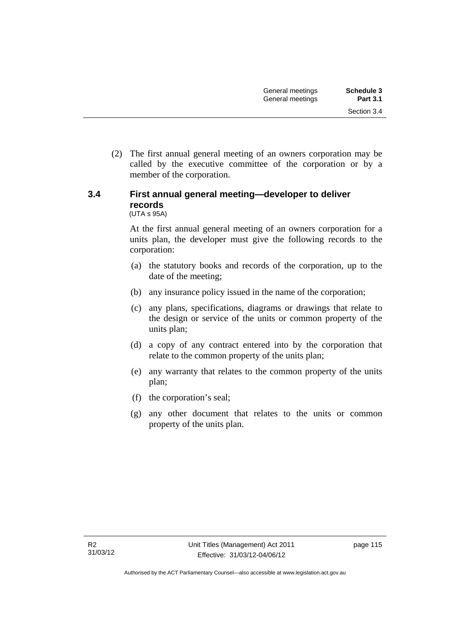(2) The first annual general meeting of an owners corporation may be called by the executive committee of the corporation or by a member of the corporation.

## **3.4 First annual general meeting—developer to deliver records**

(UTA s 95A)

At the first annual general meeting of an owners corporation for a units plan, the developer must give the following records to the corporation:

- (a) the statutory books and records of the corporation, up to the date of the meeting;
- (b) any insurance policy issued in the name of the corporation;
- (c) any plans, specifications, diagrams or drawings that relate to the design or service of the units or common property of the units plan;
- (d) a copy of any contract entered into by the corporation that relate to the common property of the units plan;
- (e) any warranty that relates to the common property of the units plan;
- (f) the corporation's seal;
- (g) any other document that relates to the units or common property of the units plan.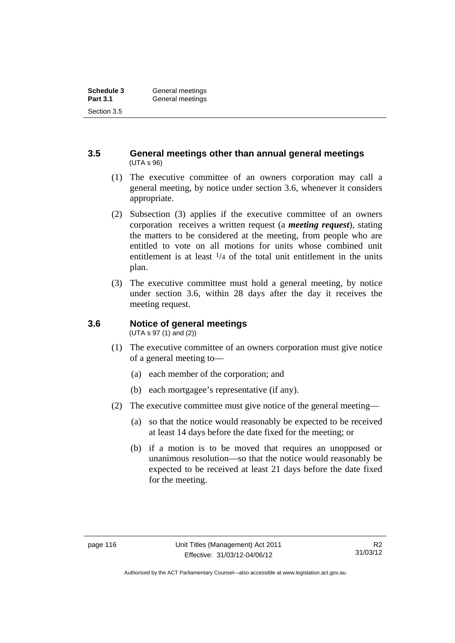### **3.5 General meetings other than annual general meetings**  (UTA s 96)

- (1) The executive committee of an owners corporation may call a general meeting, by notice under section 3.6, whenever it considers appropriate.
- (2) Subsection (3) applies if the executive committee of an owners corporation receives a written request (a *meeting request*), stating the matters to be considered at the meeting, from people who are entitled to vote on all motions for units whose combined unit entitlement is at least  $\frac{1}{4}$  of the total unit entitlement in the units plan.
- (3) The executive committee must hold a general meeting, by notice under section 3.6, within 28 days after the day it receives the meeting request.

## **3.6 Notice of general meetings**

(UTA s 97 (1) and (2))

- (1) The executive committee of an owners corporation must give notice of a general meeting to—
	- (a) each member of the corporation; and
	- (b) each mortgagee's representative (if any).
- (2) The executive committee must give notice of the general meeting—
	- (a) so that the notice would reasonably be expected to be received at least 14 days before the date fixed for the meeting; or
	- (b) if a motion is to be moved that requires an unopposed or unanimous resolution—so that the notice would reasonably be expected to be received at least 21 days before the date fixed for the meeting.

Authorised by the ACT Parliamentary Counsel—also accessible at www.legislation.act.gov.au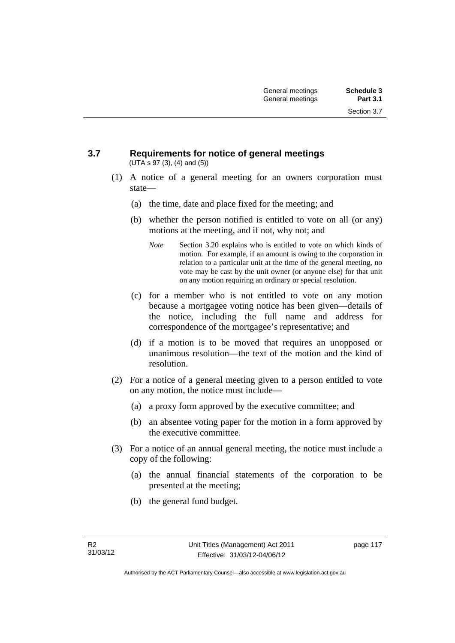Section 3.7

#### **3.7 Requirements for notice of general meetings**  (UTA s 97 (3), (4) and (5))

- (1) A notice of a general meeting for an owners corporation must state—
	- (a) the time, date and place fixed for the meeting; and
	- (b) whether the person notified is entitled to vote on all (or any) motions at the meeting, and if not, why not; and
		- *Note* Section 3.20 explains who is entitled to vote on which kinds of motion. For example, if an amount is owing to the corporation in relation to a particular unit at the time of the general meeting, no vote may be cast by the unit owner (or anyone else) for that unit on any motion requiring an ordinary or special resolution.
	- (c) for a member who is not entitled to vote on any motion because a mortgagee voting notice has been given—details of the notice, including the full name and address for correspondence of the mortgagee's representative; and
	- (d) if a motion is to be moved that requires an unopposed or unanimous resolution—the text of the motion and the kind of resolution.
- (2) For a notice of a general meeting given to a person entitled to vote on any motion, the notice must include—
	- (a) a proxy form approved by the executive committee; and
	- (b) an absentee voting paper for the motion in a form approved by the executive committee.
- (3) For a notice of an annual general meeting, the notice must include a copy of the following:
	- (a) the annual financial statements of the corporation to be presented at the meeting;
	- (b) the general fund budget.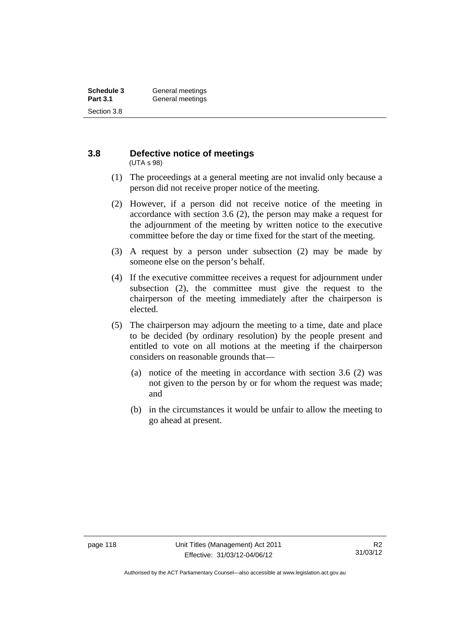#### **3.8 Defective notice of meetings**  (UTA s 98)

- (1) The proceedings at a general meeting are not invalid only because a person did not receive proper notice of the meeting.
- (2) However, if a person did not receive notice of the meeting in accordance with section 3.6 (2), the person may make a request for the adjournment of the meeting by written notice to the executive committee before the day or time fixed for the start of the meeting.
- (3) A request by a person under subsection (2) may be made by someone else on the person's behalf.
- (4) If the executive committee receives a request for adjournment under subsection (2), the committee must give the request to the chairperson of the meeting immediately after the chairperson is elected.
- (5) The chairperson may adjourn the meeting to a time, date and place to be decided (by ordinary resolution) by the people present and entitled to vote on all motions at the meeting if the chairperson considers on reasonable grounds that—
	- (a) notice of the meeting in accordance with section 3.6 (2) was not given to the person by or for whom the request was made; and
	- (b) in the circumstances it would be unfair to allow the meeting to go ahead at present.

Authorised by the ACT Parliamentary Counsel—also accessible at www.legislation.act.gov.au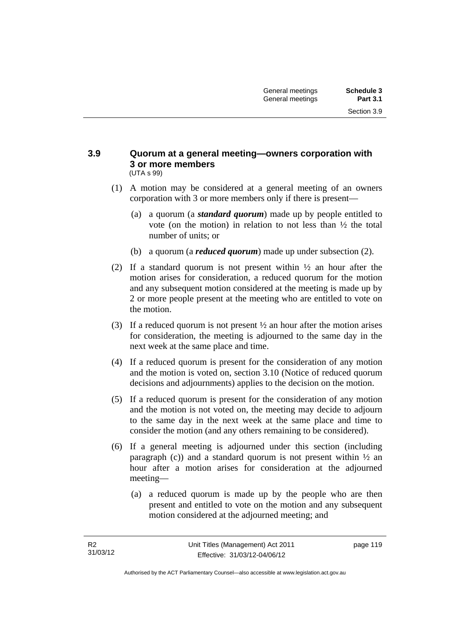#### **3.9 Quorum at a general meeting—owners corporation with 3 or more members**  (UTA s 99)

- (1) A motion may be considered at a general meeting of an owners corporation with 3 or more members only if there is present—
	- (a) a quorum (a *standard quorum*) made up by people entitled to vote (on the motion) in relation to not less than ½ the total number of units; or
	- (b) a quorum (a *reduced quorum*) made up under subsection (2).
- (2) If a standard quorum is not present within  $\frac{1}{2}$  an hour after the motion arises for consideration, a reduced quorum for the motion and any subsequent motion considered at the meeting is made up by 2 or more people present at the meeting who are entitled to vote on the motion.
- (3) If a reduced quorum is not present ½ an hour after the motion arises for consideration, the meeting is adjourned to the same day in the next week at the same place and time.
- (4) If a reduced quorum is present for the consideration of any motion and the motion is voted on, section 3.10 (Notice of reduced quorum decisions and adjournments) applies to the decision on the motion.
- (5) If a reduced quorum is present for the consideration of any motion and the motion is not voted on, the meeting may decide to adjourn to the same day in the next week at the same place and time to consider the motion (and any others remaining to be considered).
- (6) If a general meeting is adjourned under this section (including paragraph (c)) and a standard quorum is not present within  $\frac{1}{2}$  and hour after a motion arises for consideration at the adjourned meeting—
	- (a) a reduced quorum is made up by the people who are then present and entitled to vote on the motion and any subsequent motion considered at the adjourned meeting; and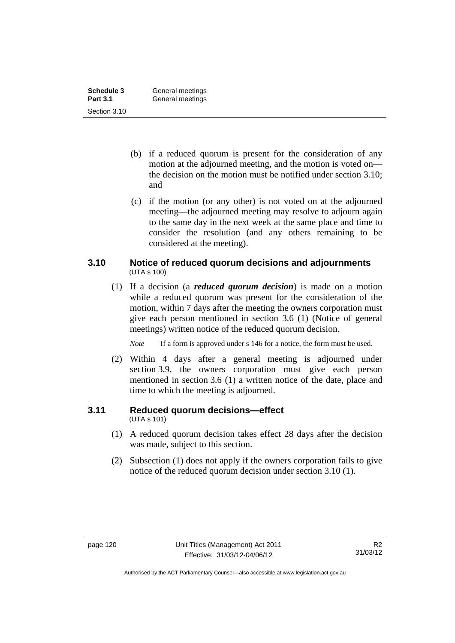| Schedule 3      | General meetings |
|-----------------|------------------|
| <b>Part 3.1</b> | General meetings |
| Section 3.10    |                  |

- (b) if a reduced quorum is present for the consideration of any motion at the adjourned meeting, and the motion is voted on the decision on the motion must be notified under section 3.10; and
- (c) if the motion (or any other) is not voted on at the adjourned meeting—the adjourned meeting may resolve to adjourn again to the same day in the next week at the same place and time to consider the resolution (and any others remaining to be considered at the meeting).

### **3.10 Notice of reduced quorum decisions and adjournments**  (UTA s 100)

 (1) If a decision (a *reduced quorum decision*) is made on a motion while a reduced quorum was present for the consideration of the motion, within 7 days after the meeting the owners corporation must give each person mentioned in section 3.6 (1) (Notice of general meetings) written notice of the reduced quorum decision.

*Note* If a form is approved under s 146 for a notice, the form must be used.

 (2) Within 4 days after a general meeting is adjourned under section 3.9, the owners corporation must give each person mentioned in section 3.6 (1) a written notice of the date, place and time to which the meeting is adjourned.

## **3.11 Reduced quorum decisions—effect**

(UTA s 101)

- (1) A reduced quorum decision takes effect 28 days after the decision was made, subject to this section.
- (2) Subsection (1) does not apply if the owners corporation fails to give notice of the reduced quorum decision under section 3.10 (1).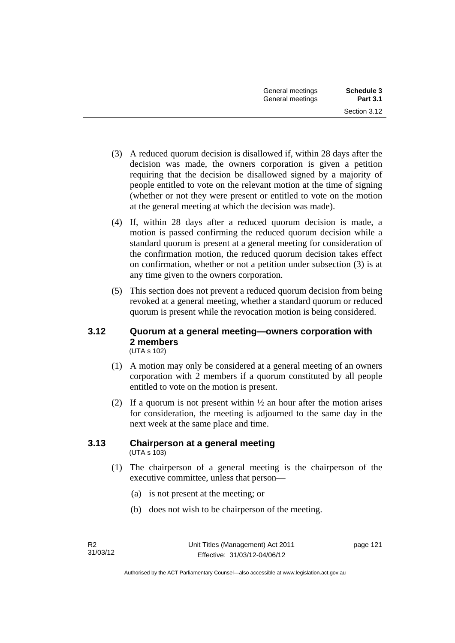- (3) A reduced quorum decision is disallowed if, within 28 days after the decision was made, the owners corporation is given a petition requiring that the decision be disallowed signed by a majority of people entitled to vote on the relevant motion at the time of signing (whether or not they were present or entitled to vote on the motion at the general meeting at which the decision was made).
- (4) If, within 28 days after a reduced quorum decision is made, a motion is passed confirming the reduced quorum decision while a standard quorum is present at a general meeting for consideration of the confirmation motion, the reduced quorum decision takes effect on confirmation, whether or not a petition under subsection (3) is at any time given to the owners corporation.
- (5) This section does not prevent a reduced quorum decision from being revoked at a general meeting, whether a standard quorum or reduced quorum is present while the revocation motion is being considered.

#### **3.12 Quorum at a general meeting—owners corporation with 2 members**  (UTA s 102)

- (1) A motion may only be considered at a general meeting of an owners corporation with 2 members if a quorum constituted by all people entitled to vote on the motion is present.
- (2) If a quorum is not present within  $\frac{1}{2}$  an hour after the motion arises for consideration, the meeting is adjourned to the same day in the next week at the same place and time.

#### **3.13 Chairperson at a general meeting**  (UTA s 103)

- (1) The chairperson of a general meeting is the chairperson of the executive committee, unless that person—
	- (a) is not present at the meeting; or
	- (b) does not wish to be chairperson of the meeting.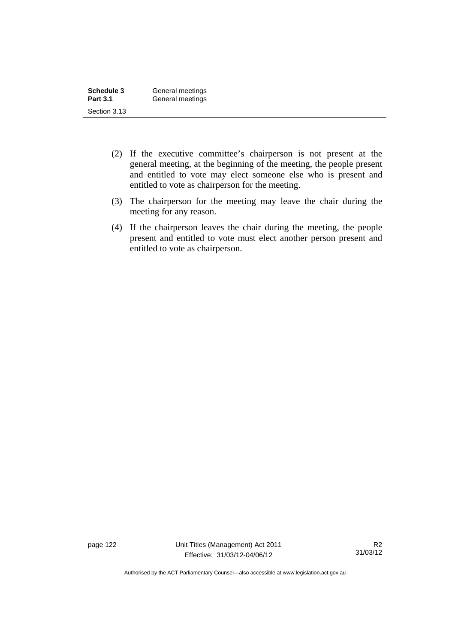| Schedule 3      | General meetings |
|-----------------|------------------|
| <b>Part 3.1</b> | General meetings |
| Section 3.13    |                  |

- (2) If the executive committee's chairperson is not present at the general meeting, at the beginning of the meeting, the people present and entitled to vote may elect someone else who is present and entitled to vote as chairperson for the meeting.
- (3) The chairperson for the meeting may leave the chair during the meeting for any reason.
- (4) If the chairperson leaves the chair during the meeting, the people present and entitled to vote must elect another person present and entitled to vote as chairperson.

page 122 Unit Titles (Management) Act 2011 Effective: 31/03/12-04/06/12

Authorised by the ACT Parliamentary Counsel—also accessible at www.legislation.act.gov.au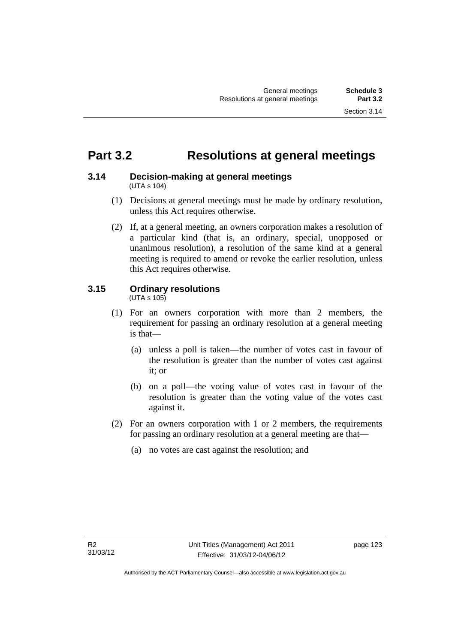## **Part 3.2 Resolutions at general meetings**

#### **3.14 Decision-making at general meetings**  (UTA s 104)

- (1) Decisions at general meetings must be made by ordinary resolution, unless this Act requires otherwise.
- (2) If, at a general meeting, an owners corporation makes a resolution of a particular kind (that is, an ordinary, special, unopposed or unanimous resolution), a resolution of the same kind at a general meeting is required to amend or revoke the earlier resolution, unless this Act requires otherwise.

## **3.15 Ordinary resolutions**

(UTA s 105)

- (1) For an owners corporation with more than 2 members, the requirement for passing an ordinary resolution at a general meeting is that—
	- (a) unless a poll is taken—the number of votes cast in favour of the resolution is greater than the number of votes cast against it; or
	- (b) on a poll—the voting value of votes cast in favour of the resolution is greater than the voting value of the votes cast against it.
- (2) For an owners corporation with 1 or 2 members, the requirements for passing an ordinary resolution at a general meeting are that—
	- (a) no votes are cast against the resolution; and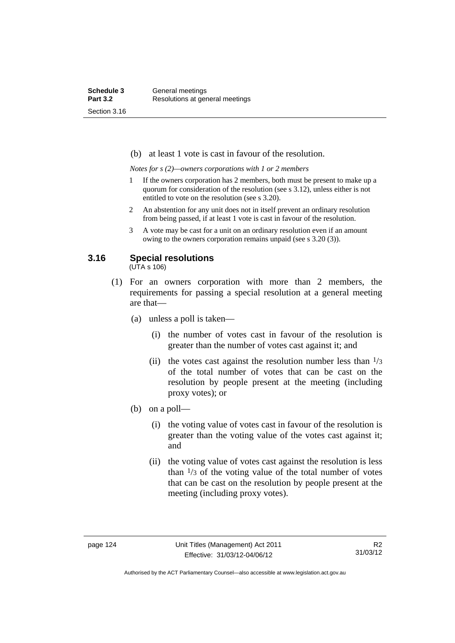(b) at least 1 vote is cast in favour of the resolution.

*Notes for s (2)—owners corporations with 1 or 2 members* 

- 1 If the owners corporation has 2 members, both must be present to make up a quorum for consideration of the resolution (see s 3.12), unless either is not entitled to vote on the resolution (see s 3.20).
- 2 An abstention for any unit does not in itself prevent an ordinary resolution from being passed, if at least 1 vote is cast in favour of the resolution.
- 3 A vote may be cast for a unit on an ordinary resolution even if an amount owing to the owners corporation remains unpaid (see s 3.20 (3)).

### **3.16 Special resolutions**

(UTA s 106)

- (1) For an owners corporation with more than 2 members, the requirements for passing a special resolution at a general meeting are that—
	- (a) unless a poll is taken—
		- (i) the number of votes cast in favour of the resolution is greater than the number of votes cast against it; and
		- (ii) the votes cast against the resolution number less than  $\frac{1}{3}$ of the total number of votes that can be cast on the resolution by people present at the meeting (including proxy votes); or
	- (b) on a poll—
		- (i) the voting value of votes cast in favour of the resolution is greater than the voting value of the votes cast against it; and
		- (ii) the voting value of votes cast against the resolution is less than  $\frac{1}{3}$  of the voting value of the total number of votes that can be cast on the resolution by people present at the meeting (including proxy votes).

Authorised by the ACT Parliamentary Counsel—also accessible at www.legislation.act.gov.au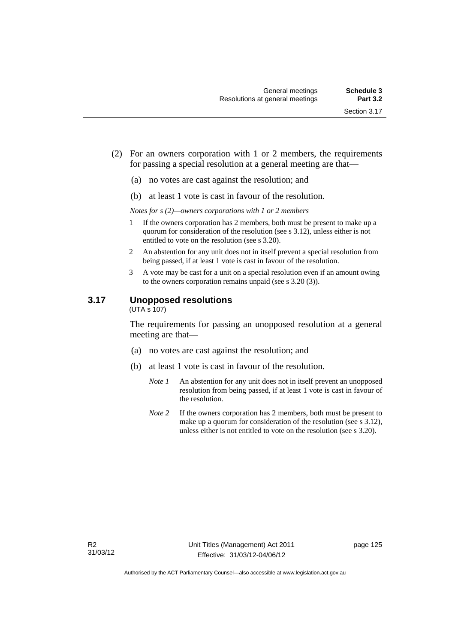- (2) For an owners corporation with 1 or 2 members, the requirements for passing a special resolution at a general meeting are that—
	- (a) no votes are cast against the resolution; and
	- (b) at least 1 vote is cast in favour of the resolution.

*Notes for s (2)—owners corporations with 1 or 2 members* 

- 1 If the owners corporation has 2 members, both must be present to make up a quorum for consideration of the resolution (see s 3.12), unless either is not entitled to vote on the resolution (see s 3.20).
- 2 An abstention for any unit does not in itself prevent a special resolution from being passed, if at least 1 vote is cast in favour of the resolution.
- 3 A vote may be cast for a unit on a special resolution even if an amount owing to the owners corporation remains unpaid (see s 3.20 (3)).

#### **3.17 Unopposed resolutions**

 $(UTA \overline{s} 107)$ 

The requirements for passing an unopposed resolution at a general meeting are that—

- (a) no votes are cast against the resolution; and
- (b) at least 1 vote is cast in favour of the resolution.
	- *Note 1* An abstention for any unit does not in itself prevent an unopposed resolution from being passed, if at least 1 vote is cast in favour of the resolution.
	- *Note* 2 If the owners corporation has 2 members, both must be present to make up a quorum for consideration of the resolution (see s 3.12), unless either is not entitled to vote on the resolution (see s 3.20).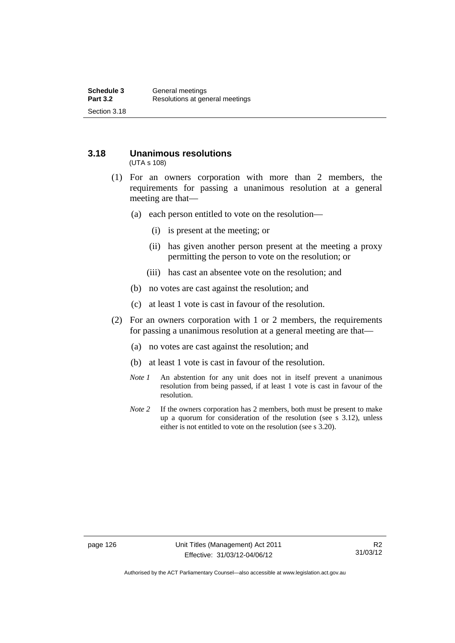## **3.18 Unanimous resolutions**

(UTA s 108)

- (1) For an owners corporation with more than 2 members, the requirements for passing a unanimous resolution at a general meeting are that—
	- (a) each person entitled to vote on the resolution—
		- (i) is present at the meeting; or
		- (ii) has given another person present at the meeting a proxy permitting the person to vote on the resolution; or
		- (iii) has cast an absentee vote on the resolution; and
	- (b) no votes are cast against the resolution; and
	- (c) at least 1 vote is cast in favour of the resolution.
- (2) For an owners corporation with 1 or 2 members, the requirements for passing a unanimous resolution at a general meeting are that—
	- (a) no votes are cast against the resolution; and
	- (b) at least 1 vote is cast in favour of the resolution.
	- *Note 1* An abstention for any unit does not in itself prevent a unanimous resolution from being passed, if at least 1 vote is cast in favour of the resolution.
	- *Note* 2 If the owners corporation has 2 members, both must be present to make up a quorum for consideration of the resolution (see s 3.12), unless either is not entitled to vote on the resolution (see s 3.20).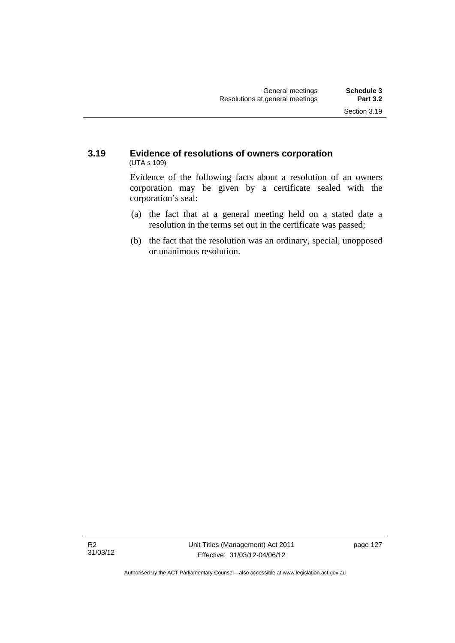### **3.19 Evidence of resolutions of owners corporation**  (UTA s 109)

Evidence of the following facts about a resolution of an owners corporation may be given by a certificate sealed with the corporation's seal:

- (a) the fact that at a general meeting held on a stated date a resolution in the terms set out in the certificate was passed;
- (b) the fact that the resolution was an ordinary, special, unopposed or unanimous resolution.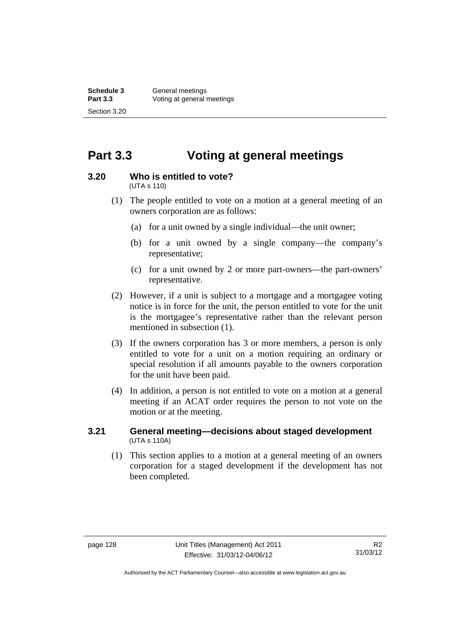## **Part 3.3 Voting at general meetings**

#### **3.20 Who is entitled to vote?**

(UTA s 110)

- (1) The people entitled to vote on a motion at a general meeting of an owners corporation are as follows:
	- (a) for a unit owned by a single individual—the unit owner;
	- (b) for a unit owned by a single company—the company's representative;
	- (c) for a unit owned by 2 or more part-owners—the part-owners' representative.
- (2) However, if a unit is subject to a mortgage and a mortgagee voting notice is in force for the unit, the person entitled to vote for the unit is the mortgagee's representative rather than the relevant person mentioned in subsection (1).
- (3) If the owners corporation has 3 or more members, a person is only entitled to vote for a unit on a motion requiring an ordinary or special resolution if all amounts payable to the owners corporation for the unit have been paid.
- (4) In addition, a person is not entitled to vote on a motion at a general meeting if an ACAT order requires the person to not vote on the motion or at the meeting.

#### **3.21 General meeting—decisions about staged development**  (UTA s 110A)

 (1) This section applies to a motion at a general meeting of an owners corporation for a staged development if the development has not been completed.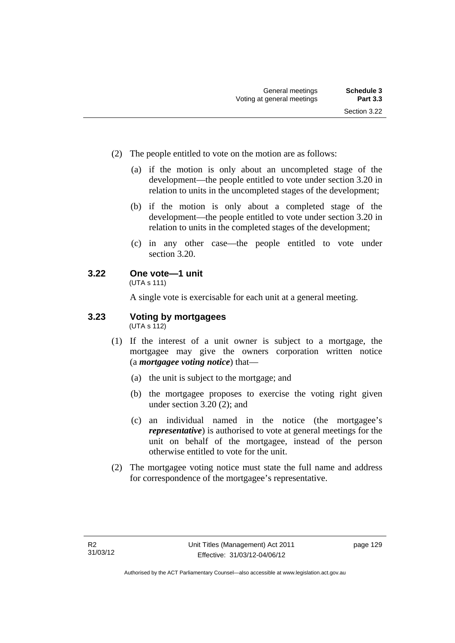- (2) The people entitled to vote on the motion are as follows:
	- (a) if the motion is only about an uncompleted stage of the development—the people entitled to vote under section 3.20 in relation to units in the uncompleted stages of the development;
	- (b) if the motion is only about a completed stage of the development—the people entitled to vote under section 3.20 in relation to units in the completed stages of the development;
	- (c) in any other case—the people entitled to vote under section 3.20.

## **3.22 One vote—1 unit**

(UTA s 111)

A single vote is exercisable for each unit at a general meeting.

#### **3.23 Voting by mortgagees**   $(UTA \s{5}112)$

- (1) If the interest of a unit owner is subject to a mortgage, the mortgagee may give the owners corporation written notice (a *mortgagee voting notice*) that—
	- (a) the unit is subject to the mortgage; and
	- (b) the mortgagee proposes to exercise the voting right given under section 3.20 (2); and
	- (c) an individual named in the notice (the mortgagee's *representative*) is authorised to vote at general meetings for the unit on behalf of the mortgagee, instead of the person otherwise entitled to vote for the unit.
- (2) The mortgagee voting notice must state the full name and address for correspondence of the mortgagee's representative.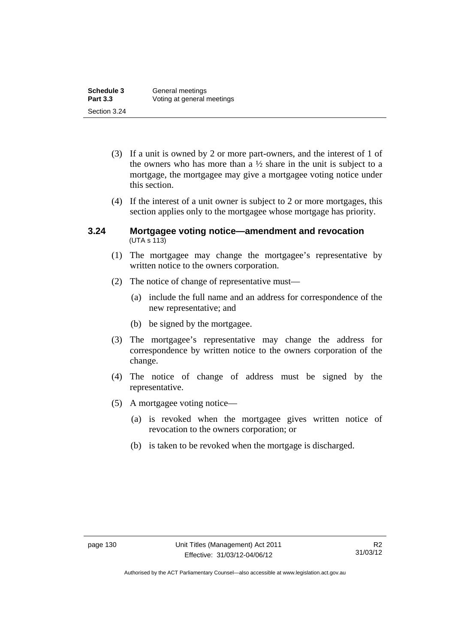| Schedule 3      | General meetings           |
|-----------------|----------------------------|
| <b>Part 3.3</b> | Voting at general meetings |
| Section 3.24    |                            |

- (3) If a unit is owned by 2 or more part-owners, and the interest of 1 of the owners who has more than a  $\frac{1}{2}$  share in the unit is subject to a mortgage, the mortgagee may give a mortgagee voting notice under this section.
- (4) If the interest of a unit owner is subject to 2 or more mortgages, this section applies only to the mortgagee whose mortgage has priority.

### **3.24 Mortgagee voting notice—amendment and revocation**   $(UTA S 113)$

- (1) The mortgagee may change the mortgagee's representative by written notice to the owners corporation.
- (2) The notice of change of representative must—
	- (a) include the full name and an address for correspondence of the new representative; and
	- (b) be signed by the mortgagee.
- (3) The mortgagee's representative may change the address for correspondence by written notice to the owners corporation of the change.
- (4) The notice of change of address must be signed by the representative.
- (5) A mortgagee voting notice—
	- (a) is revoked when the mortgagee gives written notice of revocation to the owners corporation; or
	- (b) is taken to be revoked when the mortgage is discharged.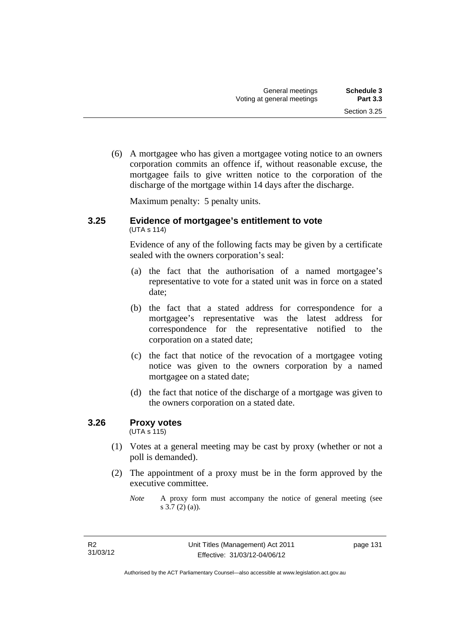(6) A mortgagee who has given a mortgagee voting notice to an owners corporation commits an offence if, without reasonable excuse, the mortgagee fails to give written notice to the corporation of the discharge of the mortgage within 14 days after the discharge.

Maximum penalty: 5 penalty units.

#### **3.25 Evidence of mortgagee's entitlement to vote**  (UTA s 114)

Evidence of any of the following facts may be given by a certificate sealed with the owners corporation's seal:

- (a) the fact that the authorisation of a named mortgagee's representative to vote for a stated unit was in force on a stated date;
- (b) the fact that a stated address for correspondence for a mortgagee's representative was the latest address for correspondence for the representative notified to the corporation on a stated date;
- (c) the fact that notice of the revocation of a mortgagee voting notice was given to the owners corporation by a named mortgagee on a stated date;
- (d) the fact that notice of the discharge of a mortgage was given to the owners corporation on a stated date.

### **3.26 Proxy votes**

(UTA s 115)

- (1) Votes at a general meeting may be cast by proxy (whether or not a poll is demanded).
- (2) The appointment of a proxy must be in the form approved by the executive committee.

*Note* A proxy form must accompany the notice of general meeting (see s 3.7 (2) (a)).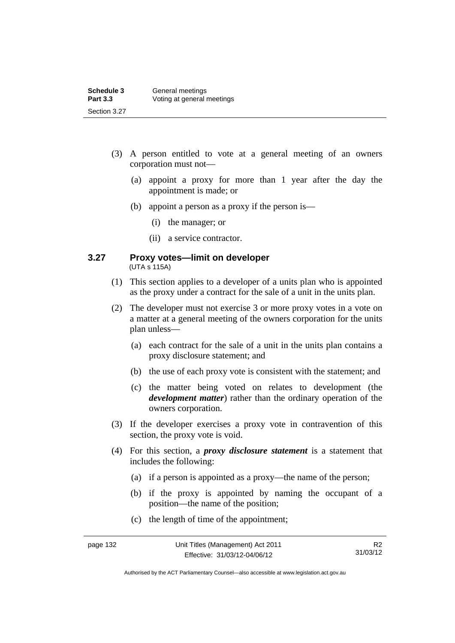| Schedule 3      | General meetings           |
|-----------------|----------------------------|
| <b>Part 3.3</b> | Voting at general meetings |
| Section 3.27    |                            |

- (3) A person entitled to vote at a general meeting of an owners corporation must not—
	- (a) appoint a proxy for more than 1 year after the day the appointment is made; or
	- (b) appoint a person as a proxy if the person is—
		- (i) the manager; or
		- (ii) a service contractor.

#### **3.27 Proxy votes—limit on developer**  (UTA s 115A)

- (1) This section applies to a developer of a units plan who is appointed as the proxy under a contract for the sale of a unit in the units plan.
- (2) The developer must not exercise 3 or more proxy votes in a vote on a matter at a general meeting of the owners corporation for the units plan unless—
	- (a) each contract for the sale of a unit in the units plan contains a proxy disclosure statement; and
	- (b) the use of each proxy vote is consistent with the statement; and
	- (c) the matter being voted on relates to development (the *development matter*) rather than the ordinary operation of the owners corporation.
- (3) If the developer exercises a proxy vote in contravention of this section, the proxy vote is void.
- (4) For this section, a *proxy disclosure statement* is a statement that includes the following:
	- (a) if a person is appointed as a proxy—the name of the person;
	- (b) if the proxy is appointed by naming the occupant of a position—the name of the position;
	- (c) the length of time of the appointment;

R2 31/03/12

Authorised by the ACT Parliamentary Counsel—also accessible at www.legislation.act.gov.au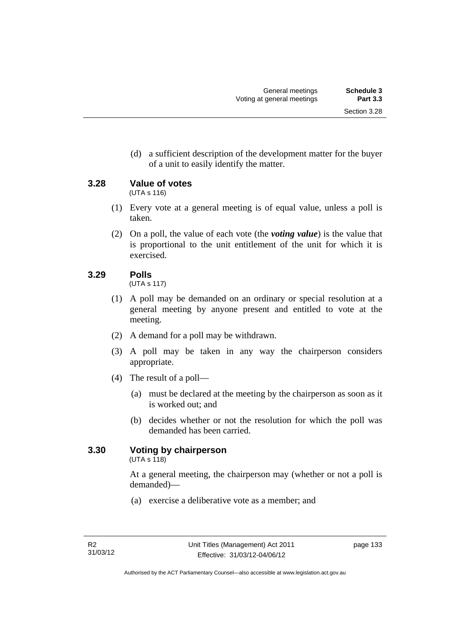(d) a sufficient description of the development matter for the buyer of a unit to easily identify the matter.

**3.28 Value of votes** 

(UTA s 116)

- (1) Every vote at a general meeting is of equal value, unless a poll is taken.
- (2) On a poll, the value of each vote (the *voting value*) is the value that is proportional to the unit entitlement of the unit for which it is exercised.

# **3.29 Polls**

(UTA s 117)

- (1) A poll may be demanded on an ordinary or special resolution at a general meeting by anyone present and entitled to vote at the meeting.
- (2) A demand for a poll may be withdrawn.
- (3) A poll may be taken in any way the chairperson considers appropriate.
- (4) The result of a poll—
	- (a) must be declared at the meeting by the chairperson as soon as it is worked out; and
	- (b) decides whether or not the resolution for which the poll was demanded has been carried.

# **3.30 Voting by chairperson**

 $(UTA s 118)$ 

At a general meeting, the chairperson may (whether or not a poll is demanded)—

(a) exercise a deliberative vote as a member; and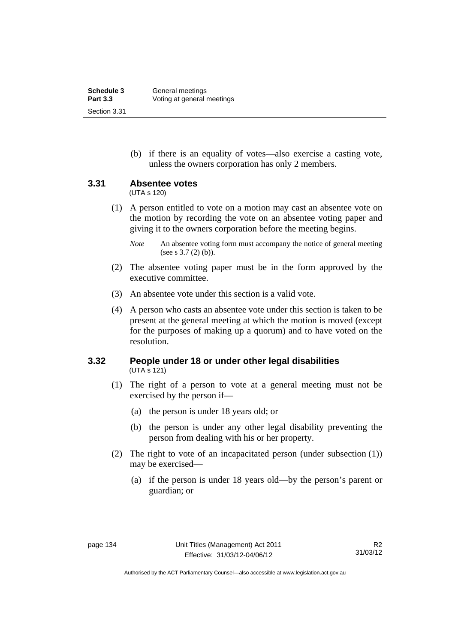| Schedule 3      | General meetings           |
|-----------------|----------------------------|
| <b>Part 3.3</b> | Voting at general meetings |
| Section 3.31    |                            |

 (b) if there is an equality of votes—also exercise a casting vote, unless the owners corporation has only 2 members.

### **3.31 Absentee votes**

(UTA s 120)

 (1) A person entitled to vote on a motion may cast an absentee vote on the motion by recording the vote on an absentee voting paper and giving it to the owners corporation before the meeting begins.

- (2) The absentee voting paper must be in the form approved by the executive committee.
- (3) An absentee vote under this section is a valid vote.
- (4) A person who casts an absentee vote under this section is taken to be present at the general meeting at which the motion is moved (except for the purposes of making up a quorum) and to have voted on the resolution.

### **3.32 People under 18 or under other legal disabilities**  (UTA s 121)

- (1) The right of a person to vote at a general meeting must not be exercised by the person if—
	- (a) the person is under 18 years old; or
	- (b) the person is under any other legal disability preventing the person from dealing with his or her property.
- (2) The right to vote of an incapacitated person (under subsection (1)) may be exercised—
	- (a) if the person is under 18 years old—by the person's parent or guardian; or

*Note* An absentee voting form must accompany the notice of general meeting (see s 3.7 (2) (b)).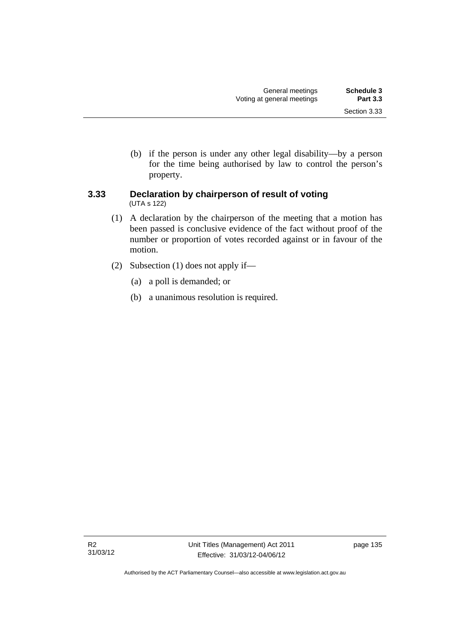(b) if the person is under any other legal disability—by a person for the time being authorised by law to control the person's property.

### **3.33 Declaration by chairperson of result of voting**  (UTA s 122)

- (1) A declaration by the chairperson of the meeting that a motion has been passed is conclusive evidence of the fact without proof of the number or proportion of votes recorded against or in favour of the motion.
- (2) Subsection (1) does not apply if—
	- (a) a poll is demanded; or
	- (b) a unanimous resolution is required.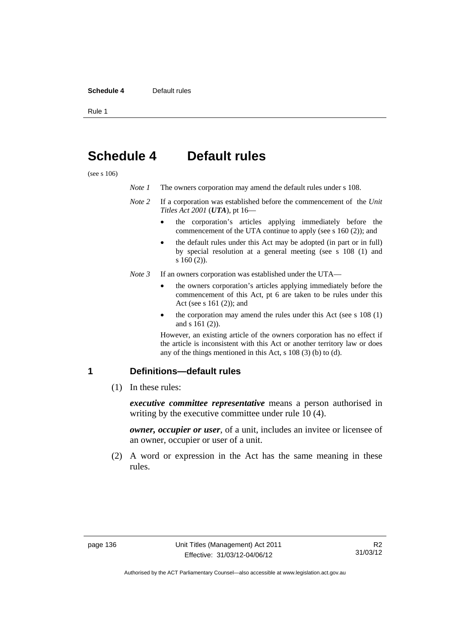#### **Schedule 4** Default rules

Rule 1

# **Schedule 4 Default rules**

(see s 106)

| Note 1 |  |  | The owners corporation may amend the default rules under s 108. |
|--------|--|--|-----------------------------------------------------------------|
|--------|--|--|-----------------------------------------------------------------|

- *Note 2* If a corporation was established before the commencement of the *Unit Titles Act 2001* (*UTA*), pt 16
	- the corporation's articles applying immediately before the commencement of the UTA continue to apply (see s 160 (2)); and
	- the default rules under this Act may be adopted (in part or in full) by special resolution at a general meeting (see s 108 (1) and s 160 (2)).
- *Note 3* If an owners corporation was established under the UTA
	- the owners corporation's articles applying immediately before the commencement of this Act, pt 6 are taken to be rules under this Act (see s 161 (2)); and
	- the corporation may amend the rules under this Act (see s 108 (1) and s 161 (2)).

However, an existing article of the owners corporation has no effect if the article is inconsistent with this Act or another territory law or does any of the things mentioned in this Act, s 108 (3) (b) to (d).

### **1 Definitions—default rules**

(1) In these rules:

*executive committee representative* means a person authorised in writing by the executive committee under rule 10 (4).

*owner, occupier or user*, of a unit, includes an invitee or licensee of an owner, occupier or user of a unit.

 (2) A word or expression in the Act has the same meaning in these rules.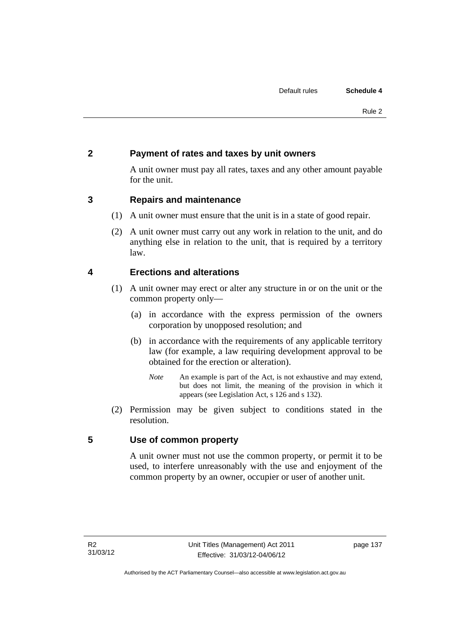# **2 Payment of rates and taxes by unit owners**

A unit owner must pay all rates, taxes and any other amount payable for the unit.

# **3 Repairs and maintenance**

- (1) A unit owner must ensure that the unit is in a state of good repair.
- (2) A unit owner must carry out any work in relation to the unit, and do anything else in relation to the unit, that is required by a territory law.

# **4 Erections and alterations**

- (1) A unit owner may erect or alter any structure in or on the unit or the common property only—
	- (a) in accordance with the express permission of the owners corporation by unopposed resolution; and
	- (b) in accordance with the requirements of any applicable territory law (for example, a law requiring development approval to be obtained for the erection or alteration).
		- *Note* An example is part of the Act, is not exhaustive and may extend, but does not limit, the meaning of the provision in which it appears (see Legislation Act, s 126 and s 132).
- (2) Permission may be given subject to conditions stated in the resolution.

# **5 Use of common property**

A unit owner must not use the common property, or permit it to be used, to interfere unreasonably with the use and enjoyment of the common property by an owner, occupier or user of another unit.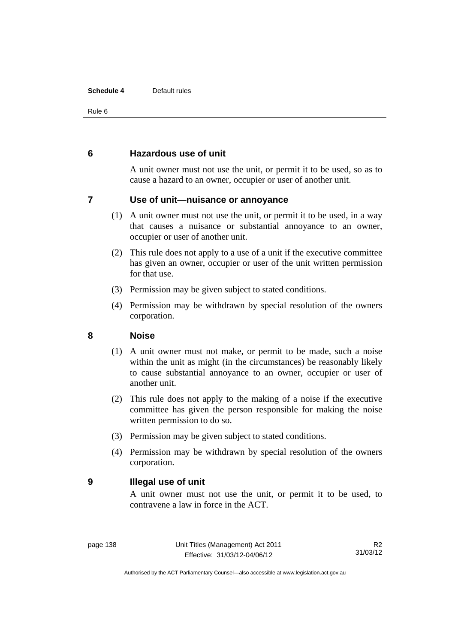#### **Schedule 4** Default rules

Rule 6

### **6 Hazardous use of unit**

A unit owner must not use the unit, or permit it to be used, so as to cause a hazard to an owner, occupier or user of another unit.

## **7 Use of unit—nuisance or annoyance**

- (1) A unit owner must not use the unit, or permit it to be used, in a way that causes a nuisance or substantial annoyance to an owner, occupier or user of another unit.
- (2) This rule does not apply to a use of a unit if the executive committee has given an owner, occupier or user of the unit written permission for that use.
- (3) Permission may be given subject to stated conditions.
- (4) Permission may be withdrawn by special resolution of the owners corporation.

### **8 Noise**

- (1) A unit owner must not make, or permit to be made, such a noise within the unit as might (in the circumstances) be reasonably likely to cause substantial annoyance to an owner, occupier or user of another unit.
- (2) This rule does not apply to the making of a noise if the executive committee has given the person responsible for making the noise written permission to do so.
- (3) Permission may be given subject to stated conditions.
- (4) Permission may be withdrawn by special resolution of the owners corporation.

### **9 Illegal use of unit**

A unit owner must not use the unit, or permit it to be used, to contravene a law in force in the ACT.

R2 31/03/12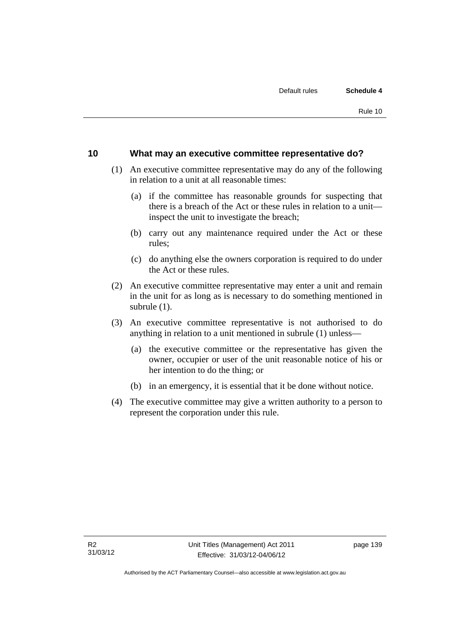### **10 What may an executive committee representative do?**

- (1) An executive committee representative may do any of the following in relation to a unit at all reasonable times:
	- (a) if the committee has reasonable grounds for suspecting that there is a breach of the Act or these rules in relation to a unit inspect the unit to investigate the breach;
	- (b) carry out any maintenance required under the Act or these rules;
	- (c) do anything else the owners corporation is required to do under the Act or these rules.
- (2) An executive committee representative may enter a unit and remain in the unit for as long as is necessary to do something mentioned in subrule (1).
- (3) An executive committee representative is not authorised to do anything in relation to a unit mentioned in subrule (1) unless—
	- (a) the executive committee or the representative has given the owner, occupier or user of the unit reasonable notice of his or her intention to do the thing; or
	- (b) in an emergency, it is essential that it be done without notice.
- (4) The executive committee may give a written authority to a person to represent the corporation under this rule.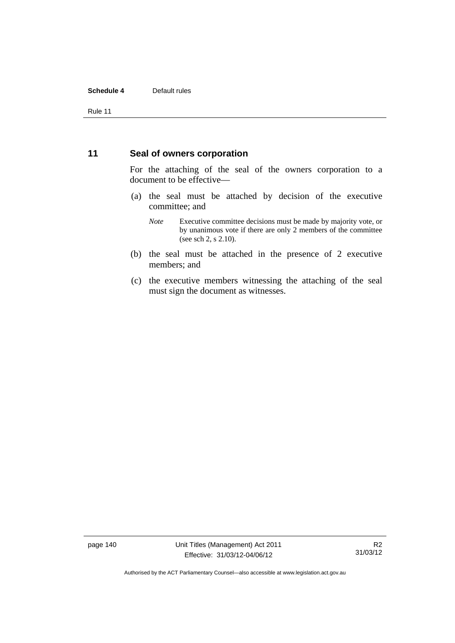#### **Schedule 4** Default rules

Rule 11

### **11 Seal of owners corporation**

For the attaching of the seal of the owners corporation to a document to be effective—

- (a) the seal must be attached by decision of the executive committee; and
	- *Note* Executive committee decisions must be made by majority vote, or by unanimous vote if there are only 2 members of the committee (see sch 2, s 2.10).
- (b) the seal must be attached in the presence of 2 executive members; and
- (c) the executive members witnessing the attaching of the seal must sign the document as witnesses.

page 140 Unit Titles (Management) Act 2011 Effective: 31/03/12-04/06/12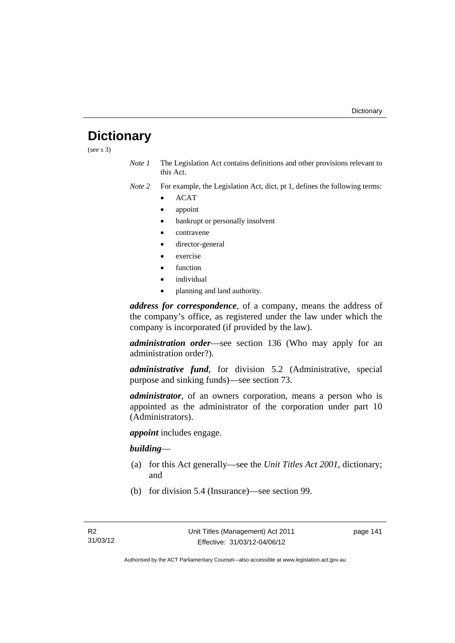# **Dictionary**

(see s 3)

- *Note 1* The Legislation Act contains definitions and other provisions relevant to this Act.
- *Note 2* For example, the Legislation Act, dict, pt 1, defines the following terms:
	- ACAT
	- appoint
	- bankrupt or personally insolvent
	- contravene
	- director-general
	- exercise
	- function
	- individual
	- planning and land authority.

*address for correspondence*, of a company, means the address of the company's office, as registered under the law under which the company is incorporated (if provided by the law).

*administration order*—see section 136 (Who may apply for an administration order?).

*administrative fund*, for division 5.2 (Administrative, special purpose and sinking funds)—see section 73.

*administrator*, of an owners corporation, means a person who is appointed as the administrator of the corporation under part 10 (Administrators).

*appoint* includes engage.

### *building*—

- (a) for this Act generally—see the *Unit Titles Act 2001*, dictionary; and
- (b) for division 5.4 (Insurance)—see section 99.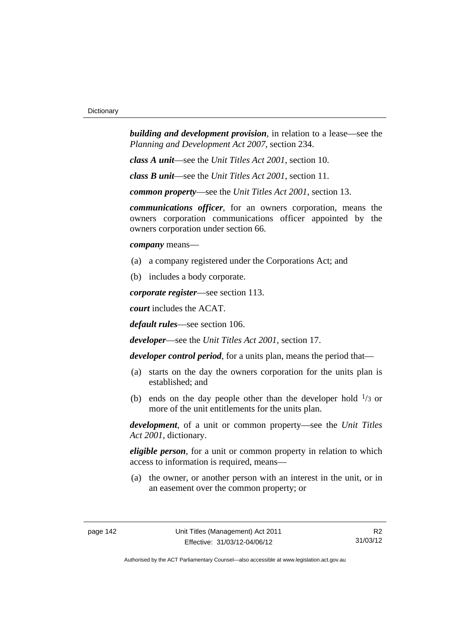*building and development provision*, in relation to a lease—see the *Planning and Development Act 2007*, section 234.

*class A unit*—see the *Unit Titles Act 2001*, section 10.

*class B unit*—see the *Unit Titles Act 2001*, section 11.

*common property*—see the *Unit Titles Act 2001*, section 13.

*communications officer*, for an owners corporation, means the owners corporation communications officer appointed by the owners corporation under section 66.

*company* means—

- (a) a company registered under the Corporations Act; and
- (b) includes a body corporate.

*corporate register*—see section 113.

*court* includes the ACAT.

*default rules*—see section 106.

*developer*—see the *Unit Titles Act 2001*, section 17.

*developer control period*, for a units plan, means the period that—

- (a) starts on the day the owners corporation for the units plan is established; and
- (b) ends on the day people other than the developer hold  $\frac{1}{3}$  or more of the unit entitlements for the units plan.

*development*, of a unit or common property—see the *Unit Titles Act 2001*, dictionary.

*eligible person*, for a unit or common property in relation to which access to information is required, means—

 (a) the owner, or another person with an interest in the unit, or in an easement over the common property; or

R2 31/03/12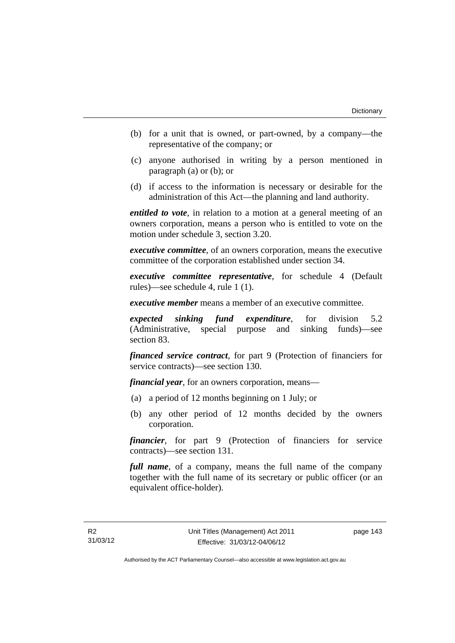- (b) for a unit that is owned, or part-owned, by a company—the representative of the company; or
- (c) anyone authorised in writing by a person mentioned in paragraph (a) or (b); or
- (d) if access to the information is necessary or desirable for the administration of this Act—the planning and land authority.

*entitled to vote*, in relation to a motion at a general meeting of an owners corporation, means a person who is entitled to vote on the motion under schedule 3, section 3.20.

*executive committee*, of an owners corporation, means the executive committee of the corporation established under section 34.

*executive committee representative*, for schedule 4 (Default rules)—see schedule 4, rule 1 (1).

*executive member* means a member of an executive committee.

*expected sinking fund expenditure*, for division 5.2 (Administrative, special purpose and sinking funds)—see section 83.

*financed service contract*, for part 9 (Protection of financiers for service contracts)—see section 130.

*financial year*, for an owners corporation, means—

- (a) a period of 12 months beginning on 1 July; or
- (b) any other period of 12 months decided by the owners corporation.

*financier*, for part 9 (Protection of financiers for service contracts)—see section 131.

*full name*, of a company, means the full name of the company together with the full name of its secretary or public officer (or an equivalent office-holder).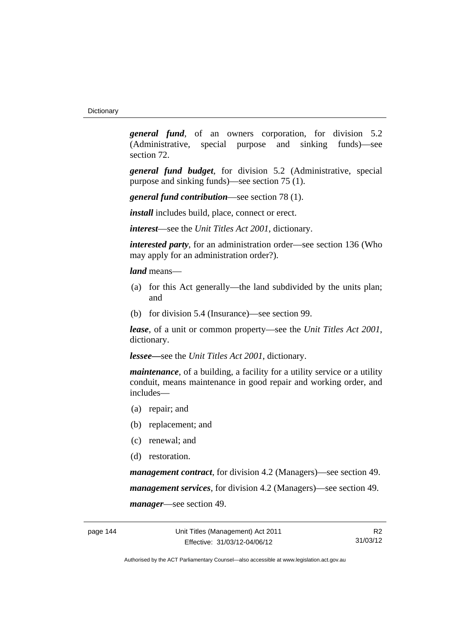*general fund*, of an owners corporation, for division 5.2 (Administrative, special purpose and sinking funds)—see section 72.

*general fund budget*, for division 5.2 (Administrative, special purpose and sinking funds)—see section 75 (1).

*general fund contribution*—see section 78 (1).

*install* includes build, place, connect or erect.

*interest*—see the *Unit Titles Act 2001*, dictionary.

*interested party*, for an administration order—see section 136 (Who may apply for an administration order?).

*land* means—

- (a) for this Act generally—the land subdivided by the units plan; and
- (b) for division 5.4 (Insurance)—see section 99.

*lease*, of a unit or common property—see the *Unit Titles Act 2001*, dictionary.

*lessee—*see the *Unit Titles Act 2001*, dictionary.

*maintenance*, of a building, a facility for a utility service or a utility conduit, means maintenance in good repair and working order, and includes—

- (a) repair; and
- (b) replacement; and
- (c) renewal; and
- (d) restoration.

*management contract*, for division 4.2 (Managers)—see section 49. *management services*, for division 4.2 (Managers)—see section 49. *manager*—see section 49.

R2 31/03/12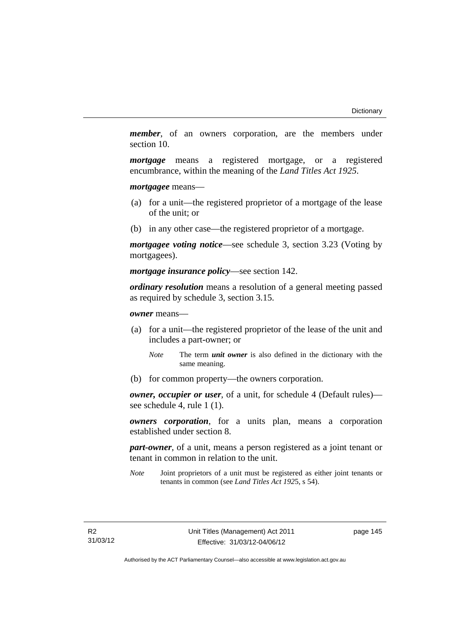*member*, of an owners corporation, are the members under section 10.

*mortgage* means a registered mortgage, or a registered encumbrance, within the meaning of the *Land Titles Act 1925*.

*mortgagee* means—

- (a) for a unit—the registered proprietor of a mortgage of the lease of the unit; or
- (b) in any other case—the registered proprietor of a mortgage.

*mortgagee voting notice*—see schedule 3, section 3.23 (Voting by mortgagees).

*mortgage insurance policy*—see section 142.

*ordinary resolution* means a resolution of a general meeting passed as required by schedule 3, section 3.15.

*owner* means—

- (a) for a unit—the registered proprietor of the lease of the unit and includes a part-owner; or
	- *Note* The term *unit owner* is also defined in the dictionary with the same meaning.
- (b) for common property—the owners corporation.

*owner, occupier or user*, of a unit, for schedule 4 (Default rules) see schedule 4, rule 1 (1).

*owners corporation*, for a units plan, means a corporation established under section 8.

*part-owner*, of a unit, means a person registered as a joint tenant or tenant in common in relation to the unit.

*Note* Joint proprietors of a unit must be registered as either joint tenants or tenants in common (see *Land Titles Act 192*5, s 54).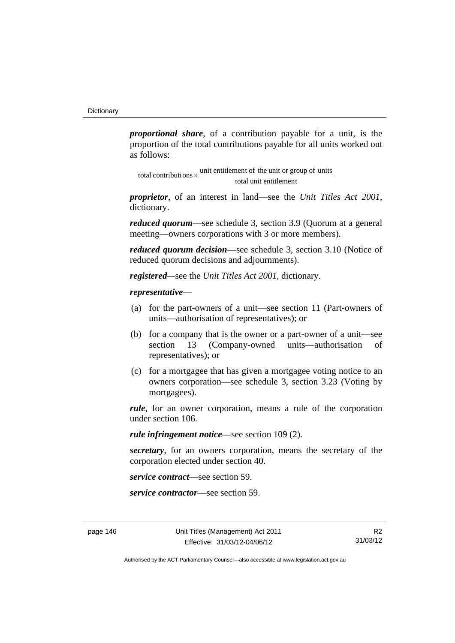*proportional share*, of a contribution payable for a unit, is the proportion of the total contributions payable for all units worked out as follows:

total unit entitlement total contributions  $\times$  unit entitlement of the unit or group of units

*proprietor*, of an interest in land—see the *Unit Titles Act 2001*, dictionary.

*reduced quorum*—see schedule 3, section 3.9 (Quorum at a general meeting—owners corporations with 3 or more members).

*reduced quorum decision*—see schedule 3, section 3.10 (Notice of reduced quorum decisions and adjournments).

*registered—*see the *Unit Titles Act 2001*, dictionary.

#### *representative*—

- (a) for the part-owners of a unit—see section 11 (Part-owners of units—authorisation of representatives); or
- (b) for a company that is the owner or a part-owner of a unit—see section 13 (Company-owned units—authorisation of representatives); or
- (c) for a mortgagee that has given a mortgagee voting notice to an owners corporation—see schedule 3, section 3.23 (Voting by mortgagees).

*rule*, for an owner corporation, means a rule of the corporation under section 106.

*rule infringement notice*—see section 109 (2).

*secretary*, for an owners corporation, means the secretary of the corporation elected under section 40.

*service contract*—see section 59.

*service contractor*—see section 59.

R2 31/03/12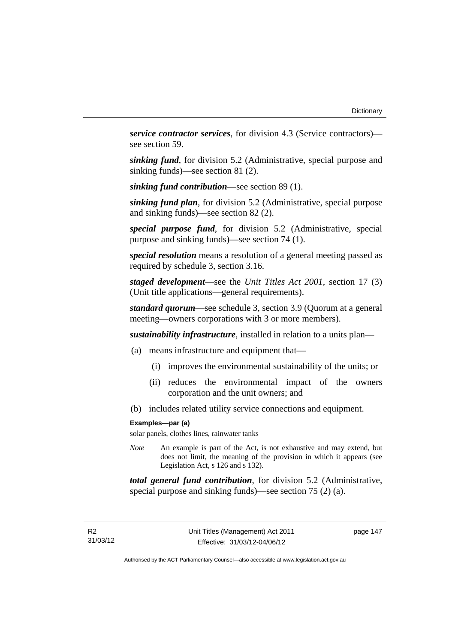*service contractor services*, for division 4.3 (Service contractors) see section 59.

*sinking fund*, for division 5.2 (Administrative, special purpose and sinking funds)—see section 81 (2).

*sinking fund contribution*—see section 89 (1).

*sinking fund plan*, for division 5.2 (Administrative, special purpose and sinking funds)—see section 82 (2).

*special purpose fund*, for division 5.2 (Administrative, special purpose and sinking funds)—see section 74 (1).

*special resolution* means a resolution of a general meeting passed as required by schedule 3, section 3.16.

*staged development*—see the *Unit Titles Act 2001*, section 17 (3) (Unit title applications—general requirements).

*standard quorum*—see schedule 3, section 3.9 (Quorum at a general meeting—owners corporations with 3 or more members).

*sustainability infrastructure*, installed in relation to a units plan—

- (a) means infrastructure and equipment that—
	- (i) improves the environmental sustainability of the units; or
	- (ii) reduces the environmental impact of the owners corporation and the unit owners; and
- (b) includes related utility service connections and equipment.

#### **Examples—par (a)**

solar panels, clothes lines, rainwater tanks

*Note* An example is part of the Act, is not exhaustive and may extend, but does not limit, the meaning of the provision in which it appears (see Legislation Act, s 126 and s 132).

*total general fund contribution*, for division 5.2 (Administrative, special purpose and sinking funds)—see section 75 (2) (a).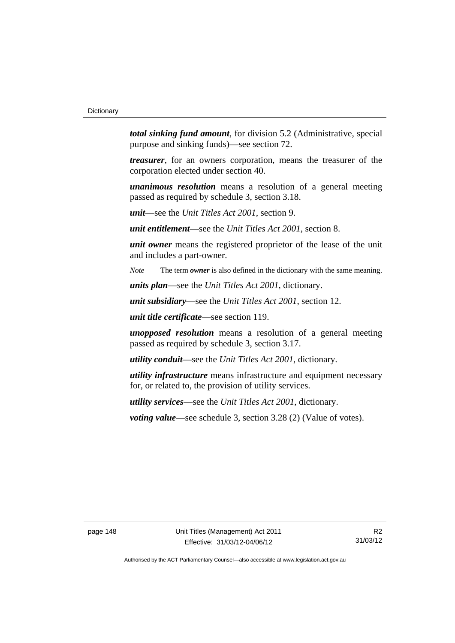*total sinking fund amount*, for division 5.2 (Administrative, special purpose and sinking funds)—see section 72.

*treasurer*, for an owners corporation, means the treasurer of the corporation elected under section 40.

*unanimous resolution* means a resolution of a general meeting passed as required by schedule 3, section 3.18.

*unit*—see the *Unit Titles Act 2001*, section 9.

*unit entitlement*—see the *Unit Titles Act 2001*, section 8.

*unit owner* means the registered proprietor of the lease of the unit and includes a part-owner.

*Note* The term *owner* is also defined in the dictionary with the same meaning.

*units plan*—see the *Unit Titles Act 2001*, dictionary.

*unit subsidiary*—see the *Unit Titles Act 2001*, section 12.

*unit title certificate*—see section 119.

*unopposed resolution* means a resolution of a general meeting passed as required by schedule 3, section 3.17.

*utility conduit*—see the *Unit Titles Act 2001*, dictionary.

*utility infrastructure* means infrastructure and equipment necessary for, or related to, the provision of utility services.

*utility services*—see the *Unit Titles Act 2001*, dictionary.

*voting value—see schedule 3, section 3.28 (2) (Value of votes).* 

page 148 Unit Titles (Management) Act 2011 Effective: 31/03/12-04/06/12

R2 31/03/12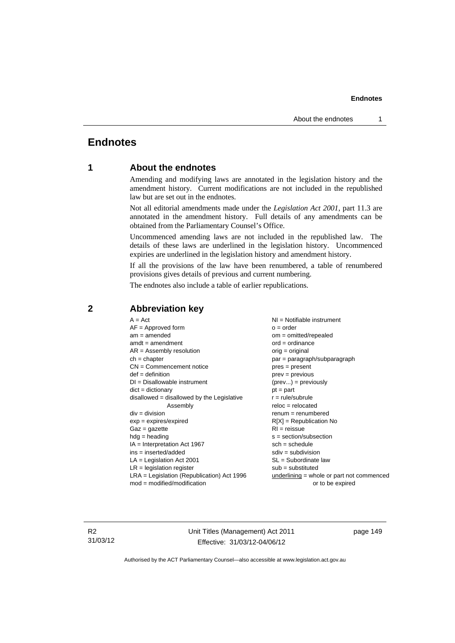# **Endnotes**

### **1 About the endnotes**

Amending and modifying laws are annotated in the legislation history and the amendment history. Current modifications are not included in the republished law but are set out in the endnotes.

Not all editorial amendments made under the *Legislation Act 2001*, part 11.3 are annotated in the amendment history. Full details of any amendments can be obtained from the Parliamentary Counsel's Office.

Uncommenced amending laws are not included in the republished law. The details of these laws are underlined in the legislation history. Uncommenced expiries are underlined in the legislation history and amendment history.

If all the provisions of the law have been renumbered, a table of renumbered provisions gives details of previous and current numbering.

The endnotes also include a table of earlier republications.

| $A = Act$                                    | $NI = Notifiable$ instrument              |
|----------------------------------------------|-------------------------------------------|
| $AF =$ Approved form                         | $o = order$                               |
| $am = amended$                               | $om = omitted/repealed$                   |
| $amdt = amendment$                           | $ord = ordinance$                         |
| $AR = Assembly resolution$                   | $orig = original$                         |
| $ch = chapter$                               | par = paragraph/subparagraph              |
| $CN =$ Commencement notice                   | $pres = present$                          |
| $def = definition$                           | $prev = previous$                         |
| $DI = Disallowable instrument$               | $(\text{prev}) = \text{previously}$       |
| $dict = dictionary$                          | $pt = part$                               |
| disallowed = disallowed by the Legislative   | $r = rule/subrule$                        |
| Assembly                                     | $reloc = relocated$                       |
| $div =$ division                             | $renum = renumbered$                      |
| $exp = expires/expired$                      | $R[X]$ = Republication No                 |
| $Gaz = gazette$                              | $RI = reissue$                            |
| $hdg = heading$                              | $s = section/subsection$                  |
| $IA = Interpretation Act 1967$               | $sch = schedule$                          |
| ins = inserted/added                         | $sdiv = subdivision$                      |
| $LA =$ Legislation Act 2001                  | $SL = Subordinate$ law                    |
| $LR =$ legislation register                  | $sub =$ substituted                       |
| $LRA =$ Legislation (Republication) Act 1996 | underlining = whole or part not commenced |
| $mod = modified/modification$                | or to be expired                          |
|                                              |                                           |

## **2 Abbreviation key**

R2 31/03/12 Unit Titles (Management) Act 2011 Effective: 31/03/12-04/06/12

page 149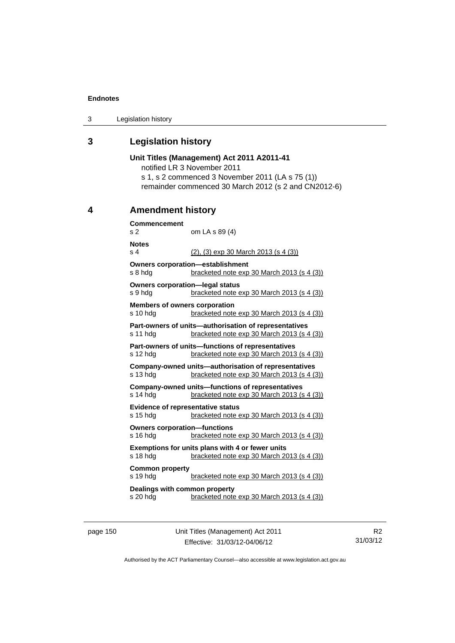3 Legislation history

### **3 Legislation history**

**Unit Titles (Management) Act 2011 A2011-41**  notified LR 3 November 2011 s 1, s 2 commenced 3 November 2011 (LA s 75 (1)) remainder commenced 30 March 2012 (s 2 and CN2012-6) **4 Amendment history Commencement**  s 2 om LA s 89 (4) **Notes**  s 4 (2), (3) exp 30 March 2013 (s 4 (3)) **Owners corporation—establishment**  s 8 hdg bracketed note exp 30 March 2013 (s 4 (3)) **Owners corporation—legal status**  s 9 hdg bracketed note exp 30 March 2013 (s 4 (3)) **Members of owners corporation**  s 10 hdg bracketed note exp 30 March 2013 (s 4 (3)) **Part-owners of units—authorisation of representatives**  s 11 hdg bracketed note exp 30 March 2013 (s 4 (3)) **Part-owners of units—functions of representatives**  s 12 hdg bracketed note exp 30 March 2013 (s 4 (3)) **Company-owned units—authorisation of representatives**  s 13 hdg bracketed note exp 30 March 2013 (s 4 (3)) **Company-owned units—functions of representatives**  s 14 hdg bracketed note exp 30 March 2013 (s 4 (3)) **Evidence of representative status**  s 15 hdg bracketed note exp 30 March 2013 (s 4 (3)) **Owners corporation—functions**  s 16 hdg bracketed note exp 30 March 2013 (s 4 (3)) **Exemptions for units plans with 4 or fewer units**  s 18 hdg bracketed note exp 30 March 2013 (s 4 (3)) **Common property**  s 19 hdg bracketed note exp 30 March 2013 (s 4 (3)) **Dealings with common property**  s 20 hdg bracketed note exp 30 March 2013 (s 4 (3))

page 150 Unit Titles (Management) Act 2011 Effective: 31/03/12-04/06/12

R2 31/03/12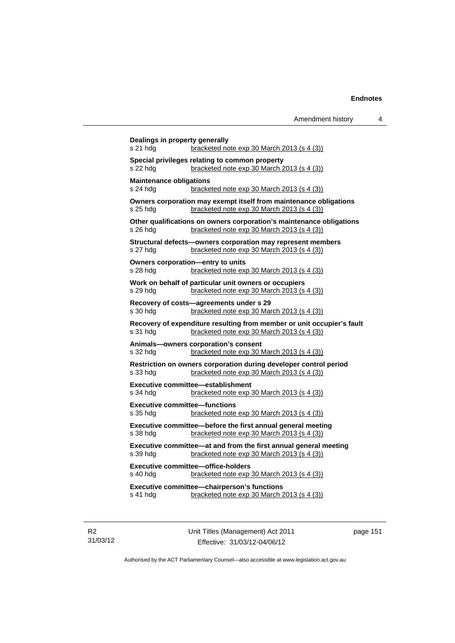| s 21 hdg                                   | bracketed note $exp 30$ March 2013 (s 4 (3))                                                                           |
|--------------------------------------------|------------------------------------------------------------------------------------------------------------------------|
| s 22 hdg                                   | Special privileges relating to common property<br>bracketed note exp 30 March 2013 (s 4 (3))                           |
| <b>Maintenance obligations</b><br>s 24 hdg | bracketed note $exp 30$ March 2013 (s 4 (3))                                                                           |
| s 25 hda                                   | Owners corporation may exempt itself from maintenance obligations<br>bracketed note exp 30 March 2013 (s 4 (3))        |
| s 26 hdg                                   | Other qualifications on owners corporation's maintenance obligations<br>bracketed note exp 30 March 2013 (s 4 (3))     |
| s 27 hdg                                   | Structural defects-owners corporation may represent members<br>bracketed note exp 30 March 2013 (s 4 (3))              |
| s 28 hda                                   | Owners corporation-entry to units<br>bracketed note exp 30 March 2013 (s 4 (3))                                        |
| s 29 hdg                                   | Work on behalf of particular unit owners or occupiers<br>bracketed note exp 30 March 2013 (s 4 (3))                    |
| s 30 hda                                   | Recovery of costs-agreements under s 29<br>bracketed note exp 30 March 2013 (s 4 (3))                                  |
| s 31 hdg                                   | Recovery of expenditure resulting from member or unit occupier's fault<br>bracketed note $exp 30$ March 2013 (s 4 (3)) |
| s 32 hda                                   | Animals-owners corporation's consent<br>bracketed note $exp 30$ March 2013 (s 4 (3))                                   |
| s 33 hdg                                   | Restriction on owners corporation during developer control period<br>bracketed note exp 30 March 2013 (s 4 (3))        |
| s 34 hdg                                   | Executive committee-establishment<br>bracketed note exp 30 March 2013 (s 4 (3))                                        |
| s 35 hdg                                   | <b>Executive committee-functions</b><br>bracketed note $exp 30$ March 2013 (s 4 (3))                                   |
| s 38 hdg                                   | Executive committee-before the first annual general meeting<br>bracketed note exp 30 March 2013 (s 4 (3))              |
| s 39 hdg                                   | Executive committee-at and from the first annual general meeting<br>bracketed note exp 30 March 2013 (s 4 (3))         |
| s 40 hdg                                   | <b>Executive committee-office-holders</b><br>bracketed note exp 30 March 2013 (s 4 (3))                                |
|                                            | Executive committee-chairperson's functions                                                                            |

R2 31/03/12 Unit Titles (Management) Act 2011 Effective: 31/03/12-04/06/12

page 151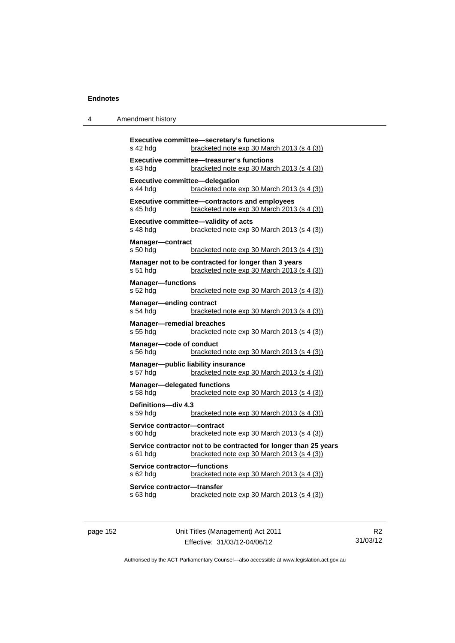| 4 | Amendment history |
|---|-------------------|
|---|-------------------|

| Executive committee-secretary's functions<br>s 42 hdg<br>bracketed note exp 30 March 2013 (s 4 (3))                        |
|----------------------------------------------------------------------------------------------------------------------------|
| <b>Executive committee-treasurer's functions</b><br>s 43 hda<br>bracketed note $exp 30$ March 2013 $(s 4 (3))$             |
| <b>Executive committee-delegation</b><br>s 44 hdg<br>bracketed note exp 30 March 2013 (s 4 (3))                            |
| Executive committee-contractors and employees<br>bracketed note exp 30 March 2013 (s 4 (3))<br>s 45 hda                    |
| <b>Executive committee-validity of acts</b><br>bracketed note exp 30 March 2013 (s 4 (3))<br>s 48 hdg                      |
| Manager-contract<br>s 50 hdg<br>bracketed note $exp 30$ March 2013 $(s 4 (3))$                                             |
| Manager not to be contracted for longer than 3 years<br>s 51 hdg<br>bracketed note exp 30 March 2013 (s 4 (3))             |
| <b>Manager-functions</b><br>s 52 hdg<br>bracketed note exp 30 March 2013 (s 4 (3))                                         |
| <b>Manager-ending contract</b><br>$s$ 54 hdg<br>bracketed note $exp 30$ March 2013 (s 4 (3))                               |
| <b>Manager-remedial breaches</b><br>s 55 hdg<br>bracketed note exp 30 March 2013 (s 4 (3))                                 |
| Manager-code of conduct<br>bracketed note exp 30 March 2013 (s 4 (3))<br>s 56 hda                                          |
| Manager-public liability insurance<br>s 57 hdg<br>bracketed note exp 30 March 2013 (s 4 (3))                               |
| <b>Manager-delegated functions</b><br>s 58 hdg<br>bracketed note exp 30 March 2013 (s 4 (3))                               |
| Definitions-div 4.3<br>s 59 hdg<br>bracketed note exp 30 March 2013 (s 4 (3))                                              |
| Service contractor-contract<br>s 60 hdg<br>bracketed note exp 30 March 2013 (s 4 (3))                                      |
| Service contractor not to be contracted for longer than 25 years<br>s 61 hdg<br>bracketed note exp 30 March 2013 (s 4 (3)) |
| <b>Service contractor-functions</b><br>s 62 hdg<br>bracketed note exp 30 March 2013 (s 4 (3))                              |
| Service contractor-transfer<br>s 63 hda<br>bracketed note exp 30 March 2013 (s 4 (3))                                      |

page 152 Unit Titles (Management) Act 2011 Effective: 31/03/12-04/06/12

R2 31/03/12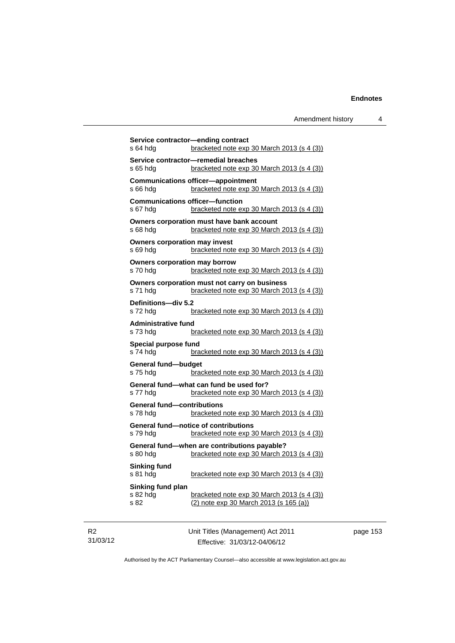|                                      | Service contractor—ending contract                                                        |
|--------------------------------------|-------------------------------------------------------------------------------------------|
| s 64 hda                             | <u>bracketed note exp 30 March 2013 (s 4 (3))</u>                                         |
| s 65 hda                             | Service contractor-remedial breaches<br><u>bracketed note exp 30 March 2013 (s 4 (3))</u> |
|                                      | <b>Communications officer-appointment</b>                                                 |
| s 66 hda                             | bracketed note $exp 30$ March 2013 (s 4 (3))                                              |
|                                      | <b>Communications officer-function</b>                                                    |
| s 67 hda                             | bracketed note $exp 30$ March 2013 (s 4 (3))                                              |
|                                      | Owners corporation must have bank account                                                 |
| s 68 hda                             | bracketed note $exp 30$ March 2013 (s 4 (3))                                              |
| <b>Owners corporation may invest</b> |                                                                                           |
| s 69 hda                             | bracketed note $exp 30$ March 2013 (s 4 (3))                                              |
| <b>Owners corporation may borrow</b> |                                                                                           |
| s 70 hdg                             | bracketed note $exp 30$ March 2013 (s 4 (3))                                              |
|                                      | Owners corporation must not carry on business                                             |
| s 71 hda                             | bracketed note exp 30 March 2013 (s 4 (3))                                                |
| Definitions-div 5.2                  |                                                                                           |
| s 72 hda                             | bracketed note $exp 30$ March 2013 (s 4 (3))                                              |
| <b>Administrative fund</b>           |                                                                                           |
| s 73 hda                             | bracketed note $exp 30$ March 2013 (s 4 (3))                                              |
| Special purpose fund                 |                                                                                           |
| s 74 hda                             | bracketed note $exp 30$ March 2013 (s 4 (3))                                              |
| General fund-budget                  |                                                                                           |
| s 75 hdq                             | bracketed note $exp 30$ March 2013 (s 4 (3))                                              |
|                                      | General fund—what can fund be used for?                                                   |
| s 77 hdq                             | bracketed note $exp 30$ March 2013 (s 4 (3))                                              |
| <b>General fund-contributions</b>    |                                                                                           |
| s 78 hda                             | bracketed note exp 30 March 2013 (s 4 (3))                                                |
|                                      | <b>General fund-notice of contributions</b>                                               |
| s 79 hda                             | bracketed note exp 30 March 2013 (s 4 (3))                                                |
|                                      | General fund-when are contributions payable?                                              |
| s 80 hda                             | bracketed note exp 30 March 2013 (s 4 (3))                                                |
| Sinking fund                         |                                                                                           |
| s 81 hda                             | bracketed note $exp 30$ March 2013 (s 4 (3))                                              |
| Sinking fund plan                    |                                                                                           |
| s 82 hdg<br>s 82                     | bracketed note exp 30 March 2013 (s 4 (3))<br>(2) note exp 30 March 2013 (s 165 (a))      |
|                                      |                                                                                           |
|                                      |                                                                                           |

R2 31/03/12 Unit Titles (Management) Act 2011 Effective: 31/03/12-04/06/12

page 153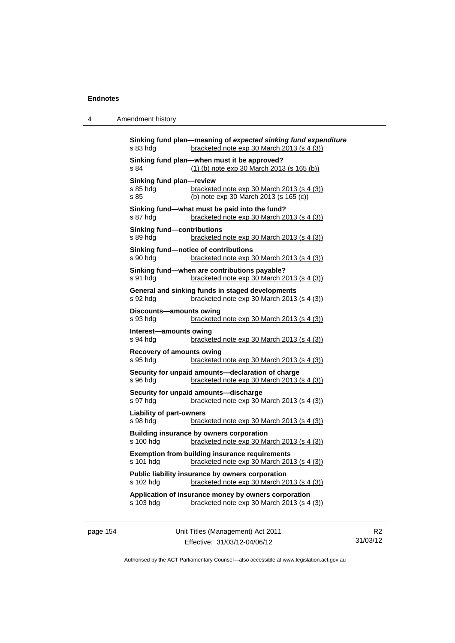| 4 | Amendment history |
|---|-------------------|
|---|-------------------|

| s 83 hdg                                      | Sinking fund plan-meaning of expected sinking fund expenditure<br>bracketed note exp 30 March 2013 (s 4 (3)) |
|-----------------------------------------------|--------------------------------------------------------------------------------------------------------------|
| s 84                                          | Sinking fund plan-when must it be approved?<br>(1) (b) note exp 30 March 2013 (s 165 (b))                    |
| Sinking fund plan-review<br>s 85 hdg<br>s 85  | bracketed note exp 30 March 2013 (s 4 (3))<br>(b) note exp 30 March 2013 (s 165 (c))                         |
| s 87 hdg                                      | Sinking fund-what must be paid into the fund?<br>bracketed note exp 30 March 2013 (s 4 (3))                  |
| <b>Sinking fund-contributions</b><br>s 89 hda | bracketed note exp 30 March 2013 (s 4 (3))                                                                   |
| s 90 hdg                                      | Sinking fund-notice of contributions<br>bracketed note exp 30 March 2013 (s 4 (3))                           |
| s 91 hdg                                      | Sinking fund-when are contributions payable?<br>bracketed note exp 30 March 2013 (s 4 (3))                   |
| s 92 hdg                                      | General and sinking funds in staged developments<br>bracketed note exp 30 March 2013 (s 4 (3))               |
| Discounts-amounts owing<br>s 93 hdg           | bracketed note exp 30 March 2013 (s 4 (3))                                                                   |
| Interest-amounts owing<br>s 94 hdg            | bracketed note exp 30 March 2013 (s 4 (3))                                                                   |
| <b>Recovery of amounts owing</b><br>s 95 hdg  | bracketed note exp 30 March 2013 (s 4 (3))                                                                   |
|                                               |                                                                                                              |
| s 96 hdg                                      | Security for unpaid amounts-declaration of charge<br>bracketed note exp 30 March 2013 (s 4 (3))              |
| s 97 hdg                                      | Security for unpaid amounts-discharge<br>bracketed note exp 30 March 2013 (s 4 (3))                          |
| <b>Liability of part-owners</b><br>s 98 hdg   | bracketed note exp 30 March 2013 (s 4 (3))                                                                   |
| s 100 hdg                                     | Building insurance by owners corporation<br>bracketed note exp 30 March 2013 (s 4 (3))                       |
| s 101 hdg                                     | <b>Exemption from building insurance requirements</b><br>bracketed note exp 30 March 2013 (s 4 (3))          |
| s 102 hdg                                     | Public liability insurance by owners corporation<br>bracketed note exp 30 March 2013 (s 4 (3))               |
| s 103 hdg                                     | Application of insurance money by owners corporation<br>bracketed note exp 30 March 2013 (s 4 (3))           |

page 154 Unit Titles (Management) Act 2011 Effective: 31/03/12-04/06/12

R2 31/03/12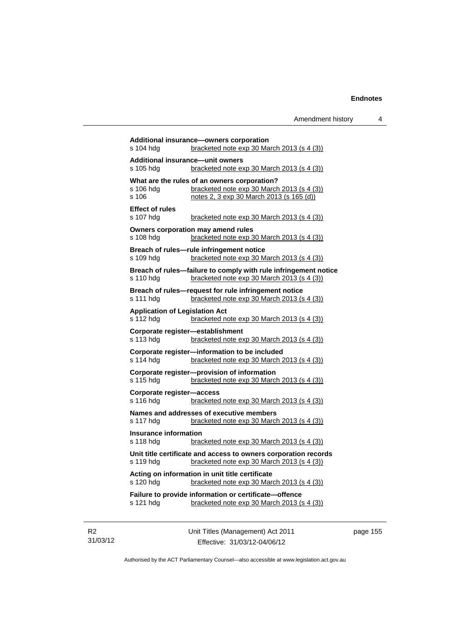**Additional insurance—owners corporation**  s 104 hdg bracketed note exp 30 March 2013 (s 4 (3)) **Additional insurance—unit owners**  s 105 hdg bracketed note exp 30 March 2013 (s 4 (3)) **What are the rules of an owners corporation?**<br>s 106 hdg bracketed note exp 30 March bracketed note exp 30 March 2013 (s  $4$  (3)) s 106 notes 2, 3 exp 30 March 2013 (s 165 (d)) **Effect of rules**  s 107 hdg bracketed note exp 30 March 2013 (s 4 (3)) **Owners corporation may amend rules**  s 108 hdg bracketed note exp 30 March 2013 (s 4 (3)) **Breach of rules—rule infringement notice**  s 109 hdg bracketed note exp 30 March 2013 (s 4 (3)) **Breach of rules—failure to comply with rule infringement notice**  s 110 hdg bracketed note exp 30 March 2013 (s 4 (3)) **Breach of rules—request for rule infringement notice**  s 111 hdg bracketed note exp 30 March 2013 (s 4 (3)) **Application of Legislation Act**  s 112 hdg bracketed note exp 30 March 2013 (s 4 (3)) **Corporate register—establishment**  s 113 hdg bracketed note exp 30 March 2013 (s 4 (3)) **Corporate register—information to be included**  s 114 hdg bracketed note exp 30 March 2013 (s 4 (3)) **Corporate register—provision of information**  bracketed note exp 30 March 2013 (s  $4$  (3)) **Corporate register—access**  s 116 hdg bracketed note exp 30 March 2013 (s 4 (3)) **Names and addresses of executive members**  s 117 hdg bracketed note exp 30 March 2013 (s 4 (3)) **Insurance information**  s 118 hdg bracketed note exp 30 March 2013 (s 4 (3)) **Unit title certificate and access to owners corporation records**  s 119 hdg bracketed note exp 30 March 2013 (s 4 (3)) **Acting on information in unit title certificate**  s 120 hdg bracketed note exp 30 March 2013 (s 4 (3)) **Failure to provide information or certificate—offence**  s 121 hdg bracketed note exp 30 March 2013 (s 4 (3))

R2 31/03/12 Unit Titles (Management) Act 2011 Effective: 31/03/12-04/06/12

page 155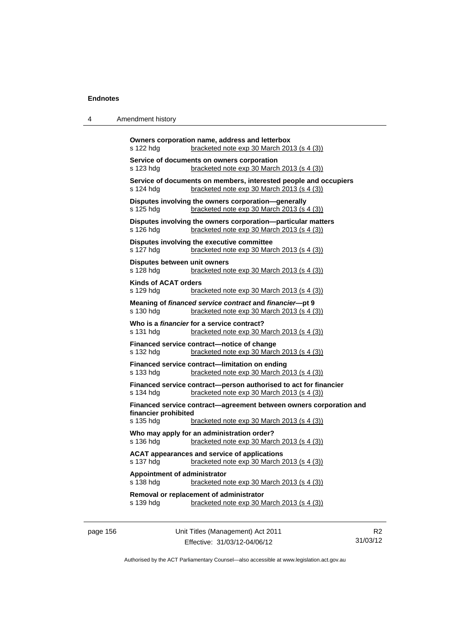4 Amendment history

|           | Owners corporation name, address and letterbox                                             |
|-----------|--------------------------------------------------------------------------------------------|
| s 122 hdg | bracketed note exp 30 March 2013 (s 4 (3))                                                 |
| s 123 hdg | Service of documents on owners corporation<br>bracketed note $exp 30$ March 2013 (s 4 (3)) |

 $\det$  exp 30 March 2013 (s 4 (3)) **Service of documents on members, interested people and occupiers**  s 124 hdg bracketed note exp 30 March 2013 (s 4 (3)) **Disputes involving the owners corporation—generally**  s 125 hdg bracketed note exp 30 March 2013 (s 4 (3)) **Disputes involving the owners corporation—particular matters**  s 126 hdg bracketed note exp 30 March 2013 (s 4 (3)) **Disputes involving the executive committee**  s 127 hdg bracketed note exp 30 March 2013 (s 4 (3)) **Disputes between unit owners**  s 128 hdg bracketed note exp 30 March 2013 (s 4 (3)) **Kinds of ACAT orders**  s 129 hdg bracketed note exp 30 March 2013 (s 4 (3)) **Meaning of** *financed service contract* **and** *financier***—pt 9**  s 130 hdg bracketed note exp 30 March 2013 (s 4 (3)) **Who is a** *financier* **for a service contract?**  s 131 hdg bracketed note exp 30 March 2013 (s 4 (3)) **Financed service contract—notice of change**  s 132 hdg bracketed note exp 30 March 2013 (s 4 (3)) **Financed service contract—limitation on ending**  s 133 hdg bracketed note exp 30 March 2013 (s 4 (3)) **Financed service contract—person authorised to act for financier**  s 134 hdg bracketed note exp 30 March 2013 (s 4 (3)) **Financed service contract—agreement between owners corporation and financier prohibited**  bracketed note exp 30 March 2013 (s  $4$  (3)) **Who may apply for an administration order?**  s 136 hdg bracketed note exp 30 March 2013 (s 4 (3)) **ACAT appearances and service of applications**  s 137 hdg bracketed note exp 30 March 2013 (s 4 (3)) **Appointment of administrator**  s 138 hdg bracketed note exp 30 March 2013 (s 4 (3)) **Removal or replacement of administrator**  s 139 hdg bracketed note exp 30 March 2013 (s 4 (3))

page 156 Unit Titles (Management) Act 2011 Effective: 31/03/12-04/06/12

R2 31/03/12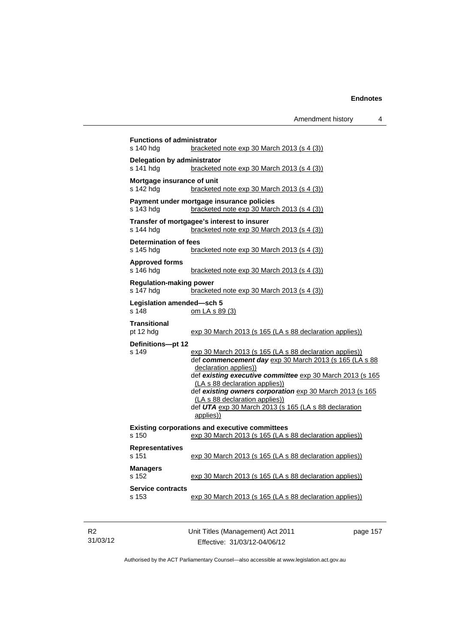| s 140 hdg                                   | bracketed note $exp 30$ March 2013 (s 4 (3))                                                                                                                                                                                                                                                                                                                                                                  |
|---------------------------------------------|---------------------------------------------------------------------------------------------------------------------------------------------------------------------------------------------------------------------------------------------------------------------------------------------------------------------------------------------------------------------------------------------------------------|
| Delegation by administrator<br>s 141 hdg    | bracketed note exp 30 March 2013 (s 4 (3))                                                                                                                                                                                                                                                                                                                                                                    |
| Mortgage insurance of unit<br>s 142 hdg     | bracketed note $exp 30$ March 2013 (s 4 (3))                                                                                                                                                                                                                                                                                                                                                                  |
| s 143 hdg                                   | Payment under mortgage insurance policies<br>bracketed note $\exp 30$ March 2013 (s 4 (3))                                                                                                                                                                                                                                                                                                                    |
| s 144 hdg                                   | Transfer of mortgagee's interest to insurer<br>bracketed note $\exp 30$ March 2013 (s 4 (3))                                                                                                                                                                                                                                                                                                                  |
| Determination of fees<br>s 145 hdg          | bracketed note $exp 30$ March 2013 (s 4 (3))                                                                                                                                                                                                                                                                                                                                                                  |
| <b>Approved forms</b><br>s 146 hdg          | bracketed note $exp 30$ March 2013 (s 4 (3))                                                                                                                                                                                                                                                                                                                                                                  |
| <b>Regulation-making power</b><br>s 147 hda | bracketed note exp 30 March 2013 (s 4 (3))                                                                                                                                                                                                                                                                                                                                                                    |
| Legislation amended-sch 5<br>s 148          | om LA s 89 (3)                                                                                                                                                                                                                                                                                                                                                                                                |
| <b>Transitional</b><br>pt 12 hdg            | exp 30 March 2013 (s 165 (LA s 88 declaration applies))                                                                                                                                                                                                                                                                                                                                                       |
| Definitions-pt 12<br>s 149                  | exp 30 March 2013 (s 165 (LA s 88 declaration applies))<br>def commencement day exp 30 March 2013 (s 165 (LA s 88<br>declaration applies))<br>def existing executive committee exp 30 March 2013 (s 165<br>(LA s 88 declaration applies))<br>def existing owners corporation exp 30 March 2013 (s 165<br>(LA s 88 declaration applies))<br>def UTA exp 30 March 2013 (s 165 (LA s 88 declaration<br>applies)) |
| s 150                                       | <b>Existing corporations and executive committees</b><br>exp 30 March 2013 (s 165 (LA s 88 declaration applies))                                                                                                                                                                                                                                                                                              |
| <b>Representatives</b><br>s 151             | exp 30 March 2013 (s 165 (LA s 88 declaration applies))                                                                                                                                                                                                                                                                                                                                                       |
| <b>Managers</b><br>s 152                    | exp 30 March 2013 (s 165 (LA s 88 declaration applies))                                                                                                                                                                                                                                                                                                                                                       |
| <b>Service contracts</b><br>s 153           | exp 30 March 2013 (s 165 (LA s 88 declaration applies))                                                                                                                                                                                                                                                                                                                                                       |

R2 31/03/12 Unit Titles (Management) Act 2011 Effective: 31/03/12-04/06/12

page 157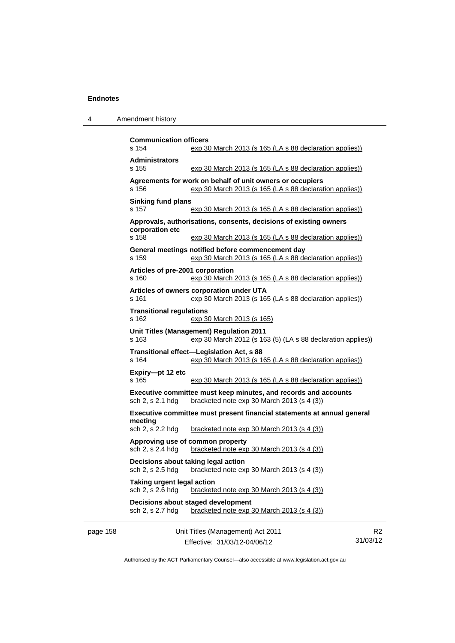|  | Amendment history |
|--|-------------------|
|--|-------------------|

|          | <b>Communication officers</b>                                                                                    |                                                                                                                      |   |  |  |
|----------|------------------------------------------------------------------------------------------------------------------|----------------------------------------------------------------------------------------------------------------------|---|--|--|
|          | s 154                                                                                                            | exp 30 March 2013 (s 165 (LA s 88 declaration applies))                                                              |   |  |  |
|          | <b>Administrators</b><br>s 155                                                                                   | exp 30 March 2013 (s 165 (LA s 88 declaration applies))                                                              |   |  |  |
|          | s 156                                                                                                            | Agreements for work on behalf of unit owners or occupiers<br>exp 30 March 2013 (s 165 (LA s 88 declaration applies)) |   |  |  |
|          | s 157                                                                                                            | <b>Sinking fund plans</b><br>exp 30 March 2013 (s 165 (LA s 88 declaration applies))                                 |   |  |  |
|          | corporation etc                                                                                                  | Approvals, authorisations, consents, decisions of existing owners                                                    |   |  |  |
|          | s 158                                                                                                            | exp 30 March 2013 (s 165 (LA s 88 declaration applies))                                                              |   |  |  |
|          | s 159                                                                                                            | General meetings notified before commencement day<br>exp 30 March 2013 (s 165 (LA s 88 declaration applies))         |   |  |  |
|          | Articles of pre-2001 corporation<br>s 160                                                                        | exp 30 March 2013 (s 165 (LA s 88 declaration applies))                                                              |   |  |  |
|          | s 161                                                                                                            | Articles of owners corporation under UTA<br>exp 30 March 2013 (s 165 (LA s 88 declaration applies))                  |   |  |  |
|          | <b>Transitional regulations</b><br>s 162                                                                         | exp 30 March 2013 (s 165)                                                                                            |   |  |  |
|          | Unit Titles (Management) Regulation 2011<br>exp 30 March 2012 (s 163 (5) (LA s 88 declaration applies))<br>s 163 |                                                                                                                      |   |  |  |
|          | s 164                                                                                                            | Transitional effect-Legislation Act, s 88<br>exp 30 March 2013 (s 165 (LA s 88 declaration applies))                 |   |  |  |
|          | Expiry-pt 12 etc<br>s 165                                                                                        | exp 30 March 2013 (s 165 (LA s 88 declaration applies))                                                              |   |  |  |
|          | sch 2, s 2.1 hdg                                                                                                 | Executive committee must keep minutes, and records and accounts<br>bracketed note exp 30 March 2013 (s 4 (3))        |   |  |  |
|          | Executive committee must present financial statements at annual general                                          |                                                                                                                      |   |  |  |
|          | meeting<br>sch 2, s 2.2 hdg                                                                                      | bracketed note exp 30 March 2013 (s 4 (3))                                                                           |   |  |  |
|          | sch 2, s 2.4 hdg                                                                                                 | Approving use of common property<br>bracketed note exp 30 March 2013 (s 4 (3))                                       |   |  |  |
|          | Decisions about taking legal action<br>sch 2, s 2.5 hdg<br>bracketed note exp 30 March 2013 (s 4 (3))            |                                                                                                                      |   |  |  |
|          | <b>Taking urgent legal action</b><br>sch 2, s 2.6 hdg<br>bracketed note $exp 30$ March 2013 (s 4 (3))            |                                                                                                                      |   |  |  |
|          | Decisions about staged development                                                                               |                                                                                                                      |   |  |  |
|          | sch 2, s 2.7 hdg                                                                                                 | bracketed note exp 30 March 2013 (s 4 (3))                                                                           |   |  |  |
| page 158 |                                                                                                                  | Unit Titles (Management) Act 2011                                                                                    | R |  |  |

Effective: 31/03/12-04/06/12

ર2 31/03/12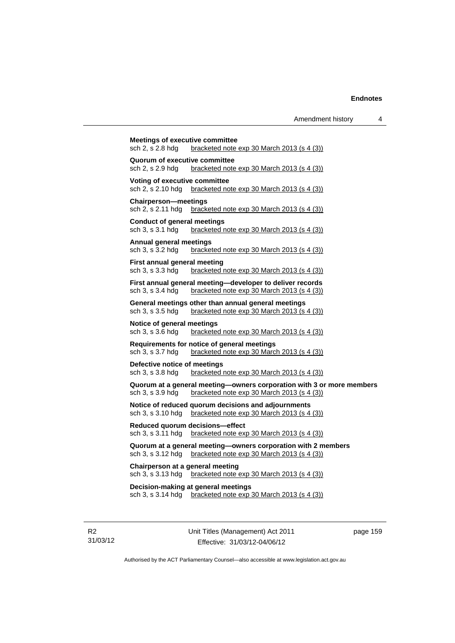| sch 2, s 2.8 hdg                                       | bracketed note exp 30 March 2013 (s 4 (3))                                                                  |
|--------------------------------------------------------|-------------------------------------------------------------------------------------------------------------|
| Quorum of executive committee                          |                                                                                                             |
| sch 2, s 2.9 hdg                                       | bracketed note exp 30 March 2013 (s 4 (3))                                                                  |
| Voting of executive committee                          |                                                                                                             |
| sch 2, s 2.10 hdg                                      | bracketed note $exp 30$ March 2013 (s 4 (3))                                                                |
| <b>Chairperson-meetings</b>                            |                                                                                                             |
| sch 2, s 2.11 hdg                                      | bracketed note $exp 30$ March 2013 (s 4 (3))                                                                |
| <b>Conduct of general meetings</b><br>sch 3, s 3.1 hdg | bracketed note exp 30 March 2013 (s 4 (3))                                                                  |
|                                                        |                                                                                                             |
| Annual general meetings<br>sch 3, s 3.2 hdg            | bracketed note $exp 30$ March 2013 (s 4 (3))                                                                |
|                                                        |                                                                                                             |
| First annual general meeting<br>sch 3, s 3.3 hdg       | bracketed note exp 30 March 2013 (s 4 (3))                                                                  |
|                                                        | First annual general meeting—developer to deliver records                                                   |
| sch 3, s 3.4 hdg                                       | bracketed note $exp 30$ March 2013 (s 4 (3))                                                                |
|                                                        | General meetings other than annual general meetings                                                         |
| sch 3, s 3.5 hdg                                       | bracketed note exp 30 March 2013 (s 4 (3))                                                                  |
| Notice of general meetings                             |                                                                                                             |
| sch 3, s 3.6 hdg                                       | bracketed note $exp 30$ March 2013 (s 4 (3))                                                                |
|                                                        | Requirements for notice of general meetings                                                                 |
| sch 3, s 3.7 hdg                                       | bracketed note exp 30 March 2013 (s 4 (3))                                                                  |
| Defective notice of meetings                           |                                                                                                             |
| sch 3, s 3.8 hdg                                       | bracketed note $exp 30$ March 2013 (s 4 (3))                                                                |
|                                                        | Quorum at a general meeting-owners corporation with 3 or more members                                       |
| sch 3, s 3.9 hdg                                       | bracketed note $exp 30$ March 2013 (s 4 (3))                                                                |
|                                                        | Notice of reduced quorum decisions and adjournments<br>bracketed note exp 30 March 2013 (s 4 (3))           |
| sch 3, s 3.10 hdg                                      |                                                                                                             |
| sch 3, s 3.11 hdg                                      | Reduced quorum decisions-effect<br>bracketed note $exp 30$ March 2013 (s 4 (3))                             |
|                                                        |                                                                                                             |
| sch 3, s 3.12 hdg                                      | Quorum at a general meeting-owners corporation with 2 members<br>bracketed note exp 30 March 2013 (s 4 (3)) |
| Chairperson at a general meeting                       |                                                                                                             |
| sch 3, s 3.13 hdg                                      | bracketed note exp 30 March 2013 (s 4 (3))                                                                  |
|                                                        | Decision-making at general meetings                                                                         |
|                                                        | sch 3, s $3.14$ hdg bracketed note $exp 30$ March 2013 (s $4(3)$ )                                          |

R2 31/03/12 Unit Titles (Management) Act 2011 Effective: 31/03/12-04/06/12

page 159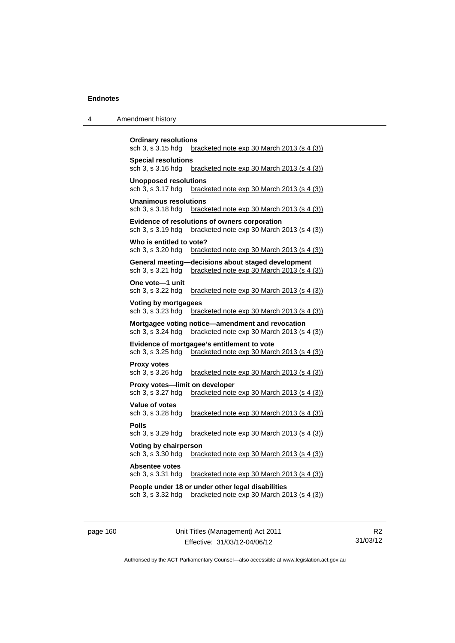| $\boldsymbol{\Lambda}$ | Amendment history |
|------------------------|-------------------|
|------------------------|-------------------|

| <b>Ordinary resolutions</b><br>sch 3, s 3.15 hdg<br>bracketed note $exp 30$ March 2013 (s 4 (3))                      |  |  |  |  |  |  |  |
|-----------------------------------------------------------------------------------------------------------------------|--|--|--|--|--|--|--|
| <b>Special resolutions</b><br>sch 3, s 3.16 hdg<br>bracketed note exp 30 March 2013 (s 4 (3))                         |  |  |  |  |  |  |  |
| <b>Unopposed resolutions</b><br>sch 3, s 3.17 hdg<br>bracketed note exp 30 March 2013 (s 4 (3))                       |  |  |  |  |  |  |  |
| <b>Unanimous resolutions</b><br>bracketed note exp 30 March 2013 (s 4 (3))<br>sch 3, s 3.18 hdg                       |  |  |  |  |  |  |  |
| Evidence of resolutions of owners corporation<br>sch 3, s 3.19 hdg<br>bracketed note exp 30 March 2013 (s 4 (3))      |  |  |  |  |  |  |  |
| Who is entitled to vote?<br>sch 3, s 3.20 hdg<br>bracketed note exp 30 March 2013 (s 4 (3))                           |  |  |  |  |  |  |  |
| General meeting-decisions about staged development<br>sch 3, s 3.21 hdg<br>bracketed note exp 30 March 2013 (s 4 (3)) |  |  |  |  |  |  |  |
| One vote-1 unit<br>sch 3, s 3.22 hdg<br>bracketed note exp 30 March 2013 (s 4 (3))                                    |  |  |  |  |  |  |  |
| <b>Voting by mortgagees</b><br>sch 3, s 3.23 hdg<br>bracketed note exp 30 March 2013 (s 4 (3))                        |  |  |  |  |  |  |  |
| Mortgagee voting notice-amendment and revocation<br>sch 3, s 3.24 hdg<br>bracketed note exp 30 March 2013 (s 4 (3))   |  |  |  |  |  |  |  |
| Evidence of mortgagee's entitlement to vote<br>bracketed note exp 30 March 2013 (s 4 (3))<br>sch 3, s 3.25 hdg        |  |  |  |  |  |  |  |
| <b>Proxy votes</b><br>sch 3, s 3.26 hdg<br>bracketed note exp 30 March 2013 (s 4 (3))                                 |  |  |  |  |  |  |  |
| Proxy votes-limit on developer<br>bracketed note exp 30 March 2013 (s 4 (3))<br>sch 3, s 3.27 hdg                     |  |  |  |  |  |  |  |
| Value of votes<br>bracketed note exp 30 March 2013 (s 4 (3))<br>sch 3, s 3.28 hdg                                     |  |  |  |  |  |  |  |
| <b>Polls</b><br>sch 3, s 3.29 hdg<br>bracketed note exp 30 March 2013 (s 4 (3))                                       |  |  |  |  |  |  |  |
| Voting by chairperson<br>bracketed note exp 30 March 2013 (s 4 (3))<br>sch 3, s 3.30 hdg                              |  |  |  |  |  |  |  |
| <b>Absentee votes</b><br>sch 3, s 3.31 hdg<br>bracketed note exp 30 March 2013 (s 4 (3))                              |  |  |  |  |  |  |  |
| People under 18 or under other legal disabilities<br>sch 3, s 3.32 hdg<br>bracketed note exp 30 March 2013 (s 4 (3))  |  |  |  |  |  |  |  |

page 160 Unit Titles (Management) Act 2011 Effective: 31/03/12-04/06/12

R2 31/03/12